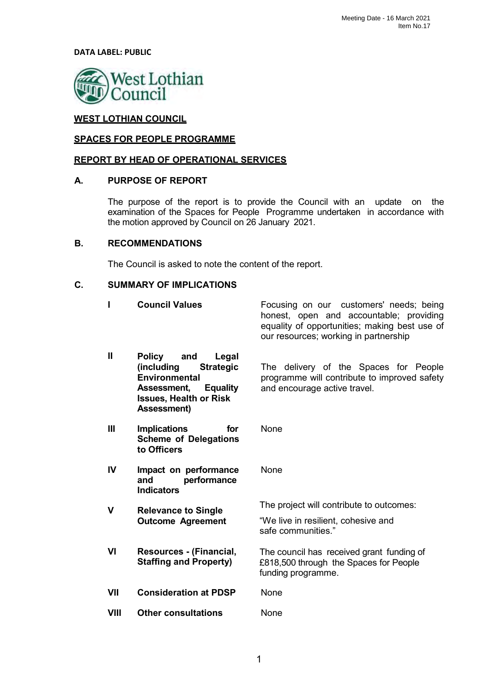**DATA LABEL: PUBLIC**



# **WEST LOTHIAN COUNCIL**

#### **SPACES FOR PEOPLE PROGRAMME**

#### **REPORT BY HEAD OF OPERATIONAL SERVICES**

#### **A. PURPOSE OF REPORT**

The purpose of the report is to provide the Council with an update on the examination of the Spaces for People Programme undertaken in accordance with the motion approved by Council on 26 January 2021.

#### **B. RECOMMENDATIONS**

The Council is asked to note the content of the report.

#### **C. SUMMARY OF IMPLICATIONS**

| I              | <b>Council Values</b>                                                                                                                                                            | Focusing on our customers' needs; being<br>honest, open and accountable; providing<br>equality of opportunities; making best use of<br>our resources; working in partnership |
|----------------|----------------------------------------------------------------------------------------------------------------------------------------------------------------------------------|------------------------------------------------------------------------------------------------------------------------------------------------------------------------------|
| $\mathbf{H}$   | <b>Policy</b><br>and<br>Legal<br>(including<br><b>Strategic</b><br><b>Environmental</b><br>Assessment,<br><b>Equality</b><br><b>Issues, Health or Risk</b><br><b>Assessment)</b> | The delivery of the Spaces for People<br>programme will contribute to improved safety<br>and encourage active travel.                                                        |
| $\mathbf{III}$ | <b>Implications</b><br>for<br><b>Scheme of Delegations</b><br>to Officers                                                                                                        | <b>None</b>                                                                                                                                                                  |
| IV             | Impact on performance<br>performance<br>and<br><b>Indicators</b>                                                                                                                 | None                                                                                                                                                                         |
| V              | <b>Relevance to Single</b>                                                                                                                                                       | The project will contribute to outcomes:                                                                                                                                     |
|                | <b>Outcome Agreement</b>                                                                                                                                                         | "We live in resilient, cohesive and<br>safe communities."                                                                                                                    |
| VI             | Resources - (Financial,<br><b>Staffing and Property)</b>                                                                                                                         | The council has received grant funding of<br>£818,500 through the Spaces for People<br>funding programme.                                                                    |
| VII            | <b>Consideration at PDSP</b>                                                                                                                                                     | None                                                                                                                                                                         |
| <b>VIII</b>    | <b>Other consultations</b>                                                                                                                                                       | None                                                                                                                                                                         |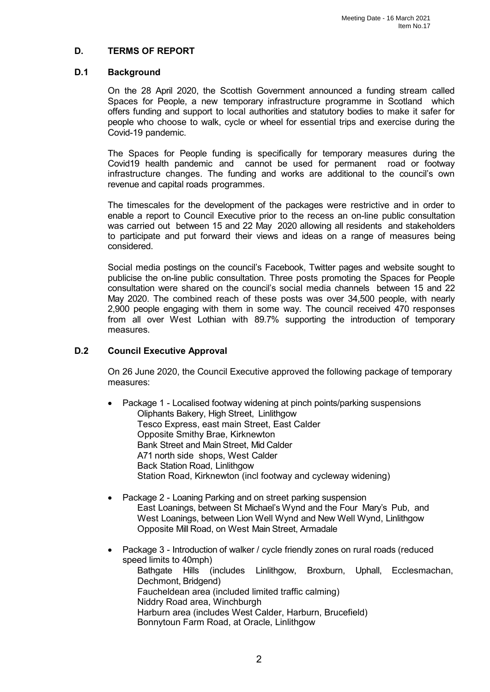## **D. TERMS OF REPORT**

#### **D.1 Background**

On the 28 April 2020, the Scottish Government announced a funding stream called Spaces for People, a new temporary infrastructure programme in Scotland which offers funding and support to local authorities and statutory bodies to make it safer for people who choose to walk, cycle or wheel for essential trips and exercise during the Covid-19 pandemic.

The Spaces for People funding is specifically for temporary measures during the Covid19 health pandemic and cannot be used for permanent road or footway infrastructure changes. The funding and works are additional to the council's own revenue and capital roads programmes.

The timescales for the development of the packages were restrictive and in order to enable a report to Council Executive prior to the recess an on-line public consultation was carried out between 15 and 22 May 2020 allowing all residents and stakeholders to participate and put forward their views and ideas on a range of measures being considered.

Social media postings on the council's Facebook, Twitter pages and website sought to publicise the on-line public consultation. Three posts promoting the Spaces for People consultation were shared on the council's social media channels between 15 and 22 May 2020. The combined reach of these posts was over 34,500 people, with nearly 2,900 people engaging with them in some way. The council received 470 responses from all over West Lothian with 89.7% supporting the introduction of temporary measures.

#### **D.2 Council Executive Approval**

On 26 June 2020, the Council Executive approved the following package of temporary measures:

- Package 1 Localised footway widening at pinch points/parking suspensions Oliphants Bakery, High Street, Linlithgow Tesco Express, east main Street, East Calder Opposite Smithy Brae, Kirknewton Bank Street and Main Street, Mid Calder A71 north side shops, West Calder Back Station Road, Linlithgow Station Road, Kirknewton (incl footway and cycleway widening)
- Package 2 Loaning Parking and on street parking suspension East Loanings, between St Michael's Wynd and the Four Mary's Pub, and West Loanings, between Lion Well Wynd and New Well Wynd, Linlithgow Opposite Mill Road, on West Main Street, Armadale
- Package 3 Introduction of walker / cycle friendly zones on rural roads (reduced speed limits to 40mph) Bathgate Hills (includes Linlithgow, Broxburn, Uphall, Ecclesmachan, Dechmont, Bridgend) Faucheldean area (included limited traffic calming) Niddry Road area, Winchburgh Harburn area (includes West Calder, Harburn, Brucefield) Bonnytoun Farm Road, at Oracle, Linlithgow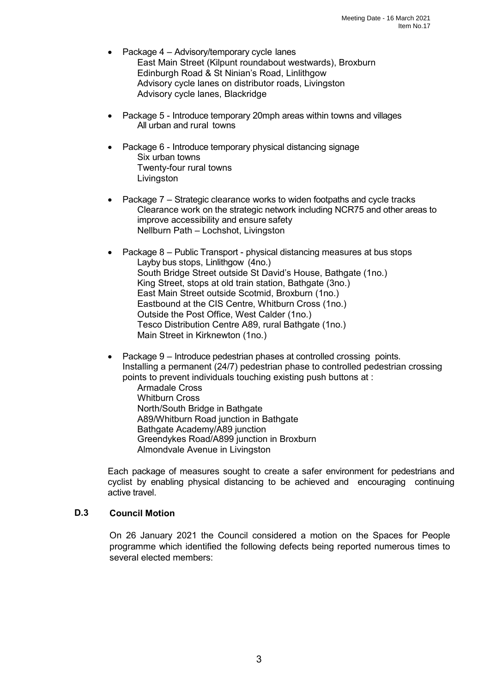- Package 4 Advisory/temporary cycle lanes East Main Street (Kilpunt roundabout westwards), Broxburn Edinburgh Road & St Ninian's Road, Linlithgow Advisory cycle lanes on distributor roads, Livingston Advisory cycle lanes, Blackridge
- Package 5 Introduce temporary 20mph areas within towns and villages All urban and rural towns
- Package 6 Introduce temporary physical distancing signage Six urban towns Twenty-four rural towns Livingston
- Package 7 Strategic clearance works to widen footpaths and cycle tracks Clearance work on the strategic network including NCR75 and other areas to improve accessibility and ensure safety Nellburn Path – Lochshot, Livingston
- Package 8 Public Transport physical distancing measures at bus stops Layby bus stops, Linlithgow (4no.) South Bridge Street outside St David's House, Bathgate (1no.) King Street, stops at old train station, Bathgate (3no.) East Main Street outside Scotmid, Broxburn (1no.) Eastbound at the CIS Centre, Whitburn Cross (1no.) Outside the Post Office, West Calder (1no.) Tesco Distribution Centre A89, rural Bathgate (1no.) Main Street in Kirknewton (1no.)
- Package 9 Introduce pedestrian phases at controlled crossing points. Installing a permanent (24/7) pedestrian phase to controlled pedestrian crossing points to prevent individuals touching existing push buttons at :
	- Armadale Cross Whitburn Cross North/South Bridge in Bathgate A89/Whitburn Road junction in Bathgate Bathgate Academy/A89 junction Greendykes Road/A899 junction in Broxburn Almondvale Avenue in Livingston

Each package of measures sought to create a safer environment for pedestrians and cyclist by enabling physical distancing to be achieved and encouraging continuing active travel.

#### **D.3 Council Motion**

On 26 January 2021 the Council considered a motion on the Spaces for People programme which identified the following defects being reported numerous times to several elected members: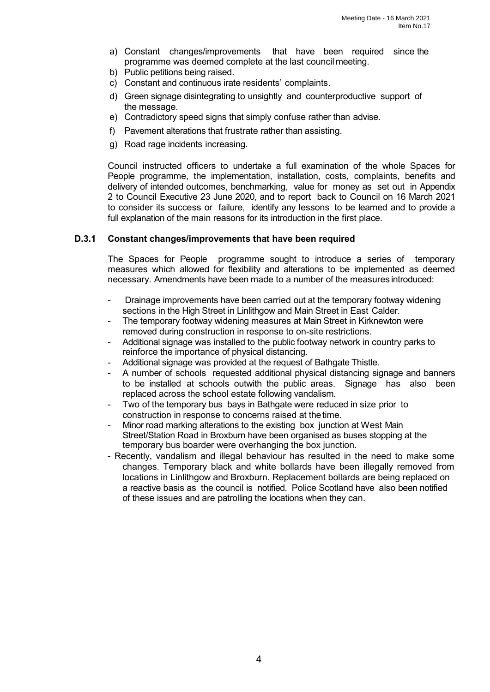- a) Constant changes/improvements that have been required since the programme was deemed complete at the last council meeting.
- b) Public petitions being raised.
- c) Constant and continuous irate residents' complaints.
- d) Green signage disintegrating to unsightly and counterproductive support of the message.
- e) Contradictory speed signs that simply confuse rather than advise.
- f) Pavement alterations that frustrate rather than assisting.
- g) Road rage incidents increasing.

Council instructed officers to undertake a full examination of the whole Spaces for People programme, the implementation, installation, costs, complaints, benefits and delivery of intended outcomes, benchmarking, value for money as set out in Appendix 2 to Council Executive 23 June 2020, and to report back to Council on 16 March 2021 to consider its success or failure, identify any lessons to be learned and to provide a full explanation of the main reasons for its introduction in the first place.

#### **D.3.1 Constant changes/improvements that have been required**

The Spaces for People programme sought to introduce a series of temporary measures which allowed for flexibility and alterations to be implemented as deemed necessary. Amendments have been made to a number of the measures introduced:

- Drainage improvements have been carried out at the temporary footway widening sections in the High Street in Linlithgow and Main Street in East Calder.
- The temporary footway widening measures at Main Street in Kirknewton were removed during construction in response to on-site restrictions.
- Additional signage was installed to the public footway network in country parks to reinforce the importance of physical distancing.
- Additional signage was provided at the request of Bathgate Thistle.
- A number of schools requested additional physical distancing signage and banners to be installed at schools outwith the public areas. Signage has also been replaced across the school estate following vandalism.
- Two of the temporary bus bays in Bathgate were reduced in size prior to construction in response to concerns raised at thetime.
- Minor road marking alterations to the existing box junction at West Main Street/Station Road in Broxburn have been organised as buses stopping at the temporary bus boarder were overhanging the box junction.
- Recently, vandalism and illegal behaviour has resulted in the need to make some changes. Temporary black and white bollards have been illegally removed from locations in Linlithgow and Broxburn. Replacement bollards are being replaced on a reactive basis as the council is notified. Police Scotland have also been notified of these issues and are patrolling the locations when they can.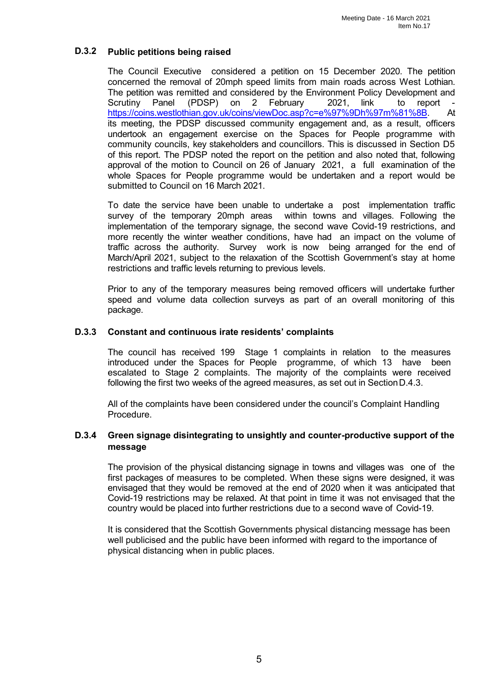# **D.3.2 Public petitions being raised**

The Council Executive considered a petition on 15 December 2020. The petition concerned the removal of 20mph speed limits from main roads across West Lothian. The petition was remitted and considered by the Environment Policy Development and<br>Scrutiny Panel (PDSP) on 2 February 2021. link to report -(PDSP) on 2 February 2021, link to report -<br>hian.gov.uk/coins/viewDoc.asp?c=e%97%9Dh%97m%81%8B. At [https://coins.westlothian.gov.uk/coins/viewDoc.asp?c=e%97%9Dh%97m%81%8B.](https://coins.westlothian.gov.uk/coins/viewDoc.asp?c=e%97%9Dh%97m%81%8B) its meeting, the PDSP discussed community engagement and, as a result, officers undertook an engagement exercise on the Spaces for People programme with community councils, key stakeholders and councillors. This is discussed in Section D5 of this report. The PDSP noted the report on the petition and also noted that, following approval of the motion to Council on 26 of January 2021, a full examination of the whole Spaces for People programme would be undertaken and a report would be submitted to Council on 16 March 2021.

To date the service have been unable to undertake a post implementation traffic survey of the temporary 20mph areas within towns and villages. Following the implementation of the temporary signage, the second wave Covid-19 restrictions, and more recently the winter weather conditions, have had an impact on the volume of traffic across the authority. Survey work is now being arranged for the end of March/April 2021, subject to the relaxation of the Scottish Government's stay at home restrictions and traffic levels returning to previous levels.

Prior to any of the temporary measures being removed officers will undertake further speed and volume data collection surveys as part of an overall monitoring of this package.

#### **D.3.3 Constant and continuous irate residents' complaints**

The council has received 199 Stage 1 complaints in relation to the measures introduced under the Spaces for People programme, of which 13 have been escalated to Stage 2 complaints. The majority of the complaints were received following the first two weeks of the agreed measures, as set out in SectionD.4.3.

All of the complaints have been considered under the council's Complaint Handling Procedure.

# **D.3.4 Green signage disintegrating to unsightly and counter-productive support of the message**

The provision of the physical distancing signage in towns and villages was one of the first packages of measures to be completed. When these signs were designed, it was envisaged that they would be removed at the end of 2020 when it was anticipated that Covid-19 restrictions may be relaxed. At that point in time it was not envisaged that the country would be placed into further restrictions due to a second wave of Covid-19.

It is considered that the Scottish Governments physical distancing message has been well publicised and the public have been informed with regard to the importance of physical distancing when in public places.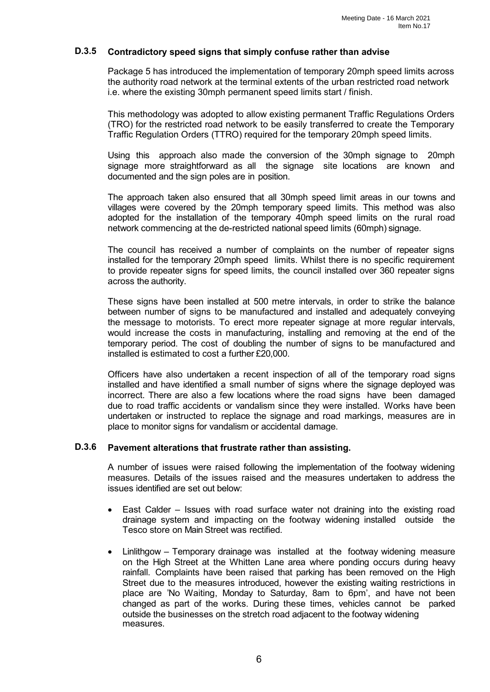## **D.3.5 Contradictory speed signs that simply confuse rather than advise**

Package 5 has introduced the implementation of temporary 20mph speed limits across the authority road network at the terminal extents of the urban restricted road network i.e. where the existing 30mph permanent speed limits start / finish.

This methodology was adopted to allow existing permanent Traffic Regulations Orders (TRO) for the restricted road network to be easily transferred to create the Temporary Traffic Regulation Orders (TTRO) required for the temporary 20mph speed limits.

Using this approach also made the conversion of the 30mph signage to 20mph signage more straightforward as all the signage site locations are known and documented and the sign poles are in position.

The approach taken also ensured that all 30mph speed limit areas in our towns and villages were covered by the 20mph temporary speed limits. This method was also adopted for the installation of the temporary 40mph speed limits on the rural road network commencing at the de-restricted national speed limits (60mph) signage.

The council has received a number of complaints on the number of repeater signs installed for the temporary 20mph speed limits. Whilst there is no specific requirement to provide repeater signs for speed limits, the council installed over 360 repeater signs across the authority.

These signs have been installed at 500 metre intervals, in order to strike the balance between number of signs to be manufactured and installed and adequately conveying the message to motorists. To erect more repeater signage at more regular intervals, would increase the costs in manufacturing, installing and removing at the end of the temporary period. The cost of doubling the number of signs to be manufactured and installed is estimated to cost a further £20,000.

Officers have also undertaken a recent inspection of all of the temporary road signs installed and have identified a small number of signs where the signage deployed was incorrect. There are also a few locations where the road signs have been damaged due to road traffic accidents or vandalism since they were installed. Works have been undertaken or instructed to replace the signage and road markings, measures are in place to monitor signs for vandalism or accidental damage.

#### **D.3.6 Pavement alterations that frustrate rather than assisting.**

A number of issues were raised following the implementation of the footway widening measures. Details of the issues raised and the measures undertaken to address the issues identified are set out below:

- East Calder Issues with road surface water not draining into the existing road drainage system and impacting on the footway widening installed outside the Tesco store on Main Street was rectified.
- Linlithgow Temporary drainage was installed at the footway widening measure on the High Street at the Whitten Lane area where ponding occurs during heavy rainfall. Complaints have been raised that parking has been removed on the High Street due to the measures introduced, however the existing waiting restrictions in place are 'No Waiting, Monday to Saturday, 8am to 6pm', and have not been changed as part of the works. During these times, vehicles cannot be parked outside the businesses on the stretch road adjacent to the footway widening measures.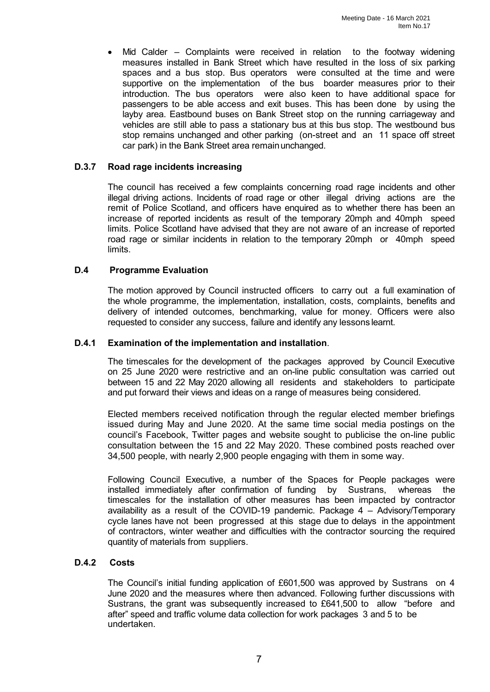Mid Calder – Complaints were received in relation to the footway widening measures installed in Bank Street which have resulted in the loss of six parking spaces and a bus stop. Bus operators were consulted at the time and were supportive on the implementation of the bus boarder measures prior to their introduction. The bus operators were also keen to have additional space for passengers to be able access and exit buses. This has been done by using the layby area. Eastbound buses on Bank Street stop on the running carriageway and vehicles are still able to pass a stationary bus at this bus stop. The westbound bus stop remains unchanged and other parking (on-street and an 11 space off street car park) in the Bank Street area remainunchanged.

## **D.3.7 Road rage incidents increasing**

The council has received a few complaints concerning road rage incidents and other illegal driving actions. Incidents of road rage or other illegal driving actions are the remit of Police Scotland, and officers have enquired as to whether there has been an increase of reported incidents as result of the temporary 20mph and 40mph speed limits. Police Scotland have advised that they are not aware of an increase of reported road rage or similar incidents in relation to the temporary 20mph or 40mph speed limits.

# **D.4 Programme Evaluation**

The motion approved by Council instructed officers to carry out a full examination of the whole programme, the implementation, installation, costs, complaints, benefits and delivery of intended outcomes, benchmarking, value for money. Officers were also requested to consider any success, failure and identify any lessons learnt.

## **D.4.1 Examination of the implementation and installation**.

The timescales for the development of the packages approved by Council Executive on 25 June 2020 were restrictive and an on-line public consultation was carried out between 15 and 22 May 2020 allowing all residents and stakeholders to participate and put forward their views and ideas on a range of measures being considered.

Elected members received notification through the regular elected member briefings issued during May and June 2020. At the same time social media postings on the council's Facebook, Twitter pages and website sought to publicise the on-line public consultation between the 15 and 22 May 2020. These combined posts reached over 34,500 people, with nearly 2,900 people engaging with them in some way.

Following Council Executive, a number of the Spaces for People packages were installed immediately after confirmation of funding by Sustrans, whereas the timescales for the installation of other measures has been impacted by contractor availability as a result of the COVID-19 pandemic. Package 4 – Advisory/Temporary cycle lanes have not been progressed at this stage due to delays in the appointment of contractors, winter weather and difficulties with the contractor sourcing the required quantity of materials from suppliers.

#### **D.4.2 Costs**

The Council's initial funding application of £601,500 was approved by Sustrans on 4 June 2020 and the measures where then advanced. Following further discussions with Sustrans, the grant was subsequently increased to £641,500 to allow "before and after" speed and traffic volume data collection for work packages 3 and 5 to be undertaken.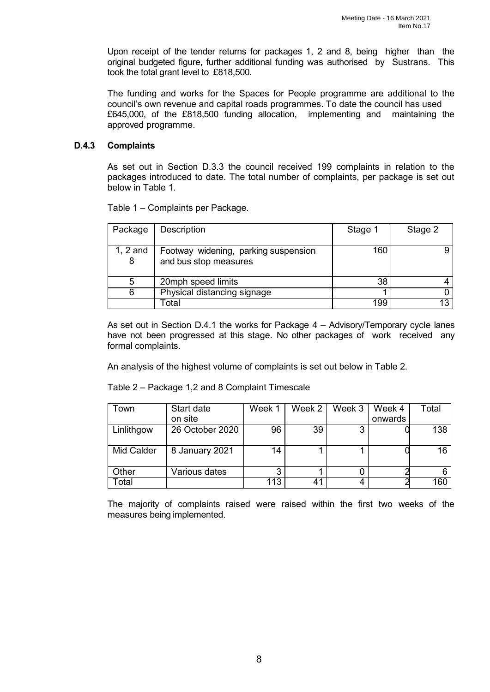Upon receipt of the tender returns for packages 1, 2 and 8, being higher than the original budgeted figure, further additional funding was authorised by Sustrans. This took the total grant level to £818,500.

The funding and works for the Spaces for People programme are additional to the council's own revenue and capital roads programmes. To date the council has used £645,000, of the £818,500 funding allocation, implementing and maintaining the approved programme.

#### **D.4.3 Complaints**

As set out in Section D.3.3 the council received 199 complaints in relation to the packages introduced to date. The total number of complaints, per package is set out below in Table 1.

Table 1 – Complaints per Package.

| Package         | <b>Description</b>                                            | Stage 1 | Stage 2 |
|-----------------|---------------------------------------------------------------|---------|---------|
| $1, 2$ and<br>8 | Footway widening, parking suspension<br>and bus stop measures | 160     |         |
| 5               | 20mph speed limits                                            | 38      |         |
|                 | Physical distancing signage                                   |         |         |
|                 | ⊺otal                                                         | 199     |         |

As set out in Section D.4.1 the works for Package 4 – Advisory/Temporary cycle lanes have not been progressed at this stage. No other packages of work received any formal complaints.

An analysis of the highest volume of complaints is set out below in Table 2.

Table 2 – Package 1,2 and 8 Complaint Timescale

| Town       | Start date      | Week 1 | Week 2 | Week 3 | Week 4  | Total |
|------------|-----------------|--------|--------|--------|---------|-------|
|            | on site         |        |        |        | onwards |       |
| Linlithgow | 26 October 2020 | 96     | 39     | ົ      |         | 138   |
|            |                 |        |        |        |         |       |
| Mid Calder | 8 January 2021  | 14     |        |        |         | 16    |
|            |                 |        |        |        |         |       |
| Other      | Various dates   | ◠      |        |        |         |       |
| ⊺otal      |                 | 113    | 41     |        |         | 160   |

The majority of complaints raised were raised within the first two weeks of the measures being implemented.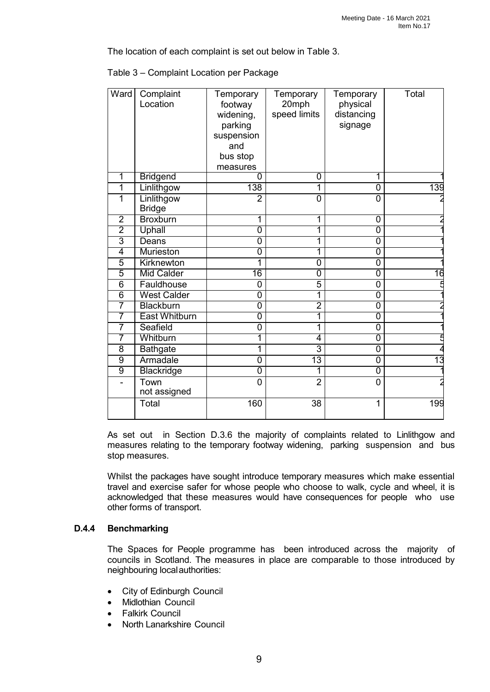The location of each complaint is set out below in Table 3.

| Ward           | Complaint<br>Location       | Temporary<br>footway<br>widening,<br>parking<br>suspension<br>and<br>bus stop<br>measures | Temporary<br>20mph<br>speed limits | Temporary<br>physical<br>distancing<br>signage | Total           |
|----------------|-----------------------------|-------------------------------------------------------------------------------------------|------------------------------------|------------------------------------------------|-----------------|
| 1              | <b>Bridgend</b>             | 0                                                                                         | 0                                  | 1                                              |                 |
| 1              | Linlithgow                  | 138                                                                                       | 1                                  | $\overline{0}$                                 | 139             |
| 1              | Linlithgow<br><b>Bridge</b> | $\overline{2}$                                                                            | $\overline{0}$                     | 0                                              |                 |
| $\overline{2}$ | <b>Broxburn</b>             | 1                                                                                         | 1                                  | 0                                              |                 |
| $\overline{2}$ | <b>Uphall</b>               | $\overline{0}$                                                                            | 1                                  | $\overline{0}$                                 |                 |
| $\overline{3}$ | Deans                       | 0                                                                                         | 1                                  | 0                                              |                 |
| $\overline{4}$ | Murieston                   | 0                                                                                         | 1                                  | $\overline{0}$                                 |                 |
| 5              | Kirknewton                  | 1                                                                                         | 0                                  | 0                                              |                 |
| 5              | <b>Mid Calder</b>           | 16                                                                                        | $\overline{0}$                     | 0                                              | 16              |
| 6              | Fauldhouse                  | 0                                                                                         | 5                                  | 0                                              |                 |
| $\overline{6}$ | <b>West Calder</b>          | $\overline{0}$                                                                            | 1                                  | $\overline{0}$                                 |                 |
| 7              | <b>Blackburn</b>            | $\overline{0}$                                                                            | $\overline{2}$                     | $\overline{0}$                                 |                 |
| 7              | <b>East Whitburn</b>        | $\overline{0}$                                                                            | 1                                  | $\overline{0}$                                 |                 |
| $\overline{7}$ | Seafield                    | 0                                                                                         | 1                                  | $\overline{0}$                                 |                 |
| 7              | Whitburn                    | 1                                                                                         | $\overline{4}$                     | $\overline{0}$                                 |                 |
| 8              | <b>Bathgate</b>             | 1                                                                                         | 3                                  | $\overline{0}$                                 |                 |
| $\overline{9}$ | Armadale                    | $\overline{0}$                                                                            | $\overline{13}$                    | $\overline{0}$                                 | $\overline{13}$ |
| $\overline{9}$ | <b>Blackridge</b>           | $\overline{0}$                                                                            | 1                                  | $\overline{0}$                                 |                 |
|                | Town<br>not assigned        | $\overline{0}$                                                                            | $\overline{2}$                     | 0                                              |                 |
|                | Total                       | 160                                                                                       | 38                                 | 1                                              | 199             |

|  | Table 3 – Complaint Location per Package |
|--|------------------------------------------|
|--|------------------------------------------|

As set out in Section D.3.6 the majority of complaints related to Linlithgow and measures relating to the temporary footway widening, parking suspension and bus stop measures.

Whilst the packages have sought introduce temporary measures which make essential travel and exercise safer for whose people who choose to walk, cycle and wheel, it is acknowledged that these measures would have consequences for people who use other forms of transport.

# **D.4.4 Benchmarking**

The Spaces for People programme has been introduced across the majority of councils in Scotland. The measures in place are comparable to those introduced by neighbouring localauthorities:

- City of Edinburgh Council
- Midlothian Council
- **Falkirk Council**
- North Lanarkshire Council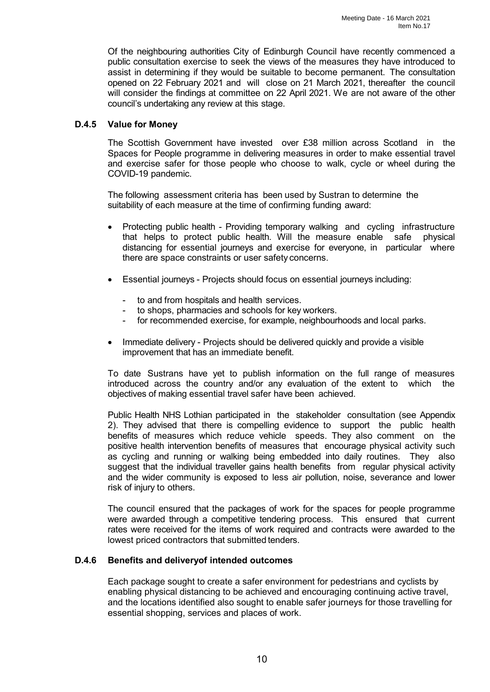Of the neighbouring authorities City of Edinburgh Council have recently commenced a public consultation exercise to seek the views of the measures they have introduced to assist in determining if they would be suitable to become permanent. The consultation opened on 22 February 2021 and will close on 21 March 2021, thereafter the council will consider the findings at committee on 22 April 2021. We are not aware of the other council's undertaking any review at this stage.

#### **D.4.5 Value for Money**

The Scottish Government have invested over £38 million across Scotland in the Spaces for People programme in delivering measures in order to make essential travel and exercise safer for those people who choose to walk, cycle or wheel during the COVID-19 pandemic.

The following assessment criteria has been used by Sustran to determine the suitability of each measure at the time of confirming funding award:

- Protecting public health Providing temporary walking and cycling infrastructure that helps to protect public health. Will the measure enable safe physical distancing for essential journeys and exercise for everyone, in particular where there are space constraints or user safety concerns.
- Essential journeys Projects should focus on essential journeys including:
	- to and from hospitals and health services.
	- to shops, pharmacies and schools for key workers.
	- for recommended exercise, for example, neighbourhoods and local parks.
- Immediate delivery Projects should be delivered quickly and provide a visible improvement that has an immediate benefit.

To date Sustrans have yet to publish information on the full range of measures introduced across the country and/or any evaluation of the extent to which the objectives of making essential travel safer have been achieved.

Public Health NHS Lothian participated in the stakeholder consultation (see Appendix 2). They advised that there is compelling evidence to support the public health benefits of measures which reduce vehicle speeds. They also comment on the positive health intervention benefits of measures that encourage physical activity such as cycling and running or walking being embedded into daily routines. They also suggest that the individual traveller gains health benefits from regular physical activity and the wider community is exposed to less air pollution, noise, severance and lower risk of injury to others.

The council ensured that the packages of work for the spaces for people programme were awarded through a competitive tendering process. This ensured that current rates were received for the items of work required and contracts were awarded to the lowest priced contractors that submitted tenders.

#### **D.4.6 Benefits and deliveryof intended outcomes**

Each package sought to create a safer environment for pedestrians and cyclists by enabling physical distancing to be achieved and encouraging continuing active travel, and the locations identified also sought to enable safer journeys for those travelling for essential shopping, services and places of work.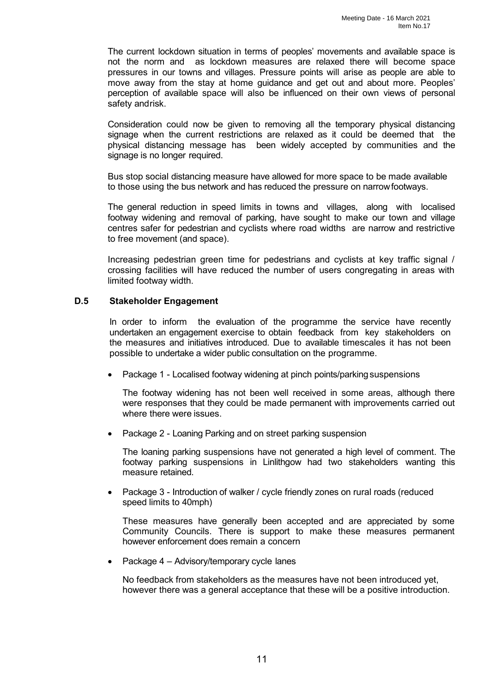The current lockdown situation in terms of peoples' movements and available space is not the norm and as lockdown measures are relaxed there will become space pressures in our towns and villages. Pressure points will arise as people are able to move away from the stay at home guidance and get out and about more. Peoples' perception of available space will also be influenced on their own views of personal safety andrisk.

Consideration could now be given to removing all the temporary physical distancing signage when the current restrictions are relaxed as it could be deemed that the physical distancing message has been widely accepted by communities and the signage is no longer required.

Bus stop social distancing measure have allowed for more space to be made available to those using the bus network and has reduced the pressure on narrowfootways.

The general reduction in speed limits in towns and villages, along with localised footway widening and removal of parking, have sought to make our town and village centres safer for pedestrian and cyclists where road widths are narrow and restrictive to free movement (and space).

Increasing pedestrian green time for pedestrians and cyclists at key traffic signal / crossing facilities will have reduced the number of users congregating in areas with limited footway width.

#### **D.5 Stakeholder Engagement**

In order to inform the evaluation of the programme the service have recently undertaken an engagement exercise to obtain feedback from key stakeholders on the measures and initiatives introduced. Due to available timescales it has not been possible to undertake a wider public consultation on the programme.

• Package 1 - Localised footway widening at pinch points/parking suspensions

The footway widening has not been well received in some areas, although there were responses that they could be made permanent with improvements carried out where there were issues.

• Package 2 - Loaning Parking and on street parking suspension

The loaning parking suspensions have not generated a high level of comment. The footway parking suspensions in Linlithgow had two stakeholders wanting this measure retained.

• Package 3 - Introduction of walker / cycle friendly zones on rural roads (reduced speed limits to 40mph)

These measures have generally been accepted and are appreciated by some Community Councils. There is support to make these measures permanent however enforcement does remain a concern

• Package 4 – Advisory/temporary cycle lanes

No feedback from stakeholders as the measures have not been introduced yet, however there was a general acceptance that these will be a positive introduction.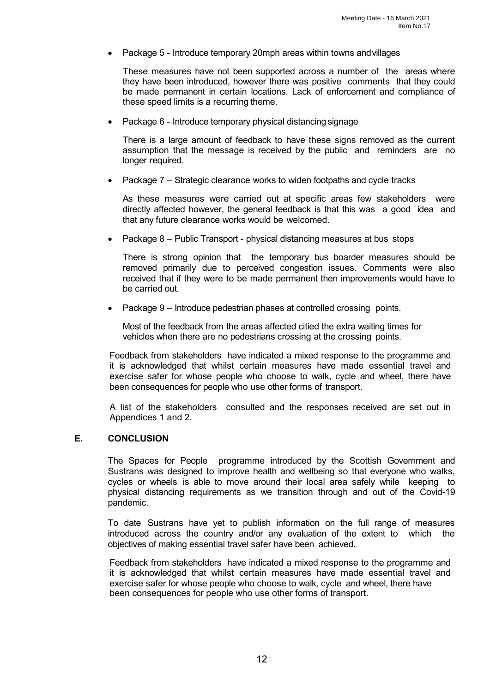• Package 5 - Introduce temporary 20mph areas within towns andvillages

These measures have not been supported across a number of the areas where they have been introduced, however there was positive comments that they could be made permanent in certain locations. Lack of enforcement and compliance of these speed limits is a recurring theme.

• Package 6 - Introduce temporary physical distancing signage

There is a large amount of feedback to have these signs removed as the current assumption that the message is received by the public and reminders are no longer required.

• Package 7 – Strategic clearance works to widen footpaths and cycle tracks

As these measures were carried out at specific areas few stakeholders were directly affected however, the general feedback is that this was a good idea and that any future clearance works would be welcomed.

• Package 8 – Public Transport - physical distancing measures at bus stops

There is strong opinion that the temporary bus boarder measures should be removed primarily due to perceived congestion issues. Comments were also received that if they were to be made permanent then improvements would have to be carried out.

• Package 9 – Introduce pedestrian phases at controlled crossing points.

Most of the feedback from the areas affected citied the extra waiting times for vehicles when there are no pedestrians crossing at the crossing points.

Feedback from stakeholders have indicated a mixed response to the programme and it is acknowledged that whilst certain measures have made essential travel and exercise safer for whose people who choose to walk, cycle and wheel, there have been consequences for people who use other forms of transport.

A list of the stakeholders consulted and the responses received are set out in Appendices 1 and 2.

#### **E. CONCLUSION**

The Spaces for People programme introduced by the Scottish Government and Sustrans was designed to improve health and wellbeing so that everyone who walks, cycles or wheels is able to move around their local area safely while keeping to physical distancing requirements as we transition through and out of the Covid-19 pandemic.

To date Sustrans have yet to publish information on the full range of measures introduced across the country and/or any evaluation of the extent to which the objectives of making essential travel safer have been achieved.

Feedback from stakeholders have indicated a mixed response to the programme and it is acknowledged that whilst certain measures have made essential travel and exercise safer for whose people who choose to walk, cycle and wheel, there have been consequences for people who use other forms of transport.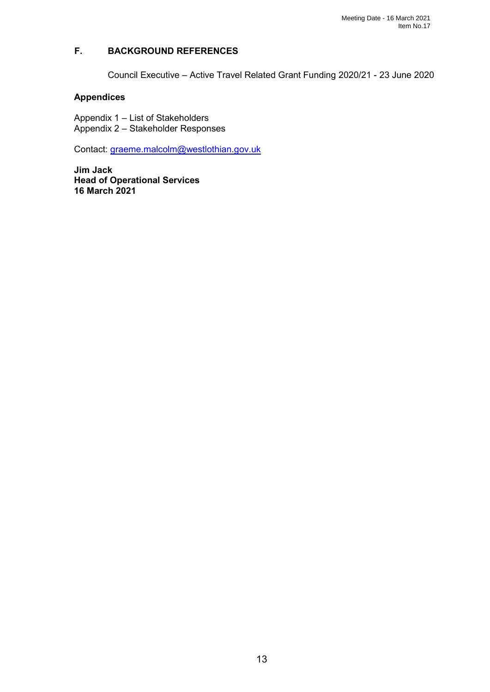# **F. BACKGROUND REFERENCES**

Council Executive – Active Travel Related Grant Funding 2020/21 - 23 June 2020

# **Appendices**

Appendix 1 – List of Stakeholders Appendix 2 – Stakeholder Responses

Contact: [graeme.malcolm@westlothian.gov.uk](mailto:graeme.malcolm@westlothian.gov.uk)

**Jim Jack Head of Operational Services 16 March 2021**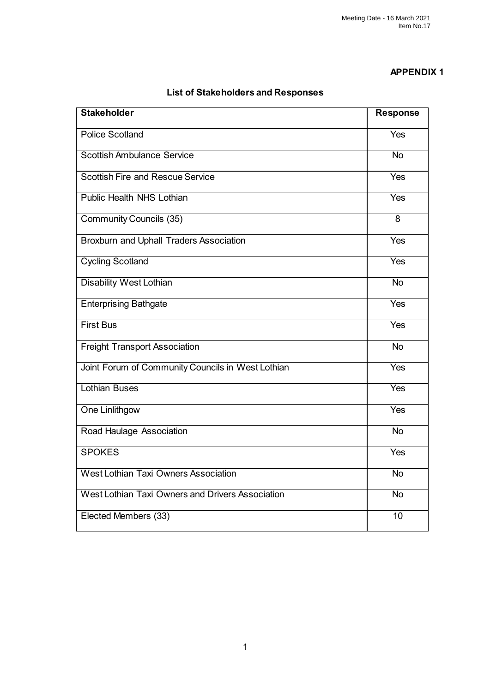# **APPENDIX 1**

# **List of Stakeholders and Responses**

| <b>Stakeholder</b>                                | <b>Response</b> |
|---------------------------------------------------|-----------------|
| <b>Police Scotland</b>                            | Yes             |
| <b>Scottish Ambulance Service</b>                 | <b>No</b>       |
| <b>Scottish Fire and Rescue Service</b>           | Yes             |
| <b>Public Health NHS Lothian</b>                  | Yes             |
| <b>Community Councils (35)</b>                    | 8               |
| <b>Broxburn and Uphall Traders Association</b>    | Yes             |
| <b>Cycling Scotland</b>                           | <b>Yes</b>      |
| <b>Disability West Lothian</b>                    | $\overline{N}$  |
| <b>Enterprising Bathgate</b>                      | Yes             |
| <b>First Bus</b>                                  | Yes             |
| <b>Freight Transport Association</b>              | <b>No</b>       |
| Joint Forum of Community Councils in West Lothian | <b>Yes</b>      |
| <b>Lothian Buses</b>                              | Yes             |
| One Linlithgow                                    | Yes             |
| Road Haulage Association                          | $\overline{N}$  |
| <b>SPOKES</b>                                     | Yes             |
| <b>West Lothian Taxi Owners Association</b>       | <b>No</b>       |
| West Lothian Taxi Owners and Drivers Association  | <b>No</b>       |
| Elected Members (33)                              | 10              |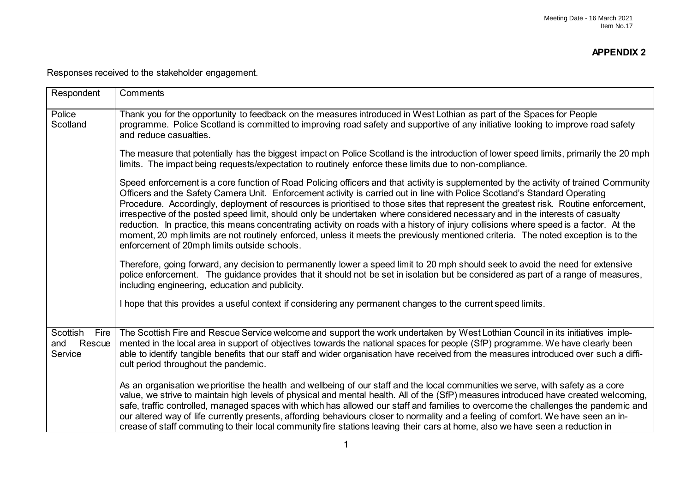Responses received to the stakeholder engagement.

| Respondent                                | Comments                                                                                                                                                                                                                                                                                                                                                                                                                                                                                                                                                                                                                                                                                                                                                                                                                                                                     |
|-------------------------------------------|------------------------------------------------------------------------------------------------------------------------------------------------------------------------------------------------------------------------------------------------------------------------------------------------------------------------------------------------------------------------------------------------------------------------------------------------------------------------------------------------------------------------------------------------------------------------------------------------------------------------------------------------------------------------------------------------------------------------------------------------------------------------------------------------------------------------------------------------------------------------------|
| Police<br>Scotland                        | Thank you for the opportunity to feedback on the measures introduced in West Lothian as part of the Spaces for People<br>programme. Police Scotland is committed to improving road safety and supportive of any initiative looking to improve road safety<br>and reduce casualties.                                                                                                                                                                                                                                                                                                                                                                                                                                                                                                                                                                                          |
|                                           | The measure that potentially has the biggest impact on Police Scotland is the introduction of lower speed limits, primarily the 20 mph<br>limits. The impact being requests/expectation to routinely enforce these limits due to non-compliance.                                                                                                                                                                                                                                                                                                                                                                                                                                                                                                                                                                                                                             |
|                                           | Speed enforcement is a core function of Road Policing officers and that activity is supplemented by the activity of trained Community<br>Officers and the Safety Camera Unit. Enforcement activity is carried out in line with Police Scotland's Standard Operating<br>Procedure. Accordingly, deployment of resources is prioritised to those sites that represent the greatest risk. Routine enforcement,<br>irrespective of the posted speed limit, should only be undertaken where considered necessary and in the interests of casualty<br>reduction. In practice, this means concentrating activity on roads with a history of injury collisions where speed is a factor. At the<br>moment, 20 mph limits are not routinely enforced, unless it meets the previously mentioned criteria. The noted exception is to the<br>enforcement of 20mph limits outside schools. |
|                                           | Therefore, going forward, any decision to permanently lower a speed limit to 20 mph should seek to avoid the need for extensive<br>police enforcement. The guidance provides that it should not be set in isolation but be considered as part of a range of measures,<br>including engineering, education and publicity.                                                                                                                                                                                                                                                                                                                                                                                                                                                                                                                                                     |
|                                           | I hope that this provides a useful context if considering any permanent changes to the current speed limits.                                                                                                                                                                                                                                                                                                                                                                                                                                                                                                                                                                                                                                                                                                                                                                 |
| Scottish Fire<br>Rescue<br>and<br>Service | The Scottish Fire and Rescue Service welcome and support the work undertaken by West Lothian Council in its initiatives imple-<br>mented in the local area in support of objectives towards the national spaces for people (SfP) programme. We have clearly been<br>able to identify tangible benefits that our staff and wider organisation have received from the measures introduced over such a diffi-<br>cult period throughout the pandemic.                                                                                                                                                                                                                                                                                                                                                                                                                           |
|                                           | As an organisation we prioritise the health and wellbeing of our staff and the local communities we serve, with safety as a core<br>value, we strive to maintain high levels of physical and mental health. All of the (SfP) measures introduced have created welcoming,<br>safe, traffic controlled, managed spaces with which has allowed our staff and families to overcome the challenges the pandemic and<br>our altered way of life currently presents, affording behaviours closer to normality and a feeling of comfort. We have seen an in-<br>crease of staff commuting to their local community fire stations leaving their cars at home, also we have seen a reduction in                                                                                                                                                                                        |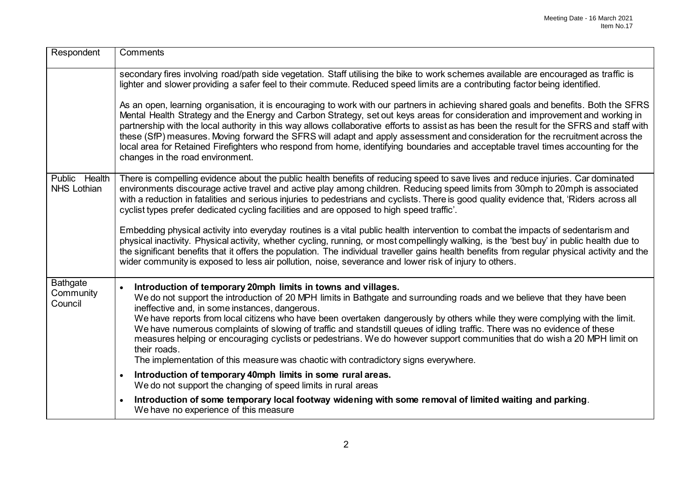| Respondent                              | Comments                                                                                                                                                                                                                                                                                                                                                                                                                                                                                                                                                                                                                                                                                                                                                 |
|-----------------------------------------|----------------------------------------------------------------------------------------------------------------------------------------------------------------------------------------------------------------------------------------------------------------------------------------------------------------------------------------------------------------------------------------------------------------------------------------------------------------------------------------------------------------------------------------------------------------------------------------------------------------------------------------------------------------------------------------------------------------------------------------------------------|
|                                         | secondary fires involving road/path side vegetation. Staff utilising the bike to work schemes available are encouraged as traffic is<br>lighter and slower providing a safer feel to their commute. Reduced speed limits are a contributing factor being identified.                                                                                                                                                                                                                                                                                                                                                                                                                                                                                     |
|                                         | As an open, learning organisation, it is encouraging to work with our partners in achieving shared goals and benefits. Both the SFRS<br>Mental Health Strategy and the Energy and Carbon Strategy, set out keys areas for consideration and improvement and working in<br>partnership with the local authority in this way allows collaborative efforts to assist as has been the result for the SFRS and staff with<br>these (SfP) measures. Moving forward the SFRS will adapt and apply assessment and consideration for the recruitment across the<br>local area for Retained Firefighters who respond from home, identifying boundaries and acceptable travel times accounting for the<br>changes in the road environment.                          |
| Public Health<br><b>NHS Lothian</b>     | There is compelling evidence about the public health benefits of reducing speed to save lives and reduce injuries. Car dominated<br>environments discourage active travel and active play among children. Reducing speed limits from 30mph to 20mph is associated<br>with a reduction in fatalities and serious injuries to pedestrians and cyclists. There is good quality evidence that, 'Riders across all<br>cyclist types prefer dedicated cycling facilities and are opposed to high speed traffic'.                                                                                                                                                                                                                                               |
|                                         | Embedding physical activity into everyday routines is a vital public health intervention to combat the impacts of sedentarism and<br>physical inactivity. Physical activity, whether cycling, running, or most compellingly walking, is the 'best buy' in public health due to<br>the significant benefits that it offers the population. The individual traveller gains health benefits from regular physical activity and the<br>wider community is exposed to less air pollution, noise, severance and lower risk of injury to others.                                                                                                                                                                                                                |
| <b>Bathgate</b><br>Community<br>Council | Introduction of temporary 20mph limits in towns and villages.<br>$\bullet$<br>We do not support the introduction of 20 MPH limits in Bathgate and surrounding roads and we believe that they have been<br>ineffective and, in some instances, dangerous.<br>We have reports from local citizens who have been overtaken dangerously by others while they were complying with the limit.<br>We have numerous complaints of slowing of traffic and standstill queues of idling traffic. There was no evidence of these<br>measures helping or encouraging cyclists or pedestrians. We do however support communities that do wish a 20 MPH limit on<br>their roads.<br>The implementation of this measure was chaotic with contradictory signs everywhere. |
|                                         | Introduction of temporary 40mph limits in some rural areas.<br>$\bullet$<br>We do not support the changing of speed limits in rural areas                                                                                                                                                                                                                                                                                                                                                                                                                                                                                                                                                                                                                |
|                                         | Introduction of some temporary local footway widening with some removal of limited waiting and parking.<br>We have no experience of this measure                                                                                                                                                                                                                                                                                                                                                                                                                                                                                                                                                                                                         |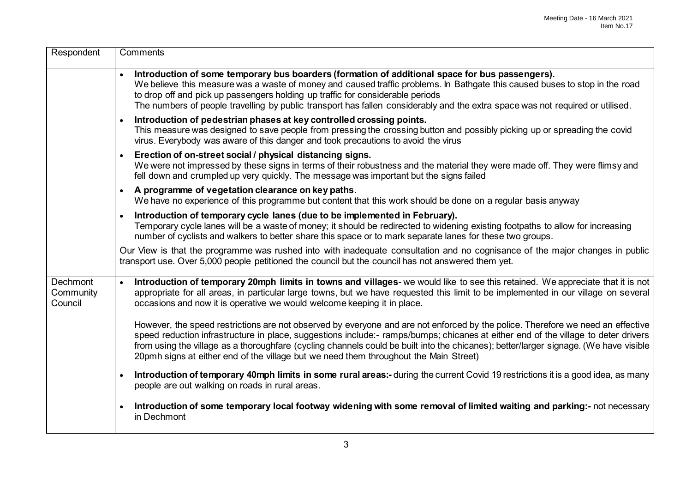| Respondent                              | Comments                                                                                                                                                                                                                                                                                                                                                                                                                                                                                                |
|-----------------------------------------|---------------------------------------------------------------------------------------------------------------------------------------------------------------------------------------------------------------------------------------------------------------------------------------------------------------------------------------------------------------------------------------------------------------------------------------------------------------------------------------------------------|
|                                         | Introduction of some temporary bus boarders (formation of additional space for bus passengers).<br>We believe this measure was a waste of money and caused traffic problems. In Bathgate this caused buses to stop in the road<br>to drop off and pick up passengers holding up traffic for considerable periods<br>The numbers of people travelling by public transport has fallen considerably and the extra space was not required or utilised.                                                      |
|                                         | Introduction of pedestrian phases at key controlled crossing points.<br>$\bullet$<br>This measure was designed to save people from pressing the crossing button and possibly picking up or spreading the covid<br>virus. Everybody was aware of this danger and took precautions to avoid the virus                                                                                                                                                                                                     |
|                                         | Erection of on-street social / physical distancing signs.<br>$\bullet$<br>We were not impressed by these signs in terms of their robustness and the material they were made off. They were flimsy and<br>fell down and crumpled up very quickly. The message was important but the signs failed                                                                                                                                                                                                         |
|                                         | A programme of vegetation clearance on key paths.<br>$\bullet$<br>We have no experience of this programme but content that this work should be done on a regular basis anyway                                                                                                                                                                                                                                                                                                                           |
|                                         | Introduction of temporary cycle lanes (due to be implemented in February).<br>$\bullet$<br>Temporary cycle lanes will be a waste of money; it should be redirected to widening existing footpaths to allow for increasing<br>number of cyclists and walkers to better share this space or to mark separate lanes for these two groups.                                                                                                                                                                  |
|                                         | Our View is that the programme was rushed into with inadequate consultation and no cognisance of the major changes in public<br>transport use. Over 5,000 people petitioned the council but the council has not answered them yet.                                                                                                                                                                                                                                                                      |
| <b>Dechmont</b><br>Community<br>Council | Introduction of temporary 20mph limits in towns and villages-we would like to see this retained. We appreciate that it is not<br>$\bullet$<br>appropriate for all areas, in particular large towns, but we have requested this limit to be implemented in our village on several<br>occasions and now it is operative we would welcome keeping it in place.                                                                                                                                             |
|                                         | However, the speed restrictions are not observed by everyone and are not enforced by the police. Therefore we need an effective<br>speed reduction infrastructure in place, suggestions include:- ramps/bumps; chicanes at either end of the village to deter drivers<br>from using the village as a thoroughfare (cycling channels could be built into the chicanes); better/larger signage. (We have visible<br>20pmh signs at either end of the village but we need them throughout the Main Street) |
|                                         | Introduction of temporary 40mph limits in some rural areas:- during the current Covid 19 restrictions it is a good idea, as many<br>$\bullet$<br>people are out walking on roads in rural areas.                                                                                                                                                                                                                                                                                                        |
|                                         | Introduction of some temporary local footway widening with some removal of limited waiting and parking:- not necessary<br>$\bullet$<br>in Dechmont                                                                                                                                                                                                                                                                                                                                                      |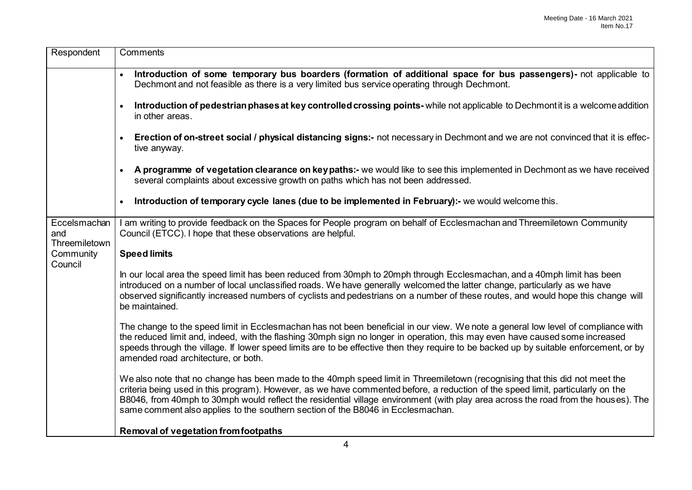| Respondent                           | Comments                                                                                                                                                                                                                                                                                                                                                                                                                                                                                |
|--------------------------------------|-----------------------------------------------------------------------------------------------------------------------------------------------------------------------------------------------------------------------------------------------------------------------------------------------------------------------------------------------------------------------------------------------------------------------------------------------------------------------------------------|
|                                      | Introduction of some temporary bus boarders (formation of additional space for bus passengers)- not applicable to<br>Dechmont and not feasible as there is a very limited bus service operating through Dechmont.                                                                                                                                                                                                                                                                       |
|                                      | Introduction of pedestrian phases at key controlled crossing points-while not applicable to Dechmont it is a welcome addition<br>in other areas.                                                                                                                                                                                                                                                                                                                                        |
|                                      | Erection of on-street social / physical distancing signs:- not necessary in Dechmont and we are not convinced that it is effec-<br>$\bullet$<br>tive anyway.                                                                                                                                                                                                                                                                                                                            |
|                                      | A programme of vegetation clearance on key paths:- we would like to see this implemented in Dechmont as we have received<br>$\bullet$<br>several complaints about excessive growth on paths which has not been addressed.                                                                                                                                                                                                                                                               |
|                                      | Introduction of temporary cycle lanes (due to be implemented in February):- we would welcome this.<br>$\bullet$                                                                                                                                                                                                                                                                                                                                                                         |
| Eccelsmachan<br>and<br>Threemiletown | I am writing to provide feedback on the Spaces for People program on behalf of Ecclesmachan and Threemiletown Community<br>Council (ETCC). I hope that these observations are helpful.                                                                                                                                                                                                                                                                                                  |
| Community                            | <b>Speed limits</b>                                                                                                                                                                                                                                                                                                                                                                                                                                                                     |
| Council                              | In our local area the speed limit has been reduced from 30mph to 20mph through Ecclesmachan, and a 40mph limit has been<br>introduced on a number of local unclassified roads. We have generally welcomed the latter change, particularly as we have<br>observed significantly increased numbers of cyclists and pedestrians on a number of these routes, and would hope this change will<br>be maintained.                                                                             |
|                                      | The change to the speed limit in Ecclesmachan has not been beneficial in our view. We note a general low level of compliance with<br>the reduced limit and, indeed, with the flashing 30mph sign no longer in operation, this may even have caused some increased<br>speeds through the village. If lower speed limits are to be effective then they require to be backed up by suitable enforcement, or by<br>amended road architecture, or both.                                      |
|                                      | We also note that no change has been made to the 40mph speed limit in Threemiletown (recognising that this did not meet the<br>criteria being used in this program). However, as we have commented before, a reduction of the speed limit, particularly on the<br>B8046, from 40mph to 30mph would reflect the residential village environment (with play area across the road from the houses). The<br>same comment also applies to the southern section of the B8046 in Ecclesmachan. |
|                                      | <b>Removal of vegetation from footpaths</b>                                                                                                                                                                                                                                                                                                                                                                                                                                             |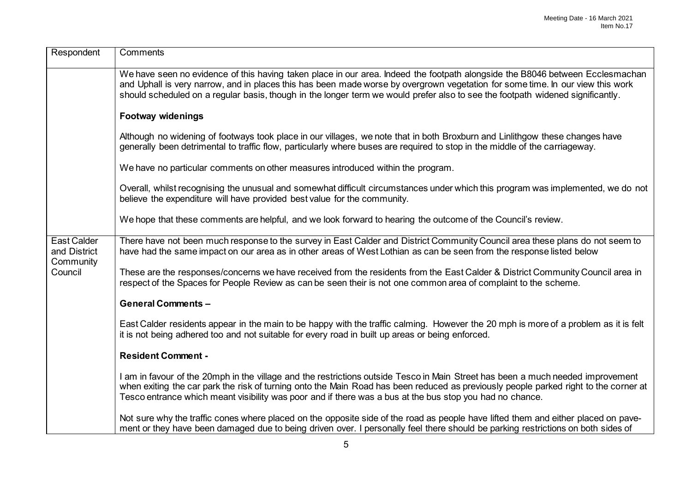| Respondent                                                 | Comments                                                                                                                                                                                                                                                                                                                                                                                          |
|------------------------------------------------------------|---------------------------------------------------------------------------------------------------------------------------------------------------------------------------------------------------------------------------------------------------------------------------------------------------------------------------------------------------------------------------------------------------|
|                                                            | We have seen no evidence of this having taken place in our area. Indeed the footpath alongside the B8046 between Ecclesmachan<br>and Uphall is very narrow, and in places this has been made worse by overgrown vegetation for some time. In our view this work<br>should scheduled on a regular basis, though in the longer term we would prefer also to see the footpath widened significantly. |
|                                                            | <b>Footway widenings</b>                                                                                                                                                                                                                                                                                                                                                                          |
|                                                            | Although no widening of footways took place in our villages, we note that in both Broxburn and Linlithgow these changes have<br>generally been detrimental to traffic flow, particularly where buses are required to stop in the middle of the carriageway.                                                                                                                                       |
|                                                            | We have no particular comments on other measures introduced within the program.                                                                                                                                                                                                                                                                                                                   |
|                                                            | Overall, whilst recognising the unusual and somewhat difficult circumstances under which this program was implemented, we do not<br>believe the expenditure will have provided best value for the community.                                                                                                                                                                                      |
|                                                            | We hope that these comments are helpful, and we look forward to hearing the outcome of the Council's review.                                                                                                                                                                                                                                                                                      |
| <b>East Calder</b><br>and District<br>Community<br>Council | There have not been much response to the survey in East Calder and District Community Council area these plans do not seem to<br>have had the same impact on our area as in other areas of West Lothian as can be seen from the response listed below                                                                                                                                             |
|                                                            | These are the responses/concerns we have received from the residents from the East Calder & District Community Council area in<br>respect of the Spaces for People Review as can be seen their is not one common area of complaint to the scheme.                                                                                                                                                 |
|                                                            | <b>General Comments -</b>                                                                                                                                                                                                                                                                                                                                                                         |
|                                                            | East Calder residents appear in the main to be happy with the traffic calming. However the 20 mph is more of a problem as it is felt<br>it is not being adhered too and not suitable for every road in built up areas or being enforced.                                                                                                                                                          |
|                                                            | <b>Resident Comment -</b>                                                                                                                                                                                                                                                                                                                                                                         |
|                                                            | I am in favour of the 20mph in the village and the restrictions outside Tesco in Main Street has been a much needed improvement<br>when exiting the car park the risk of turning onto the Main Road has been reduced as previously people parked right to the corner at<br>Tesco entrance which meant visibility was poor and if there was a bus at the bus stop you had no chance.               |
|                                                            | Not sure why the traffic cones where placed on the opposite side of the road as people have lifted them and either placed on pave-<br>ment or they have been damaged due to being driven over. I personally feel there should be parking restrictions on both sides of                                                                                                                            |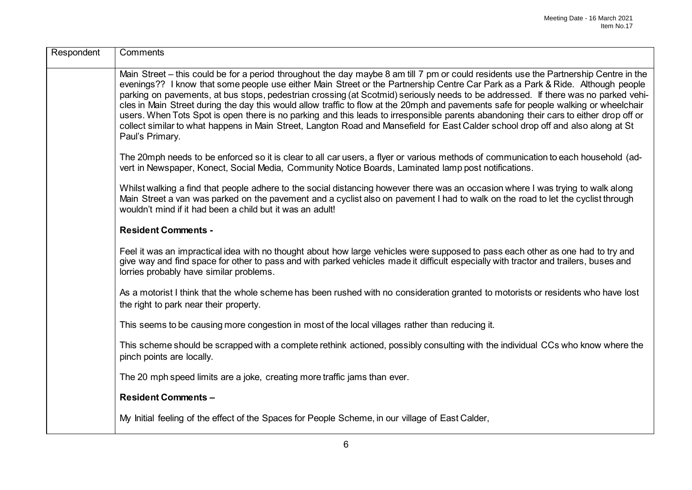| Respondent | Comments                                                                                                                                                                                                                                                                                                                                                                                                                                                                                                                                                                                                                                                                                                                                                                                                                                              |
|------------|-------------------------------------------------------------------------------------------------------------------------------------------------------------------------------------------------------------------------------------------------------------------------------------------------------------------------------------------------------------------------------------------------------------------------------------------------------------------------------------------------------------------------------------------------------------------------------------------------------------------------------------------------------------------------------------------------------------------------------------------------------------------------------------------------------------------------------------------------------|
|            | Main Street – this could be for a period throughout the day maybe 8 am till 7 pm or could residents use the Partnership Centre in the<br>evenings?? I know that some people use either Main Street or the Partnership Centre Car Park as a Park & Ride. Although people<br>parking on pavements, at bus stops, pedestrian crossing (at Scotmid) seriously needs to be addressed. If there was no parked vehi-<br>cles in Main Street during the day this would allow traffic to flow at the 20mph and pavements safe for people walking or wheelchair<br>users. When Tots Spot is open there is no parking and this leads to irresponsible parents abandoning their cars to either drop off or<br>collect similar to what happens in Main Street, Langton Road and Mansefield for East Calder school drop off and also along at St<br>Paul's Primary. |
|            | The 20mph needs to be enforced so it is clear to all car users, a flyer or various methods of communication to each household (ad-<br>vert in Newspaper, Konect, Social Media, Community Notice Boards, Laminated lamp post notifications.                                                                                                                                                                                                                                                                                                                                                                                                                                                                                                                                                                                                            |
|            | Whilst walking a find that people adhere to the social distancing however there was an occasion where I was trying to walk along<br>Main Street a van was parked on the pavement and a cyclist also on pavement I had to walk on the road to let the cyclist through<br>wouldn't mind if it had been a child but it was an adult!                                                                                                                                                                                                                                                                                                                                                                                                                                                                                                                     |
|            | <b>Resident Comments -</b>                                                                                                                                                                                                                                                                                                                                                                                                                                                                                                                                                                                                                                                                                                                                                                                                                            |
|            | Feel it was an impractical idea with no thought about how large vehicles were supposed to pass each other as one had to try and<br>give way and find space for other to pass and with parked vehicles made it difficult especially with tractor and trailers, buses and<br>lorries probably have similar problems.                                                                                                                                                                                                                                                                                                                                                                                                                                                                                                                                    |
|            | As a motorist I think that the whole scheme has been rushed with no consideration granted to motorists or residents who have lost<br>the right to park near their property.                                                                                                                                                                                                                                                                                                                                                                                                                                                                                                                                                                                                                                                                           |
|            | This seems to be causing more congestion in most of the local villages rather than reducing it.                                                                                                                                                                                                                                                                                                                                                                                                                                                                                                                                                                                                                                                                                                                                                       |
|            | This scheme should be scrapped with a complete rethink actioned, possibly consulting with the individual CCs who know where the<br>pinch points are locally.                                                                                                                                                                                                                                                                                                                                                                                                                                                                                                                                                                                                                                                                                          |
|            | The 20 mph speed limits are a joke, creating more traffic jams than ever.                                                                                                                                                                                                                                                                                                                                                                                                                                                                                                                                                                                                                                                                                                                                                                             |
|            | <b>Resident Comments -</b>                                                                                                                                                                                                                                                                                                                                                                                                                                                                                                                                                                                                                                                                                                                                                                                                                            |
|            | My Initial feeling of the effect of the Spaces for People Scheme, in our village of East Calder,                                                                                                                                                                                                                                                                                                                                                                                                                                                                                                                                                                                                                                                                                                                                                      |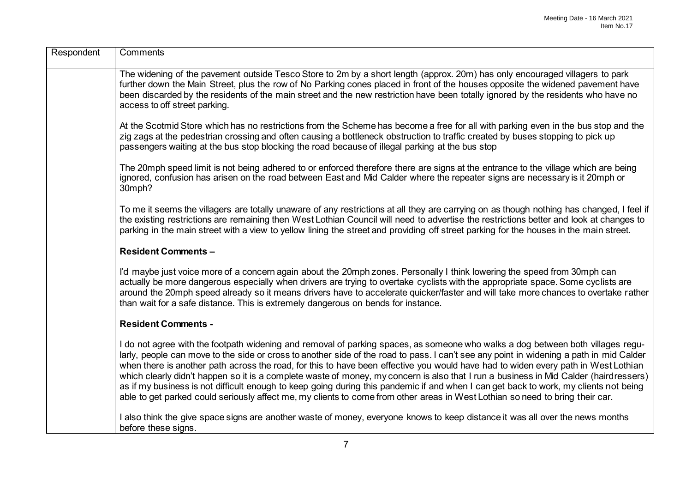| Respondent | Comments                                                                                                                                                                                                                                                                                                                                                                                                                                                                                                                                                                                                                                                                                                                                                                                                                            |
|------------|-------------------------------------------------------------------------------------------------------------------------------------------------------------------------------------------------------------------------------------------------------------------------------------------------------------------------------------------------------------------------------------------------------------------------------------------------------------------------------------------------------------------------------------------------------------------------------------------------------------------------------------------------------------------------------------------------------------------------------------------------------------------------------------------------------------------------------------|
|            | The widening of the pavement outside Tesco Store to 2m by a short length (approx. 20m) has only encouraged villagers to park<br>further down the Main Street, plus the row of No Parking cones placed in front of the houses opposite the widened pavement have<br>been discarded by the residents of the main street and the new restriction have been totally ignored by the residents who have no<br>access to off street parking.                                                                                                                                                                                                                                                                                                                                                                                               |
|            | At the Scotmid Store which has no restrictions from the Scheme has become a free for all with parking even in the bus stop and the<br>zig zags at the pedestrian crossing and often causing a bottleneck obstruction to traffic created by buses stopping to pick up<br>passengers waiting at the bus stop blocking the road because of illegal parking at the bus stop                                                                                                                                                                                                                                                                                                                                                                                                                                                             |
|            | The 20mph speed limit is not being adhered to or enforced therefore there are signs at the entrance to the village which are being<br>ignored, confusion has arisen on the road between East and Mid Calder where the repeater signs are necessary is it 20mph or<br>30mph?                                                                                                                                                                                                                                                                                                                                                                                                                                                                                                                                                         |
|            | To me it seems the villagers are totally unaware of any restrictions at all they are carrying on as though nothing has changed, I feel if<br>the existing restrictions are remaining then West Lothian Council will need to advertise the restrictions better and look at changes to<br>parking in the main street with a view to yellow lining the street and providing off street parking for the houses in the main street.                                                                                                                                                                                                                                                                                                                                                                                                      |
|            | <b>Resident Comments -</b>                                                                                                                                                                                                                                                                                                                                                                                                                                                                                                                                                                                                                                                                                                                                                                                                          |
|            | I'd maybe just voice more of a concern again about the 20mph zones. Personally I think lowering the speed from 30mph can<br>actually be more dangerous especially when drivers are trying to overtake cyclists with the appropriate space. Some cyclists are<br>around the 20mph speed already so it means drivers have to accelerate quicker/faster and will take more chances to overtake rather<br>than wait for a safe distance. This is extremely dangerous on bends for instance.                                                                                                                                                                                                                                                                                                                                             |
|            | <b>Resident Comments -</b>                                                                                                                                                                                                                                                                                                                                                                                                                                                                                                                                                                                                                                                                                                                                                                                                          |
|            | I do not agree with the footpath widening and removal of parking spaces, as someone who walks a dog between both villages regu-<br>larly, people can move to the side or cross to another side of the road to pass. I can't see any point in widening a path in mid Calder<br>when there is another path across the road, for this to have been effective you would have had to widen every path in West Lothian<br>which clearly didn't happen so it is a complete waste of money, my concern is also that I run a business in Mid Calder (hairdressers)<br>as if my business is not difficult enough to keep going during this pandemic if and when I can get back to work, my clients not being<br>able to get parked could seriously affect me, my clients to come from other areas in West Lothian so need to bring their car. |
|            | I also think the give space signs are another waste of money, everyone knows to keep distance it was all over the news months<br>before these signs.                                                                                                                                                                                                                                                                                                                                                                                                                                                                                                                                                                                                                                                                                |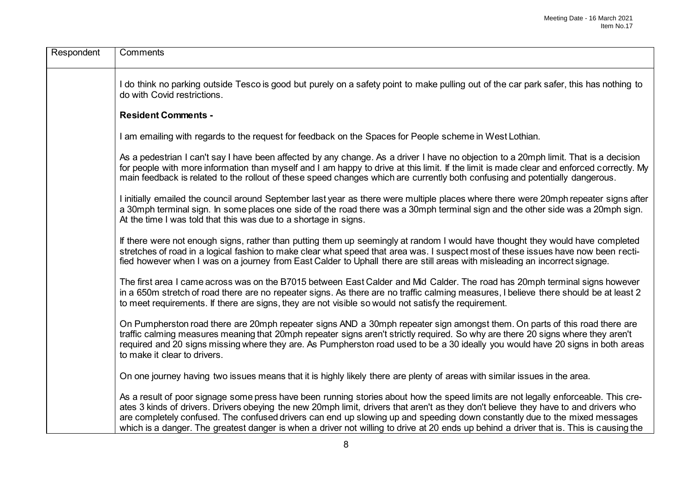| Respondent | Comments                                                                                                                                                                                                                                                                                                                                                                                                                                                                                                                                            |
|------------|-----------------------------------------------------------------------------------------------------------------------------------------------------------------------------------------------------------------------------------------------------------------------------------------------------------------------------------------------------------------------------------------------------------------------------------------------------------------------------------------------------------------------------------------------------|
|            | I do think no parking outside Tesco is good but purely on a safety point to make pulling out of the car park safer, this has nothing to<br>do with Covid restrictions.                                                                                                                                                                                                                                                                                                                                                                              |
|            | <b>Resident Comments -</b>                                                                                                                                                                                                                                                                                                                                                                                                                                                                                                                          |
|            | I am emailing with regards to the request for feedback on the Spaces for People scheme in West Lothian.                                                                                                                                                                                                                                                                                                                                                                                                                                             |
|            | As a pedestrian I can't say I have been affected by any change. As a driver I have no objection to a 20mph limit. That is a decision<br>for people with more information than myself and I am happy to drive at this limit. If the limit is made clear and enforced correctly. My<br>main feedback is related to the rollout of these speed changes which are currently both confusing and potentially dangerous.                                                                                                                                   |
|            | I initially emailed the council around September last year as there were multiple places where there were 20mph repeater signs after<br>a 30mph terminal sign. In some places one side of the road there was a 30mph terminal sign and the other side was a 20mph sign.<br>At the time I was told that this was due to a shortage in signs.                                                                                                                                                                                                         |
|            | If there were not enough signs, rather than putting them up seemingly at random I would have thought they would have completed<br>stretches of road in a logical fashion to make clear what speed that area was. I suspect most of these issues have now been recti-<br>fied however when I was on a journey from East Calder to Uphall there are still areas with misleading an incorrect signage.                                                                                                                                                 |
|            | The first area I came across was on the B7015 between East Calder and Mid Calder. The road has 20mph terminal signs however<br>in a 650m stretch of road there are no repeater signs. As there are no traffic calming measures, I believe there should be at least 2<br>to meet requirements. If there are signs, they are not visible so would not satisfy the requirement.                                                                                                                                                                        |
|            | On Pumpherston road there are 20mph repeater signs AND a 30mph repeater sign amongst them. On parts of this road there are<br>traffic calming measures meaning that 20mph repeater signs aren't strictly required. So why are there 20 signs where they aren't<br>required and 20 signs missing where they are. As Pumpherston road used to be a 30 ideally you would have 20 signs in both areas<br>to make it clear to drivers.                                                                                                                   |
|            | On one journey having two issues means that it is highly likely there are plenty of areas with similar issues in the area.                                                                                                                                                                                                                                                                                                                                                                                                                          |
|            | As a result of poor signage some press have been running stories about how the speed limits are not legally enforceable. This cre-<br>ates 3 kinds of drivers. Drivers obeying the new 20mph limit, drivers that aren't as they don't believe they have to and drivers who<br>are completely confused. The confused drivers can end up slowing up and speeding down constantly due to the mixed messages<br>which is a danger. The greatest danger is when a driver not willing to drive at 20 ends up behind a driver that is. This is causing the |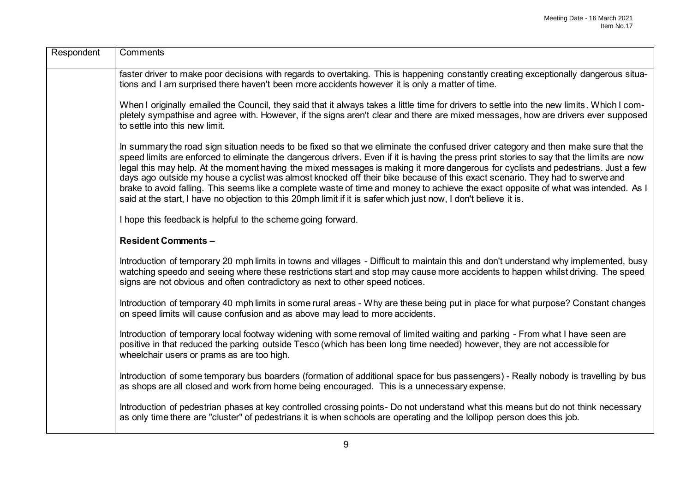| Respondent | Comments                                                                                                                                                                                                                                                                                                                                                                                                                                                                                                                                                                                                                                                                                                                                                                                                        |
|------------|-----------------------------------------------------------------------------------------------------------------------------------------------------------------------------------------------------------------------------------------------------------------------------------------------------------------------------------------------------------------------------------------------------------------------------------------------------------------------------------------------------------------------------------------------------------------------------------------------------------------------------------------------------------------------------------------------------------------------------------------------------------------------------------------------------------------|
|            | faster driver to make poor decisions with regards to overtaking. This is happening constantly creating exceptionally dangerous situa-<br>tions and I am surprised there haven't been more accidents however it is only a matter of time.                                                                                                                                                                                                                                                                                                                                                                                                                                                                                                                                                                        |
|            | When I originally emailed the Council, they said that it always takes a little time for drivers to settle into the new limits. Which I com-<br>pletely sympathise and agree with. However, if the signs aren't clear and there are mixed messages, how are drivers ever supposed<br>to settle into this new limit.                                                                                                                                                                                                                                                                                                                                                                                                                                                                                              |
|            | In summary the road sign situation needs to be fixed so that we eliminate the confused driver category and then make sure that the<br>speed limits are enforced to eliminate the dangerous drivers. Even if it is having the press print stories to say that the limits are now<br>legal this may help. At the moment having the mixed messages is making it more dangerous for cyclists and pedestrians. Just a few<br>days ago outside my house a cyclist was almost knocked off their bike because of this exact scenario. They had to swerve and<br>brake to avoid falling. This seems like a complete waste of time and money to achieve the exact opposite of what was intended. As I<br>said at the start, I have no objection to this 20mph limit if it is safer which just now, I don't believe it is. |
|            | I hope this feedback is helpful to the scheme going forward.                                                                                                                                                                                                                                                                                                                                                                                                                                                                                                                                                                                                                                                                                                                                                    |
|            | <b>Resident Comments -</b>                                                                                                                                                                                                                                                                                                                                                                                                                                                                                                                                                                                                                                                                                                                                                                                      |
|            | Introduction of temporary 20 mph limits in towns and villages - Difficult to maintain this and don't understand why implemented, busy<br>watching speedo and seeing where these restrictions start and stop may cause more accidents to happen whilst driving. The speed<br>signs are not obvious and often contradictory as next to other speed notices.                                                                                                                                                                                                                                                                                                                                                                                                                                                       |
|            | Introduction of temporary 40 mph limits in some rural areas - Why are these being put in place for what purpose? Constant changes<br>on speed limits will cause confusion and as above may lead to more accidents.                                                                                                                                                                                                                                                                                                                                                                                                                                                                                                                                                                                              |
|            | Introduction of temporary local footway widening with some removal of limited waiting and parking - From what I have seen are<br>positive in that reduced the parking outside Tesco (which has been long time needed) however, they are not accessible for<br>wheelchair users or prams as are too high.                                                                                                                                                                                                                                                                                                                                                                                                                                                                                                        |
|            | Introduction of some temporary bus boarders (formation of additional space for bus passengers) - Really nobody is travelling by bus<br>as shops are all closed and work from home being encouraged. This is a unnecessary expense.                                                                                                                                                                                                                                                                                                                                                                                                                                                                                                                                                                              |
|            | Introduction of pedestrian phases at key controlled crossing points- Do not understand what this means but do not think necessary<br>as only time there are "cluster" of pedestrians it is when schools are operating and the lollipop person does this job.                                                                                                                                                                                                                                                                                                                                                                                                                                                                                                                                                    |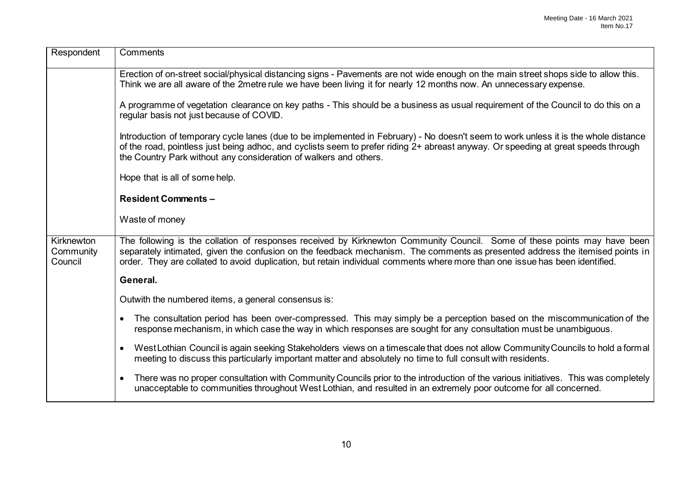| Respondent                         | Comments                                                                                                                                                                                                                                                                                                                                                                                  |
|------------------------------------|-------------------------------------------------------------------------------------------------------------------------------------------------------------------------------------------------------------------------------------------------------------------------------------------------------------------------------------------------------------------------------------------|
|                                    | Erection of on-street social/physical distancing signs - Pavements are not wide enough on the main street shops side to allow this.<br>Think we are all aware of the 2metre rule we have been living it for nearly 12 months now. An unnecessary expense.                                                                                                                                 |
|                                    | A programme of vegetation clearance on key paths - This should be a business as usual requirement of the Council to do this on a<br>regular basis not just because of COVID.                                                                                                                                                                                                              |
|                                    | Introduction of temporary cycle lanes (due to be implemented in February) - No doesn't seem to work unless it is the whole distance<br>of the road, pointless just being adhoc, and cyclists seem to prefer riding 2+ abreast anyway. Or speeding at great speeds through<br>the Country Park without any consideration of walkers and others.                                            |
|                                    | Hope that is all of some help.                                                                                                                                                                                                                                                                                                                                                            |
|                                    | <b>Resident Comments -</b>                                                                                                                                                                                                                                                                                                                                                                |
|                                    | Waste of money                                                                                                                                                                                                                                                                                                                                                                            |
| Kirknewton<br>Community<br>Council | The following is the collation of responses received by Kirknewton Community Council. Some of these points may have been<br>separately intimated, given the confusion on the feedback mechanism. The comments as presented address the itemised points in<br>order. They are collated to avoid duplication, but retain individual comments where more than one issue has been identified. |
|                                    | General.                                                                                                                                                                                                                                                                                                                                                                                  |
|                                    | Outwith the numbered items, a general consensus is:                                                                                                                                                                                                                                                                                                                                       |
|                                    | The consultation period has been over-compressed. This may simply be a perception based on the miscommunication of the<br>$\bullet$<br>response mechanism, in which case the way in which responses are sought for any consultation must be unambiguous.                                                                                                                                  |
|                                    | West Lothian Council is again seeking Stakeholders views on a timescale that does not allow Community Councils to hold a formal<br>$\bullet$<br>meeting to discuss this particularly important matter and absolutely no time to full consult with residents.                                                                                                                              |
|                                    | There was no proper consultation with Community Councils prior to the introduction of the various initiatives. This was completely<br>$\bullet$<br>unacceptable to communities throughout West Lothian, and resulted in an extremely poor outcome for all concerned.                                                                                                                      |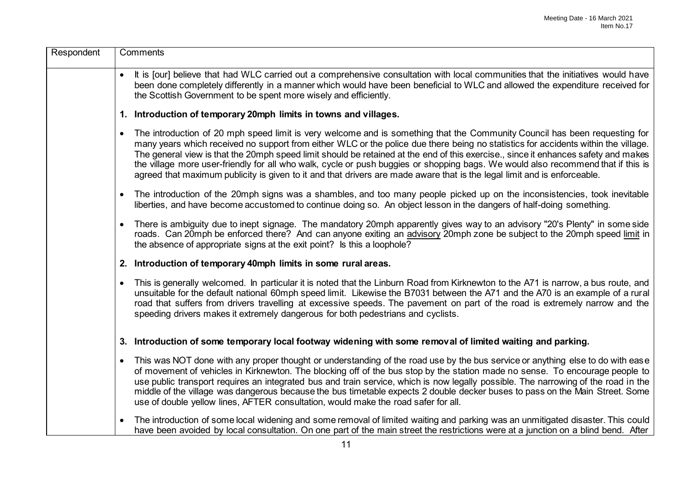| Respondent | Comments                                                                                                                                                                                                                                                                                                                                                                                                                                                                                                                                                                                                                                                                            |
|------------|-------------------------------------------------------------------------------------------------------------------------------------------------------------------------------------------------------------------------------------------------------------------------------------------------------------------------------------------------------------------------------------------------------------------------------------------------------------------------------------------------------------------------------------------------------------------------------------------------------------------------------------------------------------------------------------|
|            | It is [our] believe that had WLC carried out a comprehensive consultation with local communities that the initiatives would have<br>been done completely differently in a manner which would have been beneficial to WLC and allowed the expenditure received for<br>the Scottish Government to be spent more wisely and efficiently.                                                                                                                                                                                                                                                                                                                                               |
|            | 1. Introduction of temporary 20mph limits in towns and villages.                                                                                                                                                                                                                                                                                                                                                                                                                                                                                                                                                                                                                    |
|            | The introduction of 20 mph speed limit is very welcome and is something that the Community Council has been requesting for<br>$\bullet$<br>many years which received no support from either WLC or the police due there being no statistics for accidents within the village.<br>The general view is that the 20mph speed limit should be retained at the end of this exercise., since it enhances safety and makes<br>the village more user-friendly for all who walk, cycle or push buggies or shopping bags. We would also recommend that if this is<br>agreed that maximum publicity is given to it and that drivers are made aware that is the legal limit and is enforceable. |
|            | The introduction of the 20mph signs was a shambles, and too many people picked up on the inconsistencies, took inevitable<br>$\bullet$<br>liberties, and have become accustomed to continue doing so. An object lesson in the dangers of half-doing something.                                                                                                                                                                                                                                                                                                                                                                                                                      |
|            | There is ambiguity due to inept signage. The mandatory 20mph apparently gives way to an advisory "20's Plenty" in some side<br>$\bullet$<br>roads. Can 20mph be enforced there? And can anyone exiting an advisory 20mph zone be subject to the 20mph speed limit in<br>the absence of appropriate signs at the exit point? Is this a loophole?                                                                                                                                                                                                                                                                                                                                     |
|            | 2. Introduction of temporary 40mph limits in some rural areas.                                                                                                                                                                                                                                                                                                                                                                                                                                                                                                                                                                                                                      |
|            | This is generally welcomed. In particular it is noted that the Linburn Road from Kirknewton to the A71 is narrow, a bus route, and<br>$\bullet$<br>unsuitable for the default national 60mph speed limit. Likewise the B7031 between the A71 and the A70 is an example of a rural<br>road that suffers from drivers travelling at excessive speeds. The pavement on part of the road is extremely narrow and the<br>speeding drivers makes it extremely dangerous for both pedestrians and cyclists.                                                                                                                                                                                |
|            | 3. Introduction of some temporary local footway widening with some removal of limited waiting and parking.                                                                                                                                                                                                                                                                                                                                                                                                                                                                                                                                                                          |
|            | This was NOT done with any proper thought or understanding of the road use by the bus service or anything else to do with ease<br>$\bullet$<br>of movement of vehicles in Kirknewton. The blocking off of the bus stop by the station made no sense. To encourage people to<br>use public transport requires an integrated bus and train service, which is now legally possible. The narrowing of the road in the<br>middle of the village was dangerous because the bus timetable expects 2 double decker buses to pass on the Main Street. Some<br>use of double yellow lines, AFTER consultation, would make the road safer for all.                                             |
|            | The introduction of some local widening and some removal of limited waiting and parking was an unmitigated disaster. This could<br>$\bullet$<br>have been avoided by local consultation. On one part of the main street the restrictions were at a junction on a blind bend. After                                                                                                                                                                                                                                                                                                                                                                                                  |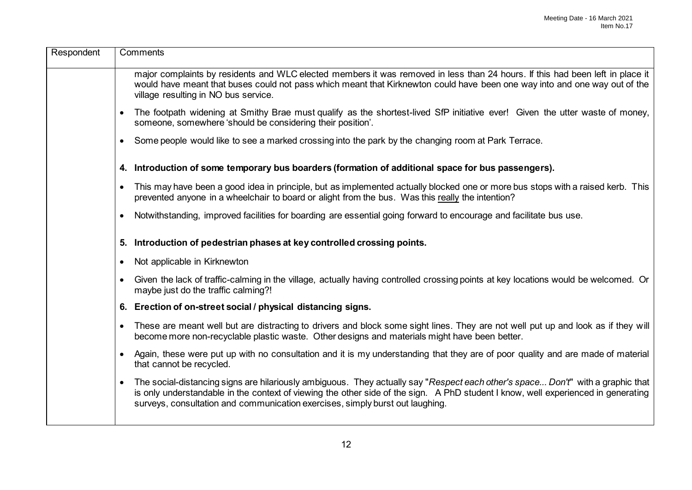| Respondent | Comments                                                                                                                                                                                                                                                                                                                                                           |
|------------|--------------------------------------------------------------------------------------------------------------------------------------------------------------------------------------------------------------------------------------------------------------------------------------------------------------------------------------------------------------------|
|            | major complaints by residents and WLC elected members it was removed in less than 24 hours. If this had been left in place it<br>would have meant that buses could not pass which meant that Kirknewton could have been one way into and one way out of the<br>village resulting in NO bus service.                                                                |
|            | The footpath widening at Smithy Brae must qualify as the shortest-lived SfP initiative ever! Given the utter waste of money,<br>someone, somewhere 'should be considering their position'.                                                                                                                                                                         |
|            | Some people would like to see a marked crossing into the park by the changing room at Park Terrace.                                                                                                                                                                                                                                                                |
|            | 4. Introduction of some temporary bus boarders (formation of additional space for bus passengers).                                                                                                                                                                                                                                                                 |
|            | This may have been a good idea in principle, but as implemented actually blocked one or more bus stops with a raised kerb. This<br>$\bullet$<br>prevented anyone in a wheelchair to board or alight from the bus. Was this really the intention?                                                                                                                   |
|            | Notwithstanding, improved facilities for boarding are essential going forward to encourage and facilitate bus use.                                                                                                                                                                                                                                                 |
|            | Introduction of pedestrian phases at key controlled crossing points.<br>5.                                                                                                                                                                                                                                                                                         |
|            | Not applicable in Kirknewton<br>$\bullet$                                                                                                                                                                                                                                                                                                                          |
|            | Given the lack of traffic-calming in the village, actually having controlled crossing points at key locations would be welcomed. Or<br>$\bullet$<br>maybe just do the traffic calming?!                                                                                                                                                                            |
|            | 6. Erection of on-street social / physical distancing signs.                                                                                                                                                                                                                                                                                                       |
|            | These are meant well but are distracting to drivers and block some sight lines. They are not well put up and look as if they will<br>become more non-recyclable plastic waste. Other designs and materials might have been better.                                                                                                                                 |
|            | Again, these were put up with no consultation and it is my understanding that they are of poor quality and are made of material<br>that cannot be recycled.                                                                                                                                                                                                        |
|            | The social-distancing signs are hilariously ambiguous. They actually say "Respect each other's space Don't" with a graphic that<br>$\bullet$<br>is only understandable in the context of viewing the other side of the sign. A PhD student I know, well experienced in generating<br>surveys, consultation and communication exercises, simply burst out laughing. |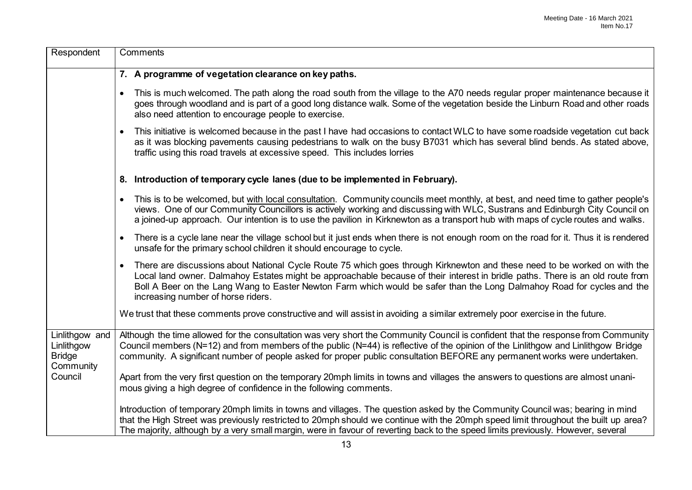| Respondent                                                 | Comments                                                                                                                                                                                                                                                                                                                                                                                                                                 |
|------------------------------------------------------------|------------------------------------------------------------------------------------------------------------------------------------------------------------------------------------------------------------------------------------------------------------------------------------------------------------------------------------------------------------------------------------------------------------------------------------------|
|                                                            | 7. A programme of vegetation clearance on key paths.                                                                                                                                                                                                                                                                                                                                                                                     |
|                                                            | This is much welcomed. The path along the road south from the village to the A70 needs regular proper maintenance because it<br>$\bullet$<br>goes through woodland and is part of a good long distance walk. Some of the vegetation beside the Linburn Road and other roads<br>also need attention to encourage people to exercise.                                                                                                      |
|                                                            | This initiative is welcomed because in the past I have had occasions to contact WLC to have some roadside vegetation cut back<br>$\bullet$<br>as it was blocking pavements causing pedestrians to walk on the busy B7031 which has several blind bends. As stated above,<br>traffic using this road travels at excessive speed. This includes lorries                                                                                    |
|                                                            | 8. Introduction of temporary cycle lanes (due to be implemented in February).                                                                                                                                                                                                                                                                                                                                                            |
|                                                            | This is to be welcomed, but with local consultation. Community councils meet monthly, at best, and need time to gather people's<br>$\bullet$<br>views. One of our Community Councillors is actively working and discussing with WLC, Sustrans and Edinburgh City Council on<br>a joined-up approach. Our intention is to use the pavilion in Kirknewton as a transport hub with maps of cycle routes and walks.                          |
|                                                            | There is a cycle lane near the village school but it just ends when there is not enough room on the road for it. Thus it is rendered<br>$\bullet$<br>unsafe for the primary school children it should encourage to cycle.                                                                                                                                                                                                                |
|                                                            | There are discussions about National Cycle Route 75 which goes through Kirknewton and these need to be worked on with the<br>$\bullet$<br>Local land owner. Dalmahoy Estates might be approachable because of their interest in bridle paths. There is an old route from<br>Boll A Beer on the Lang Wang to Easter Newton Farm which would be safer than the Long Dalmahoy Road for cycles and the<br>increasing number of horse riders. |
|                                                            | We trust that these comments prove constructive and will assist in avoiding a similar extremely poor exercise in the future.                                                                                                                                                                                                                                                                                                             |
| Linlithgow and<br>Linlithgow<br><b>Bridge</b><br>Community | Although the time allowed for the consultation was very short the Community Council is confident that the response from Community<br>Council members (N=12) and from members of the public (N=44) is reflective of the opinion of the Linlithgow and Linlithgow Bridge<br>community. A significant number of people asked for proper public consultation BEFORE any permanent works were undertaken.                                     |
| Council                                                    | Apart from the very first question on the temporary 20mph limits in towns and villages the answers to questions are almost unani-<br>mous giving a high degree of confidence in the following comments.                                                                                                                                                                                                                                  |
|                                                            | Introduction of temporary 20mph limits in towns and villages. The question asked by the Community Council was; bearing in mind<br>that the High Street was previously restricted to 20mph should we continue with the 20mph speed limit throughout the built up area?<br>The majority, although by a very small margin, were in favour of reverting back to the speed limits previously. However, several                                |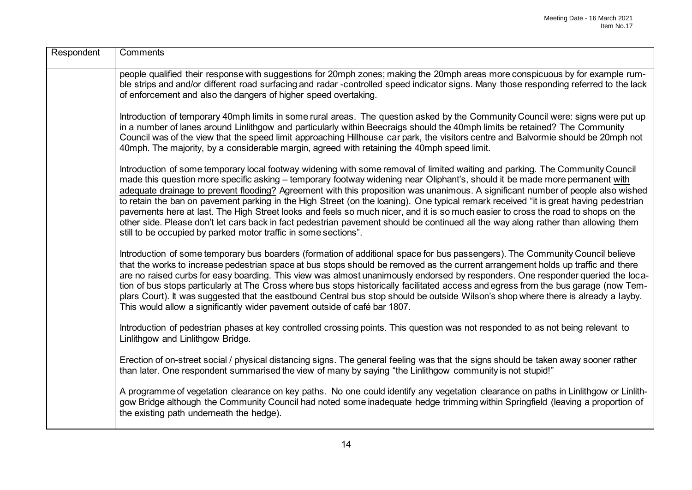| Respondent | Comments                                                                                                                                                                                                                                                                                                                                                                                                                                                                                                                                                                                                                                                                                                                                                                                                                                                                                |
|------------|-----------------------------------------------------------------------------------------------------------------------------------------------------------------------------------------------------------------------------------------------------------------------------------------------------------------------------------------------------------------------------------------------------------------------------------------------------------------------------------------------------------------------------------------------------------------------------------------------------------------------------------------------------------------------------------------------------------------------------------------------------------------------------------------------------------------------------------------------------------------------------------------|
|            | people qualified their response with suggestions for 20mph zones; making the 20mph areas more conspicuous by for example rum-<br>ble strips and and/or different road surfacing and radar -controlled speed indicator signs. Many those responding referred to the lack<br>of enforcement and also the dangers of higher speed overtaking.                                                                                                                                                                                                                                                                                                                                                                                                                                                                                                                                              |
|            | Introduction of temporary 40mph limits in some rural areas. The question asked by the Community Council were: signs were put up<br>in a number of lanes around Linlithgow and particularly within Beecraigs should the 40mph limits be retained? The Community<br>Council was of the view that the speed limit approaching Hillhouse car park, the visitors centre and Balvormie should be 20mph not<br>40mph. The majority, by a considerable margin, agreed with retaining the 40mph speed limit.                                                                                                                                                                                                                                                                                                                                                                                     |
|            | Introduction of some temporary local footway widening with some removal of limited waiting and parking. The Community Council<br>made this question more specific asking - temporary footway widening near Oliphant's, should it be made more permanent with<br>adequate drainage to prevent flooding? Agreement with this proposition was unanimous. A significant number of people also wished<br>to retain the ban on pavement parking in the High Street (on the loaning). One typical remark received "it is great having pedestrian<br>pavements here at last. The High Street looks and feels so much nicer, and it is so much easier to cross the road to shops on the<br>other side. Please don't let cars back in fact pedestrian pavement should be continued all the way along rather than allowing them<br>still to be occupied by parked motor traffic in some sections". |
|            | Introduction of some temporary bus boarders (formation of additional space for bus passengers). The Community Council believe<br>that the works to increase pedestrian space at bus stops should be removed as the current arrangement holds up traffic and there<br>are no raised curbs for easy boarding. This view was almost unanimously endorsed by responders. One responder queried the loca-<br>tion of bus stops particularly at The Cross where bus stops historically facilitated access and egress from the bus garage (now Tem-<br>plars Court). It was suggested that the eastbound Central bus stop should be outside Wilson's shop where there is already a layby.<br>This would allow a significantly wider pavement outside of café bar 1807.                                                                                                                         |
|            | Introduction of pedestrian phases at key controlled crossing points. This question was not responded to as not being relevant to<br>Linlithgow and Linlithgow Bridge.                                                                                                                                                                                                                                                                                                                                                                                                                                                                                                                                                                                                                                                                                                                   |
|            | Erection of on-street social / physical distancing signs. The general feeling was that the signs should be taken away sooner rather<br>than later. One respondent summarised the view of many by saying "the Linlithgow community is not stupid!"                                                                                                                                                                                                                                                                                                                                                                                                                                                                                                                                                                                                                                       |
|            | A programme of vegetation clearance on key paths. No one could identify any vegetation clearance on paths in Linlithgow or Linlith-<br>gow Bridge although the Community Council had noted some inadequate hedge trimming within Springfield (leaving a proportion of<br>the existing path underneath the hedge).                                                                                                                                                                                                                                                                                                                                                                                                                                                                                                                                                                       |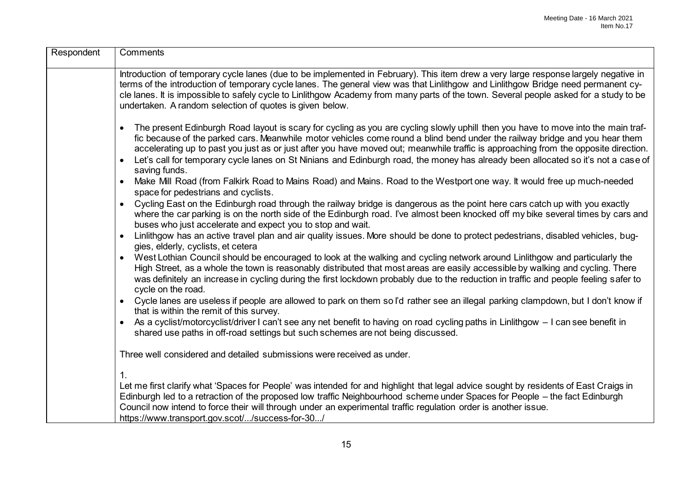| Respondent | Comments                                                                                                                                                                                                                                                                                                                                                                                                                                                                                                                                                                                |
|------------|-----------------------------------------------------------------------------------------------------------------------------------------------------------------------------------------------------------------------------------------------------------------------------------------------------------------------------------------------------------------------------------------------------------------------------------------------------------------------------------------------------------------------------------------------------------------------------------------|
|            | Introduction of temporary cycle lanes (due to be implemented in February). This item drew a very large response largely negative in<br>terms of the introduction of temporary cycle lanes. The general view was that Linlithgow and Linlithgow Bridge need permanent cy-<br>cle lanes. It is impossible to safely cycle to Linlithgow Academy from many parts of the town. Several people asked for a study to be<br>undertaken. A random selection of quotes is given below.                                                                                                           |
|            | The present Edinburgh Road layout is scary for cycling as you are cycling slowly uphill then you have to move into the main traf-<br>$\bullet$<br>fic because of the parked cars. Meanwhile motor vehicles come round a blind bend under the railway bridge and you hear them<br>accelerating up to past you just as or just after you have moved out; meanwhile traffic is approaching from the opposite direction.<br>Let's call for temporary cycle lanes on St Ninians and Edinburgh road, the money has already been allocated so it's not a case of<br>$\bullet$<br>saving funds. |
|            | Make Mill Road (from Falkirk Road to Mains Road) and Mains. Road to the Westport one way. It would free up much-needed<br>space for pedestrians and cyclists.                                                                                                                                                                                                                                                                                                                                                                                                                           |
|            | Cycling East on the Edinburgh road through the railway bridge is dangerous as the point here cars catch up with you exactly<br>$\bullet$<br>where the car parking is on the north side of the Edinburgh road. I've almost been knocked off my bike several times by cars and<br>buses who just accelerate and expect you to stop and wait.                                                                                                                                                                                                                                              |
|            | Linlithgow has an active travel plan and air quality issues. More should be done to protect pedestrians, disabled vehicles, bug-<br>$\bullet$<br>gies, elderly, cyclists, et cetera                                                                                                                                                                                                                                                                                                                                                                                                     |
|            | West Lothian Council should be encouraged to look at the walking and cycling network around Linlithgow and particularly the<br>$\bullet$<br>High Street, as a whole the town is reasonably distributed that most areas are easily accessible by walking and cycling. There<br>was definitely an increase in cycling during the first lockdown probably due to the reduction in traffic and people feeling safer to<br>cycle on the road.                                                                                                                                                |
|            | Cycle lanes are useless if people are allowed to park on them so I'd rather see an illegal parking clampdown, but I don't know if<br>$\bullet$<br>that is within the remit of this survey.                                                                                                                                                                                                                                                                                                                                                                                              |
|            | As a cyclist/motorcyclist/driver I can't see any net benefit to having on road cycling paths in Linlithgow - I can see benefit in<br>$\bullet$<br>shared use paths in off-road settings but such schemes are not being discussed.                                                                                                                                                                                                                                                                                                                                                       |
|            | Three well considered and detailed submissions were received as under.                                                                                                                                                                                                                                                                                                                                                                                                                                                                                                                  |
|            | 1.                                                                                                                                                                                                                                                                                                                                                                                                                                                                                                                                                                                      |
|            | Let me first clarify what 'Spaces for People' was intended for and highlight that legal advice sought by residents of East Craigs in<br>Edinburgh led to a retraction of the proposed low traffic Neighbourhood scheme under Spaces for People – the fact Edinburgh<br>Council now intend to force their will through under an experimental traffic regulation order is another issue.<br>https://www.transport.gov.scot//success-for-30/                                                                                                                                               |
|            |                                                                                                                                                                                                                                                                                                                                                                                                                                                                                                                                                                                         |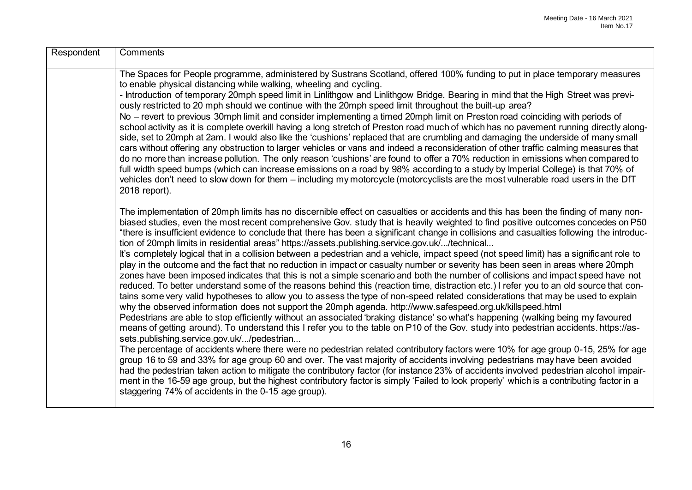| Respondent | Comments                                                                                                                                                                                                                                                                                                                                                                                                                                                                                                                                                                                                                                                                                                                                                                                                                                                                                                                                                                                                                                                                                                                                                                                                                                                                                                                                                                                                                                                                                                                                                                                                                                                                                                                                                                                                                                                                                                                                                                                                                                                                                                                                                                                                                                                                        |
|------------|---------------------------------------------------------------------------------------------------------------------------------------------------------------------------------------------------------------------------------------------------------------------------------------------------------------------------------------------------------------------------------------------------------------------------------------------------------------------------------------------------------------------------------------------------------------------------------------------------------------------------------------------------------------------------------------------------------------------------------------------------------------------------------------------------------------------------------------------------------------------------------------------------------------------------------------------------------------------------------------------------------------------------------------------------------------------------------------------------------------------------------------------------------------------------------------------------------------------------------------------------------------------------------------------------------------------------------------------------------------------------------------------------------------------------------------------------------------------------------------------------------------------------------------------------------------------------------------------------------------------------------------------------------------------------------------------------------------------------------------------------------------------------------------------------------------------------------------------------------------------------------------------------------------------------------------------------------------------------------------------------------------------------------------------------------------------------------------------------------------------------------------------------------------------------------------------------------------------------------------------------------------------------------|
|            | The Spaces for People programme, administered by Sustrans Scotland, offered 100% funding to put in place temporary measures<br>to enable physical distancing while walking, wheeling and cycling.<br>- Introduction of temporary 20mph speed limit in Linlithgow and Linlithgow Bridge. Bearing in mind that the High Street was previ-<br>ously restricted to 20 mph should we continue with the 20mph speed limit throughout the built-up area?<br>No – revert to previous 30mph limit and consider implementing a timed 20mph limit on Preston road coinciding with periods of<br>school activity as it is complete overkill having a long stretch of Preston road much of which has no pavement running directly along-<br>side, set to 20mph at 2am. I would also like the 'cushions' replaced that are crumbling and damaging the underside of many small<br>cars without offering any obstruction to larger vehicles or vans and indeed a reconsideration of other traffic calming measures that<br>do no more than increase pollution. The only reason 'cushions' are found to offer a 70% reduction in emissions when compared to<br>full width speed bumps (which can increase emissions on a road by 98% according to a study by Imperial College) is that 70% of<br>vehicles don't need to slow down for them - including my motorcycle (motorcyclists are the most vulnerable road users in the DfT<br>2018 report).                                                                                                                                                                                                                                                                                                                                                                                                                                                                                                                                                                                                                                                                                                                                                                                                                                               |
|            | The implementation of 20mph limits has no discernible effect on casualties or accidents and this has been the finding of many non-<br>biased studies, even the most recent comprehensive Gov. study that is heavily weighted to find positive outcomes concedes on P50<br>"there is insufficient evidence to conclude that there has been a significant change in collisions and casualties following the introduc-<br>tion of 20mph limits in residential areas" https://assets.publishing.service.gov.uk//technical<br>It's completely logical that in a collision between a pedestrian and a vehicle, impact speed (not speed limit) has a significant role to<br>play in the outcome and the fact that no reduction in impact or casualty number or severity has been seen in areas where 20mph<br>zones have been imposed indicates that this is not a simple scenario and both the number of collisions and impact speed have not<br>reduced. To better understand some of the reasons behind this (reaction time, distraction etc.) I refer you to an old source that con-<br>tains some very valid hypotheses to allow you to assess the type of non-speed related considerations that may be used to explain<br>why the observed information does not support the 20mph agenda. http://www.safespeed.org.uk/killspeed.html<br>Pedestrians are able to stop efficiently without an associated 'braking distance' so what's happening (walking being my favoured<br>means of getting around). To understand this I refer you to the table on P10 of the Gov. study into pedestrian accidents. https://as-<br>sets.publishing.service.gov.uk//pedestrian<br>The percentage of accidents where there were no pedestrian related contributory factors were 10% for age group 0-15, 25% for age<br>group 16 to 59 and 33% for age group 60 and over. The vast majority of accidents involving pedestrians may have been avoided<br>had the pedestrian taken action to mitigate the contributory factor (for instance 23% of accidents involved pedestrian alcohol impair-<br>ment in the 16-59 age group, but the highest contributory factor is simply 'Failed to look properly' which is a contributing factor in a<br>staggering 74% of accidents in the 0-15 age group). |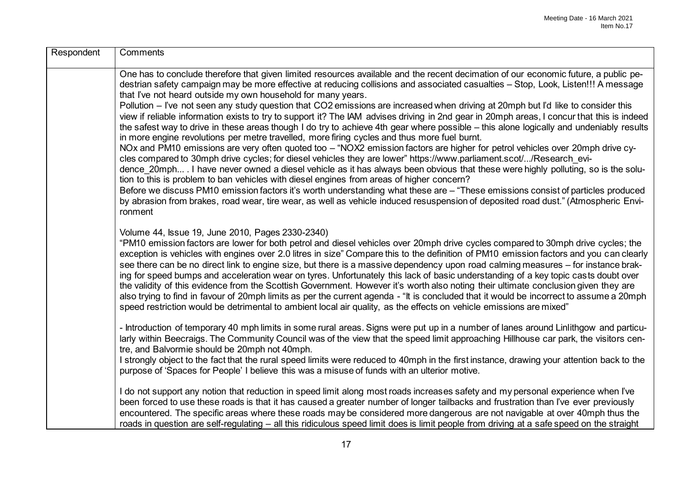| Respondent | Comments                                                                                                                                                                                                                                                                                                                                                                                                                                                                                                                                                                                                                                                                                                                                                                                                                                                                                                                                                                                                                                                                                                                                                                                                                                                                                                                                                                                                                                                                                                                                                                                                                                              |
|------------|-------------------------------------------------------------------------------------------------------------------------------------------------------------------------------------------------------------------------------------------------------------------------------------------------------------------------------------------------------------------------------------------------------------------------------------------------------------------------------------------------------------------------------------------------------------------------------------------------------------------------------------------------------------------------------------------------------------------------------------------------------------------------------------------------------------------------------------------------------------------------------------------------------------------------------------------------------------------------------------------------------------------------------------------------------------------------------------------------------------------------------------------------------------------------------------------------------------------------------------------------------------------------------------------------------------------------------------------------------------------------------------------------------------------------------------------------------------------------------------------------------------------------------------------------------------------------------------------------------------------------------------------------------|
|            | One has to conclude therefore that given limited resources available and the recent decimation of our economic future, a public pe-<br>destrian safety campaign may be more effective at reducing collisions and associated casualties – Stop, Look, Listen!!! A message<br>that I've not heard outside my own household for many years.<br>Pollution – I've not seen any study question that CO2 emissions are increased when driving at 20mph but I'd like to consider this<br>view if reliable information exists to try to support it? The IAM advises driving in 2nd gear in 20mph areas, I concur that this is indeed<br>the safest way to drive in these areas though I do try to achieve 4th gear where possible – this alone logically and undeniably results<br>in more engine revolutions per metre travelled, more firing cycles and thus more fuel burnt.<br>NOx and PM10 emissions are very often quoted too - "NOX2 emission factors are higher for petrol vehicles over 20mph drive cy-<br>cles compared to 30mph drive cycles; for diesel vehicles they are lower" https://www.parliament.scot//Research evi-<br>dence 20mph . I have never owned a diesel vehicle as it has always been obvious that these were highly polluting, so is the solu-<br>tion to this is problem to ban vehicles with diesel engines from areas of higher concern?<br>Before we discuss PM10 emission factors it's worth understanding what these are - "These emissions consist of particles produced<br>by abrasion from brakes, road wear, tire wear, as well as vehicle induced resuspension of deposited road dust." (Atmospheric Envi-<br>ronment |
|            | Volume 44, Issue 19, June 2010, Pages 2330-2340)<br>"PM10 emission factors are lower for both petrol and diesel vehicles over 20mph drive cycles compared to 30mph drive cycles; the<br>exception is vehicles with engines over 2.0 litres in size" Compare this to the definition of PM10 emission factors and you can clearly<br>see there can be no direct link to engine size, but there is a massive dependency upon road calming measures – for instance brak-<br>ing for speed bumps and acceleration wear on tyres. Unfortunately this lack of basic understanding of a key topic casts doubt over<br>the validity of this evidence from the Scottish Government. However it's worth also noting their ultimate conclusion given they are<br>also trying to find in favour of 20mph limits as per the current agenda - "It is concluded that it would be incorrect to assume a 20mph<br>speed restriction would be detrimental to ambient local air quality, as the effects on vehicle emissions are mixed"                                                                                                                                                                                                                                                                                                                                                                                                                                                                                                                                                                                                                                   |
|            | - Introduction of temporary 40 mph limits in some rural areas. Signs were put up in a number of lanes around Linlithgow and particu-<br>larly within Beecraigs. The Community Council was of the view that the speed limit approaching Hillhouse car park, the visitors cen-<br>tre, and Balvormie should be 20mph not 40mph.<br>I strongly object to the fact that the rural speed limits were reduced to 40mph in the first instance, drawing your attention back to the<br>purpose of 'Spaces for People' I believe this was a misuse of funds with an ulterior motive.                                                                                                                                                                                                                                                                                                                                                                                                                                                                                                                                                                                                                                                                                                                                                                                                                                                                                                                                                                                                                                                                            |
|            | I do not support any notion that reduction in speed limit along most roads increases safety and my personal experience when I've<br>been forced to use these roads is that it has caused a greater number of longer tailbacks and frustration than I've ever previously<br>encountered. The specific areas where these roads may be considered more dangerous are not navigable at over 40mph thus the<br>roads in question are self-regulating – all this ridiculous speed limit does is limit people from driving at a safe speed on the straight                                                                                                                                                                                                                                                                                                                                                                                                                                                                                                                                                                                                                                                                                                                                                                                                                                                                                                                                                                                                                                                                                                   |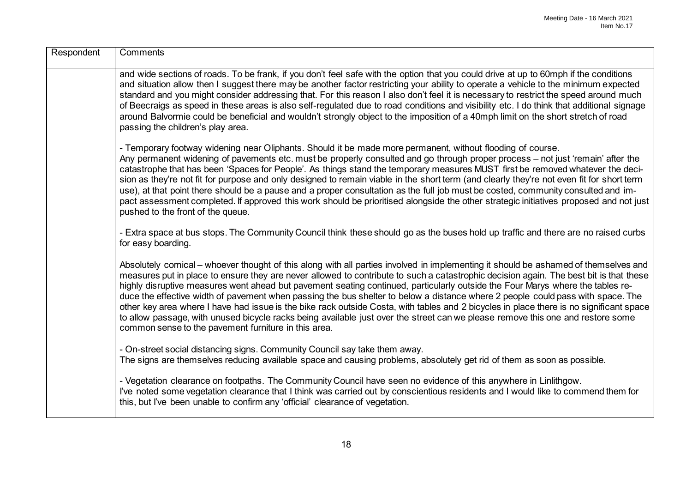| Respondent | Comments                                                                                                                                                                                                                                                                                                                                                                                                                                                                                                                                                                                                                                                                                                                                                                                                                                                                                 |
|------------|------------------------------------------------------------------------------------------------------------------------------------------------------------------------------------------------------------------------------------------------------------------------------------------------------------------------------------------------------------------------------------------------------------------------------------------------------------------------------------------------------------------------------------------------------------------------------------------------------------------------------------------------------------------------------------------------------------------------------------------------------------------------------------------------------------------------------------------------------------------------------------------|
|            | and wide sections of roads. To be frank, if you don't feel safe with the option that you could drive at up to 60mph if the conditions<br>and situation allow then I suggest there may be another factor restricting your ability to operate a vehicle to the minimum expected<br>standard and you might consider addressing that. For this reason I also don't feel it is necessary to restrict the speed around much<br>of Beecraigs as speed in these areas is also self-regulated due to road conditions and visibility etc. I do think that additional signage<br>around Balvormie could be beneficial and wouldn't strongly object to the imposition of a 40mph limit on the short stretch of road<br>passing the children's play area.                                                                                                                                             |
|            | - Temporary footway widening near Oliphants. Should it be made more permanent, without flooding of course.<br>Any permanent widening of pavements etc. must be properly consulted and go through proper process – not just 'remain' after the<br>catastrophe that has been 'Spaces for People'. As things stand the temporary measures MUST first be removed whatever the deci-<br>sion as they're not fit for purpose and only designed to remain viable in the short term (and clearly they're not even fit for short term<br>use), at that point there should be a pause and a proper consultation as the full job must be costed, community consulted and im-<br>pact assessment completed. If approved this work should be prioritised alongside the other strategic initiatives proposed and not just<br>pushed to the front of the queue.                                         |
|            | - Extra space at bus stops. The Community Council think these should go as the buses hold up traffic and there are no raised curbs<br>for easy boarding.                                                                                                                                                                                                                                                                                                                                                                                                                                                                                                                                                                                                                                                                                                                                 |
|            | Absolutely comical – whoever thought of this along with all parties involved in implementing it should be ashamed of themselves and<br>measures put in place to ensure they are never allowed to contribute to such a catastrophic decision again. The best bit is that these<br>highly disruptive measures went ahead but pavement seating continued, particularly outside the Four Marys where the tables re-<br>duce the effective width of pavement when passing the bus shelter to below a distance where 2 people could pass with space. The<br>other key area where I have had issue is the bike rack outside Costa, with tables and 2 bicycles in place there is no significant space<br>to allow passage, with unused bicycle racks being available just over the street can we please remove this one and restore some<br>common sense to the pavement furniture in this area. |
|            | - On-street social distancing signs. Community Council say take them away.<br>The signs are themselves reducing available space and causing problems, absolutely get rid of them as soon as possible.                                                                                                                                                                                                                                                                                                                                                                                                                                                                                                                                                                                                                                                                                    |
|            | - Vegetation clearance on footpaths. The Community Council have seen no evidence of this anywhere in Linlithgow.<br>I've noted some vegetation clearance that I think was carried out by conscientious residents and I would like to commend them for<br>this, but I've been unable to confirm any 'official' clearance of vegetation.                                                                                                                                                                                                                                                                                                                                                                                                                                                                                                                                                   |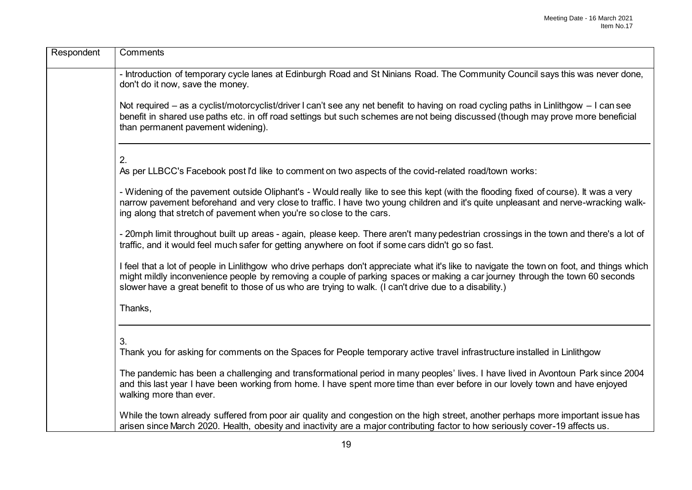| Respondent | Comments                                                                                                                                                                                                                                                                                                                                                                              |
|------------|---------------------------------------------------------------------------------------------------------------------------------------------------------------------------------------------------------------------------------------------------------------------------------------------------------------------------------------------------------------------------------------|
|            | - Introduction of temporary cycle lanes at Edinburgh Road and St Ninians Road. The Community Council says this was never done,<br>don't do it now, save the money.                                                                                                                                                                                                                    |
|            | Not required - as a cyclist/motorcyclist/driver I can't see any net benefit to having on road cycling paths in Linlithgow - I can see<br>benefit in shared use paths etc. in off road settings but such schemes are not being discussed (though may prove more beneficial<br>than permanent pavement widening).                                                                       |
|            | 2.<br>As per LLBCC's Facebook post I'd like to comment on two aspects of the covid-related road/town works:                                                                                                                                                                                                                                                                           |
|            | - Widening of the pavement outside Oliphant's - Would really like to see this kept (with the flooding fixed of course). It was a very<br>narrow pavement beforehand and very close to traffic. I have two young children and it's quite unpleasant and nerve-wracking walk-<br>ing along that stretch of pavement when you're so close to the cars.                                   |
|            | - 20mph limit throughout built up areas - again, please keep. There aren't many pedestrian crossings in the town and there's a lot of<br>traffic, and it would feel much safer for getting anywhere on foot if some cars didn't go so fast.                                                                                                                                           |
|            | I feel that a lot of people in Linlithgow who drive perhaps don't appreciate what it's like to navigate the town on foot, and things which<br>might mildly inconvenience people by removing a couple of parking spaces or making a car journey through the town 60 seconds<br>slower have a great benefit to those of us who are trying to walk. (I can't drive due to a disability.) |
|            | Thanks,                                                                                                                                                                                                                                                                                                                                                                               |
|            | 3.<br>Thank you for asking for comments on the Spaces for People temporary active travel infrastructure installed in Linlithgow                                                                                                                                                                                                                                                       |
|            | The pandemic has been a challenging and transformational period in many peoples' lives. I have lived in Avontoun Park since 2004<br>and this last year I have been working from home. I have spent more time than ever before in our lovely town and have enjoyed<br>walking more than ever.                                                                                          |
|            | While the town already suffered from poor air quality and congestion on the high street, another perhaps more important issue has<br>arisen since March 2020. Health, obesity and inactivity are a major contributing factor to how seriously cover-19 affects us.                                                                                                                    |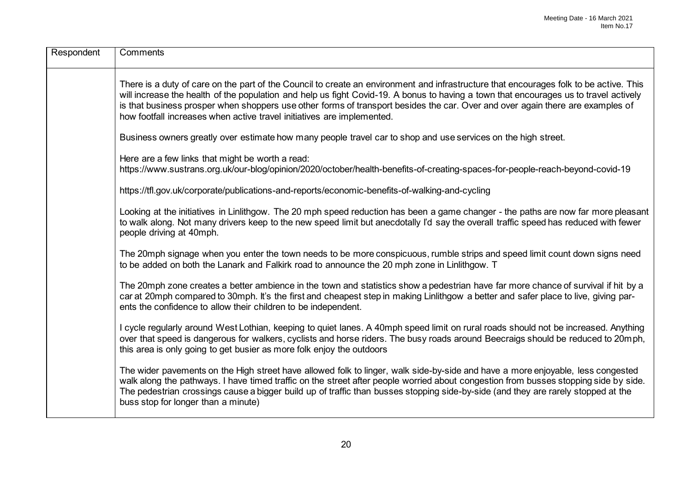| Respondent | Comments                                                                                                                                                                                                                                                                                                                                                                                                                                                                                    |
|------------|---------------------------------------------------------------------------------------------------------------------------------------------------------------------------------------------------------------------------------------------------------------------------------------------------------------------------------------------------------------------------------------------------------------------------------------------------------------------------------------------|
|            | There is a duty of care on the part of the Council to create an environment and infrastructure that encourages folk to be active. This<br>will increase the health of the population and help us fight Covid-19. A bonus to having a town that encourages us to travel actively<br>is that business prosper when shoppers use other forms of transport besides the car. Over and over again there are examples of<br>how footfall increases when active travel initiatives are implemented. |
|            | Business owners greatly over estimate how many people travel car to shop and use services on the high street.                                                                                                                                                                                                                                                                                                                                                                               |
|            | Here are a few links that might be worth a read:<br>https://www.sustrans.org.uk/our-blog/opinion/2020/october/health-benefits-of-creating-spaces-for-people-reach-beyond-covid-19                                                                                                                                                                                                                                                                                                           |
|            | https://tfl.gov.uk/corporate/publications-and-reports/economic-benefits-of-walking-and-cycling                                                                                                                                                                                                                                                                                                                                                                                              |
|            | Looking at the initiatives in Linlithgow. The 20 mph speed reduction has been a game changer - the paths are now far more pleasant<br>to walk along. Not many drivers keep to the new speed limit but anecdotally I'd say the overall traffic speed has reduced with fewer<br>people driving at 40mph.                                                                                                                                                                                      |
|            | The 20mph signage when you enter the town needs to be more conspicuous, rumble strips and speed limit count down signs need<br>to be added on both the Lanark and Falkirk road to announce the 20 mph zone in Linlithgow. T                                                                                                                                                                                                                                                                 |
|            | The 20mph zone creates a better ambience in the town and statistics show a pedestrian have far more chance of survival if hit by a<br>car at 20mph compared to 30mph. It's the first and cheapest step in making Linlithgow a better and safer place to live, giving par-<br>ents the confidence to allow their children to be independent.                                                                                                                                                 |
|            | I cycle regularly around West Lothian, keeping to quiet lanes. A 40mph speed limit on rural roads should not be increased. Anything<br>over that speed is dangerous for walkers, cyclists and horse riders. The busy roads around Beecraigs should be reduced to 20mph,<br>this area is only going to get busier as more folk enjoy the outdoors                                                                                                                                            |
|            | The wider pavements on the High street have allowed folk to linger, walk side-by-side and have a more enjoyable, less congested<br>walk along the pathways. I have timed traffic on the street after people worried about congestion from busses stopping side by side.<br>The pedestrian crossings cause a bigger build up of traffic than busses stopping side-by-side (and they are rarely stopped at the<br>buss stop for longer than a minute)                                         |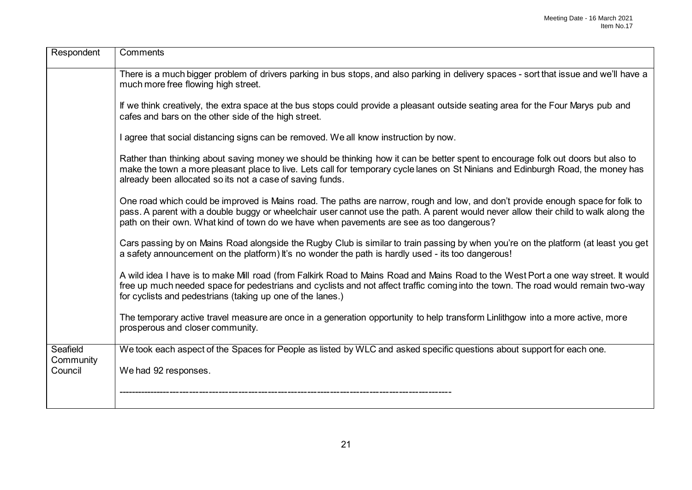| Respondent            | Comments                                                                                                                                                                                                                                                                                                                                                           |
|-----------------------|--------------------------------------------------------------------------------------------------------------------------------------------------------------------------------------------------------------------------------------------------------------------------------------------------------------------------------------------------------------------|
|                       | There is a much bigger problem of drivers parking in bus stops, and also parking in delivery spaces - sort that issue and we'll have a<br>much more free flowing high street.                                                                                                                                                                                      |
|                       | If we think creatively, the extra space at the bus stops could provide a pleasant outside seating area for the Four Marys pub and<br>cafes and bars on the other side of the high street.                                                                                                                                                                          |
|                       | I agree that social distancing signs can be removed. We all know instruction by now.                                                                                                                                                                                                                                                                               |
|                       | Rather than thinking about saving money we should be thinking how it can be better spent to encourage folk out doors but also to<br>make the town a more pleasant place to live. Lets call for temporary cycle lanes on St Ninians and Edinburgh Road, the money has<br>already been allocated so its not a case of saving funds.                                  |
|                       | One road which could be improved is Mains road. The paths are narrow, rough and low, and don't provide enough space for folk to<br>pass. A parent with a double buggy or wheelchair user cannot use the path. A parent would never allow their child to walk along the<br>path on their own. What kind of town do we have when pavements are see as too dangerous? |
|                       | Cars passing by on Mains Road alongside the Rugby Club is similar to train passing by when you're on the platform (at least you get<br>a safety announcement on the platform) it's no wonder the path is hardly used - its too dangerous!                                                                                                                          |
|                       | A wild idea I have is to make Mill road (from Falkirk Road to Mains Road and Mains Road to the West Port a one way street. It would<br>free up much needed space for pedestrians and cyclists and not affect traffic coming into the town. The road would remain two-way<br>for cyclists and pedestrians (taking up one of the lanes.)                             |
|                       | The temporary active travel measure are once in a generation opportunity to help transform Linlithgow into a more active, more<br>prosperous and closer community.                                                                                                                                                                                                 |
| Seafield<br>Community | We took each aspect of the Spaces for People as listed by WLC and asked specific questions about support for each one.                                                                                                                                                                                                                                             |
| Council               | We had 92 responses.                                                                                                                                                                                                                                                                                                                                               |
|                       |                                                                                                                                                                                                                                                                                                                                                                    |
|                       |                                                                                                                                                                                                                                                                                                                                                                    |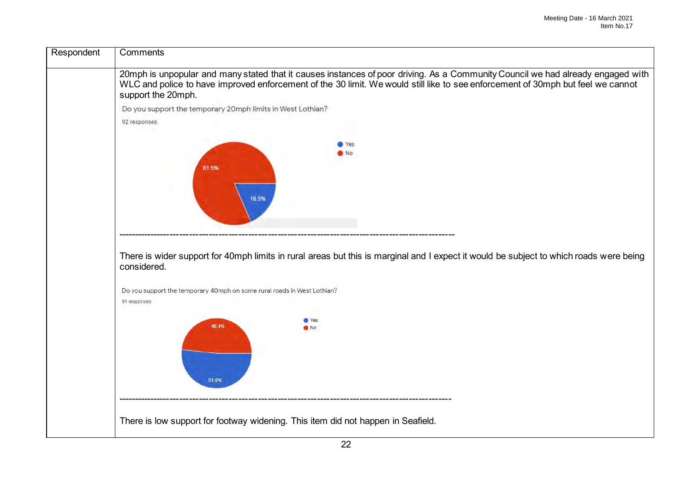| Respondent | Comments                                                                                                                                                                                                                                                                                 |
|------------|------------------------------------------------------------------------------------------------------------------------------------------------------------------------------------------------------------------------------------------------------------------------------------------|
|            | 20mph is unpopular and many stated that it causes instances of poor driving. As a Community Council we had already engaged with<br>WLC and police to have improved enforcement of the 30 limit. We would still like to see enforcement of 30mph but feel we cannot<br>support the 20mph. |
|            | Do you support the temporary 20mph limits in West Lothian?                                                                                                                                                                                                                               |
|            | 92 responses                                                                                                                                                                                                                                                                             |
|            | Yes<br>No.<br>81.5%                                                                                                                                                                                                                                                                      |
|            | 18.5%                                                                                                                                                                                                                                                                                    |
|            |                                                                                                                                                                                                                                                                                          |
|            | There is wider support for 40mph limits in rural areas but this is marginal and I expect it would be subject to which roads were being<br>considered.                                                                                                                                    |
|            | Do you support the temporary 40mph on some rural roads in West Lothian?<br>91 responses                                                                                                                                                                                                  |
|            | <b>Yes</b><br>48.4%<br>$\bullet$ No                                                                                                                                                                                                                                                      |
|            | 51.6%                                                                                                                                                                                                                                                                                    |
|            | There is low support for footway widening. This item did not happen in Seafield.                                                                                                                                                                                                         |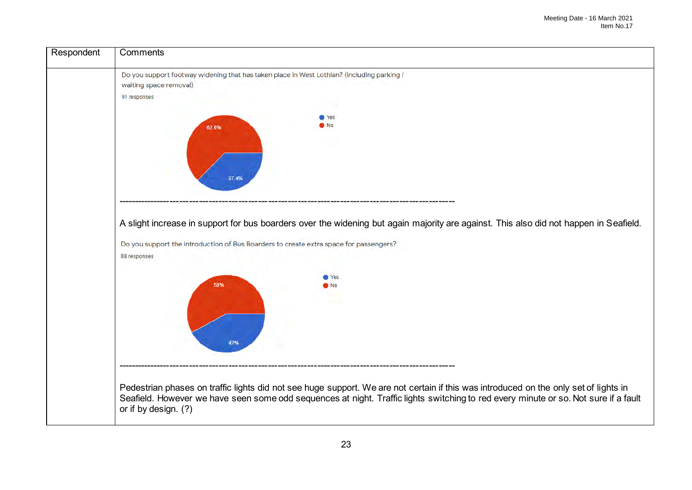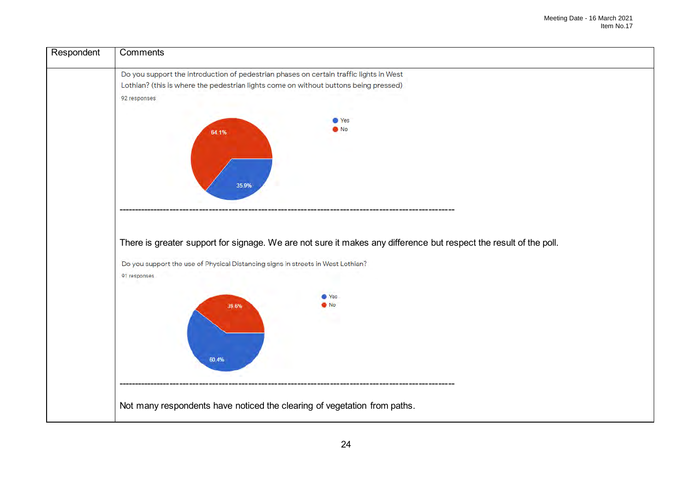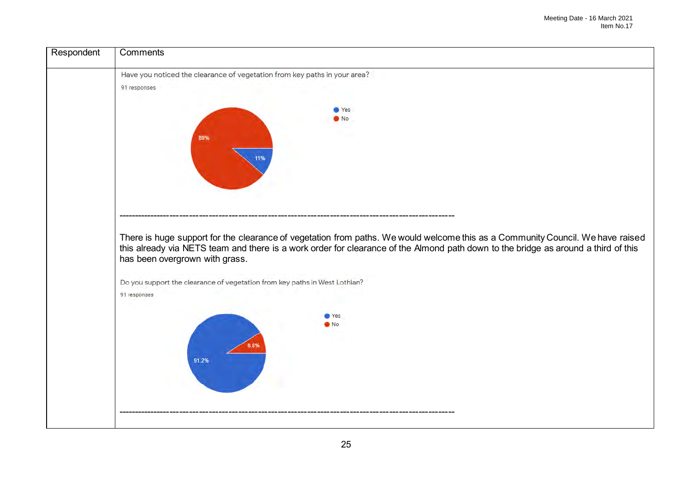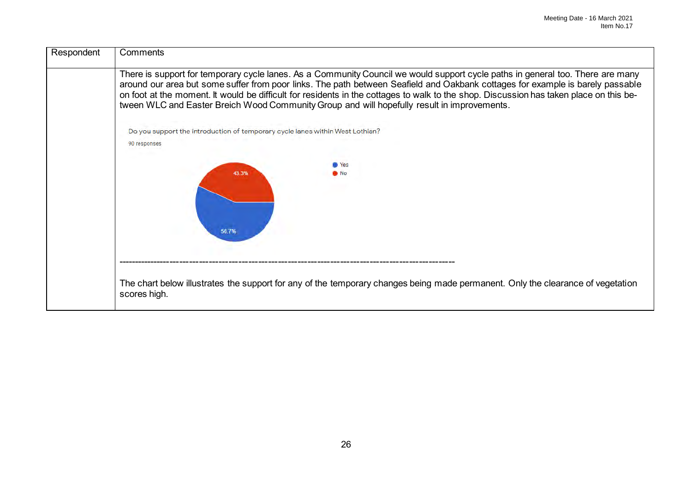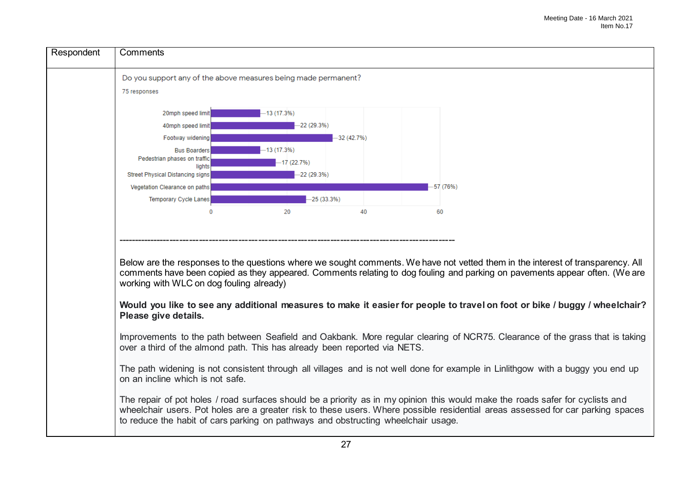

**Would you like to see any additional measures to make it easier for people to travel on foot or bike / buggy / wheelchair? Please give details.**

Improvements to the path between Seafield and Oakbank. More regular clearing of NCR75. Clearance of the grass that is taking over a third of the almond path. This has already been reported via NETS.

The path widening is not consistent through all villages and is not well done for example in Linlithgow with a buggy you end up on an incline which is not safe.

The repair of pot holes / road surfaces should be a priority as in my opinion this would make the roads safer for cyclists and wheelchair users. Pot holes are a greater risk to these users. Where possible residential areas assessed for car parking spaces to reduce the habit of cars parking on pathways and obstructing wheelchair usage.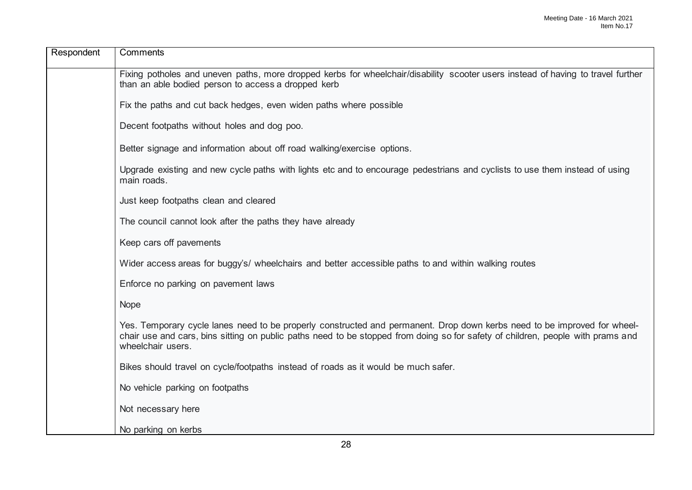| Respondent | Comments                                                                                                                                                                                                                                                                         |
|------------|----------------------------------------------------------------------------------------------------------------------------------------------------------------------------------------------------------------------------------------------------------------------------------|
|            | Fixing potholes and uneven paths, more dropped kerbs for wheelchair/disability scooter users instead of having to travel further<br>than an able bodied person to access a dropped kerb                                                                                          |
|            | Fix the paths and cut back hedges, even widen paths where possible                                                                                                                                                                                                               |
|            | Decent footpaths without holes and dog poo.                                                                                                                                                                                                                                      |
|            | Better signage and information about off road walking/exercise options.                                                                                                                                                                                                          |
|            | Upgrade existing and new cycle paths with lights etc and to encourage pedestrians and cyclists to use them instead of using<br>main roads.                                                                                                                                       |
|            | Just keep footpaths clean and cleared                                                                                                                                                                                                                                            |
|            | The council cannot look after the paths they have already                                                                                                                                                                                                                        |
|            | Keep cars off pavements                                                                                                                                                                                                                                                          |
|            | Wider access areas for buggy's/ wheelchairs and better accessible paths to and within walking routes                                                                                                                                                                             |
|            | Enforce no parking on pavement laws                                                                                                                                                                                                                                              |
|            | <b>Nope</b>                                                                                                                                                                                                                                                                      |
|            | Yes. Temporary cycle lanes need to be properly constructed and permanent. Drop down kerbs need to be improved for wheel-<br>chair use and cars, bins sitting on public paths need to be stopped from doing so for safety of children, people with prams and<br>wheelchair users. |
|            | Bikes should travel on cycle/footpaths instead of roads as it would be much safer.                                                                                                                                                                                               |
|            | No vehicle parking on footpaths                                                                                                                                                                                                                                                  |
|            | Not necessary here                                                                                                                                                                                                                                                               |
|            | No parking on kerbs                                                                                                                                                                                                                                                              |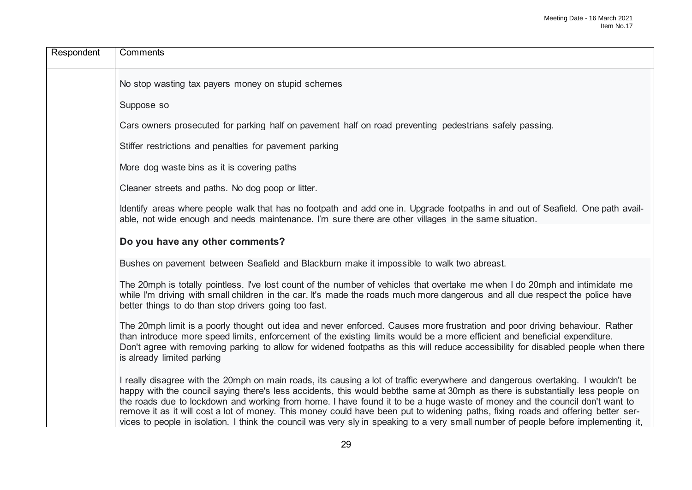| Respondent | Comments                                                                                                                                                                                                                                                                                                                                                                                                                                                                                                                                                                                                                                                                    |
|------------|-----------------------------------------------------------------------------------------------------------------------------------------------------------------------------------------------------------------------------------------------------------------------------------------------------------------------------------------------------------------------------------------------------------------------------------------------------------------------------------------------------------------------------------------------------------------------------------------------------------------------------------------------------------------------------|
|            | No stop wasting tax payers money on stupid schemes                                                                                                                                                                                                                                                                                                                                                                                                                                                                                                                                                                                                                          |
|            | Suppose so                                                                                                                                                                                                                                                                                                                                                                                                                                                                                                                                                                                                                                                                  |
|            | Cars owners prosecuted for parking half on pavement half on road preventing pedestrians safely passing.                                                                                                                                                                                                                                                                                                                                                                                                                                                                                                                                                                     |
|            | Stiffer restrictions and penalties for pavement parking                                                                                                                                                                                                                                                                                                                                                                                                                                                                                                                                                                                                                     |
|            | More dog waste bins as it is covering paths                                                                                                                                                                                                                                                                                                                                                                                                                                                                                                                                                                                                                                 |
|            | Cleaner streets and paths. No dog poop or litter.                                                                                                                                                                                                                                                                                                                                                                                                                                                                                                                                                                                                                           |
|            | Identify areas where people walk that has no footpath and add one in. Upgrade footpaths in and out of Seafield. One path avail-<br>able, not wide enough and needs maintenance. I'm sure there are other villages in the same situation.                                                                                                                                                                                                                                                                                                                                                                                                                                    |
|            | Do you have any other comments?                                                                                                                                                                                                                                                                                                                                                                                                                                                                                                                                                                                                                                             |
|            | Bushes on pavement between Seafield and Blackburn make it impossible to walk two abreast.                                                                                                                                                                                                                                                                                                                                                                                                                                                                                                                                                                                   |
|            | The 20mph is totally pointless. I've lost count of the number of vehicles that overtake me when I do 20mph and intimidate me<br>while I'm driving with small children in the car. It's made the roads much more dangerous and all due respect the police have<br>better things to do than stop drivers going too fast.                                                                                                                                                                                                                                                                                                                                                      |
|            | The 20mph limit is a poorly thought out idea and never enforced. Causes more frustration and poor driving behaviour. Rather<br>than introduce more speed limits, enforcement of the existing limits would be a more efficient and beneficial expenditure.<br>Don't agree with removing parking to allow for widened footpaths as this will reduce accessibility for disabled people when there<br>is already limited parking                                                                                                                                                                                                                                                |
|            | I really disagree with the 20mph on main roads, its causing a lot of traffic everywhere and dangerous overtaking. I wouldn't be<br>happy with the council saying there's less accidents, this would bebthe same at 30mph as there is substantially less people on<br>the roads due to lockdown and working from home. I have found it to be a huge waste of money and the council don't want to<br>remove it as it will cost a lot of money. This money could have been put to widening paths, fixing roads and offering better ser-<br>vices to people in isolation. I think the council was very sly in speaking to a very small number of people before implementing it, |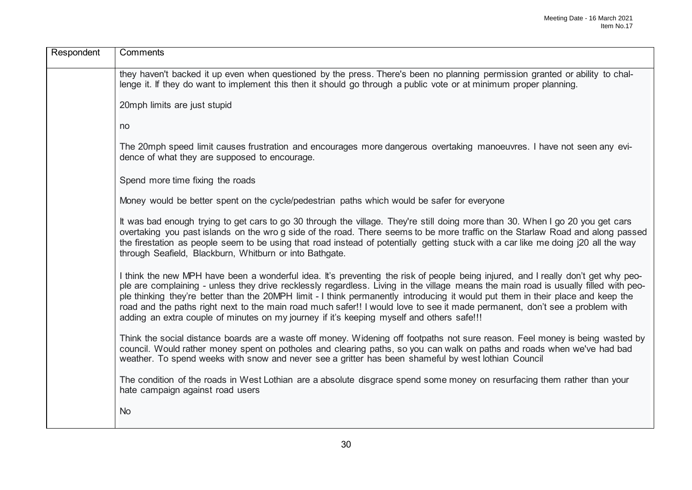| Respondent | Comments                                                                                                                                                                                                                                                                                                                                                                                                                                                                                                                                                                                                                                  |
|------------|-------------------------------------------------------------------------------------------------------------------------------------------------------------------------------------------------------------------------------------------------------------------------------------------------------------------------------------------------------------------------------------------------------------------------------------------------------------------------------------------------------------------------------------------------------------------------------------------------------------------------------------------|
|            | they haven't backed it up even when questioned by the press. There's been no planning permission granted or ability to chal-<br>lenge it. If they do want to implement this then it should go through a public vote or at minimum proper planning.                                                                                                                                                                                                                                                                                                                                                                                        |
|            | 20mph limits are just stupid                                                                                                                                                                                                                                                                                                                                                                                                                                                                                                                                                                                                              |
|            | no                                                                                                                                                                                                                                                                                                                                                                                                                                                                                                                                                                                                                                        |
|            | The 20mph speed limit causes frustration and encourages more dangerous overtaking manoeuvres. I have not seen any evi-<br>dence of what they are supposed to encourage.                                                                                                                                                                                                                                                                                                                                                                                                                                                                   |
|            | Spend more time fixing the roads                                                                                                                                                                                                                                                                                                                                                                                                                                                                                                                                                                                                          |
|            | Money would be better spent on the cycle/pedestrian paths which would be safer for everyone                                                                                                                                                                                                                                                                                                                                                                                                                                                                                                                                               |
|            | It was bad enough trying to get cars to go 30 through the village. They're still doing more than 30. When I go 20 you get cars<br>overtaking you past islands on the wro g side of the road. There seems to be more traffic on the Starlaw Road and along passed<br>the firestation as people seem to be using that road instead of potentially getting stuck with a car like me doing i20 all the way<br>through Seafield, Blackburn, Whitburn or into Bathgate.                                                                                                                                                                         |
|            | I think the new MPH have been a wonderful idea. It's preventing the risk of people being injured, and I really don't get why peo-<br>ple are complaining - unless they drive recklessly regardless. Living in the village means the main road is usually filled with peo-<br>ple thinking they're better than the 20MPH limit - I think permanently introducing it would put them in their place and keep the<br>road and the paths right next to the main road much safer!! I would love to see it made permanent, don't see a problem with<br>adding an extra couple of minutes on my journey if it's keeping myself and others safe!!! |
|            | Think the social distance boards are a waste off money. Widening off footpaths not sure reason. Feel money is being wasted by<br>council. Would rather money spent on potholes and clearing paths, so you can walk on paths and roads when we've had bad<br>weather. To spend weeks with snow and never see a gritter has been shameful by west lothian Council                                                                                                                                                                                                                                                                           |
|            | The condition of the roads in West Lothian are a absolute disgrace spend some money on resurfacing them rather than your<br>hate campaign against road users                                                                                                                                                                                                                                                                                                                                                                                                                                                                              |
|            | <b>No</b>                                                                                                                                                                                                                                                                                                                                                                                                                                                                                                                                                                                                                                 |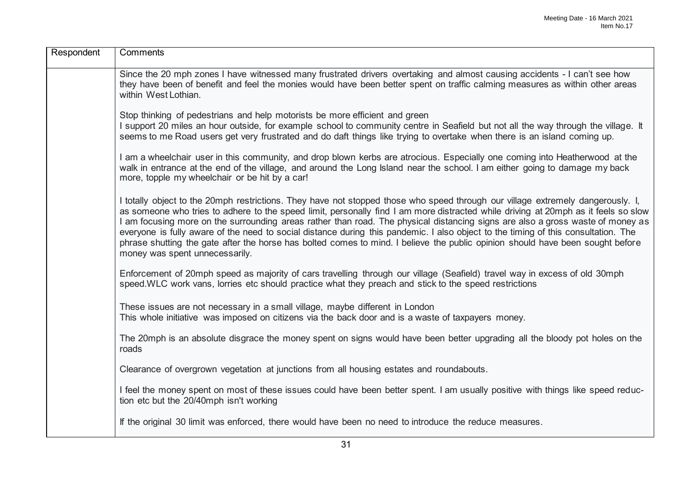| Respondent | Comments                                                                                                                                                                                                                                                                                                                                                                                                                                                                                                                                                                                                                                                                                                          |
|------------|-------------------------------------------------------------------------------------------------------------------------------------------------------------------------------------------------------------------------------------------------------------------------------------------------------------------------------------------------------------------------------------------------------------------------------------------------------------------------------------------------------------------------------------------------------------------------------------------------------------------------------------------------------------------------------------------------------------------|
|            | Since the 20 mph zones I have witnessed many frustrated drivers overtaking and almost causing accidents - I can't see how<br>they have been of benefit and feel the monies would have been better spent on traffic calming measures as within other areas<br>within West Lothian.                                                                                                                                                                                                                                                                                                                                                                                                                                 |
|            | Stop thinking of pedestrians and help motorists be more efficient and green<br>I support 20 miles an hour outside, for example school to community centre in Seafield but not all the way through the village. It<br>seems to me Road users get very frustrated and do daft things like trying to overtake when there is an island coming up.                                                                                                                                                                                                                                                                                                                                                                     |
|            | I am a wheelchair user in this community, and drop blown kerbs are atrocious. Especially one coming into Heatherwood at the<br>walk in entrance at the end of the village, and around the Long Island near the school. I am either going to damage my back<br>more, topple my wheelchair or be hit by a car!                                                                                                                                                                                                                                                                                                                                                                                                      |
|            | I totally object to the 20mph restrictions. They have not stopped those who speed through our village extremely dangerously. I,<br>as someone who tries to adhere to the speed limit, personally find I am more distracted while driving at 20mph as it feels so slow<br>I am focusing more on the surrounding areas rather than road. The physical distancing signs are also a gross waste of money as<br>everyone is fully aware of the need to social distance during this pandemic. I also object to the timing of this consultation. The<br>phrase shutting the gate after the horse has bolted comes to mind. I believe the public opinion should have been sought before<br>money was spent unnecessarily. |
|            | Enforcement of 20mph speed as majority of cars travelling through our village (Seafield) travel way in excess of old 30mph<br>speed. WLC work vans, lorries etc should practice what they preach and stick to the speed restrictions                                                                                                                                                                                                                                                                                                                                                                                                                                                                              |
|            | These issues are not necessary in a small village, maybe different in London<br>This whole initiative was imposed on citizens via the back door and is a waste of taxpayers money.                                                                                                                                                                                                                                                                                                                                                                                                                                                                                                                                |
|            | The 20mph is an absolute disgrace the money spent on signs would have been better upgrading all the bloody pot holes on the<br>roads                                                                                                                                                                                                                                                                                                                                                                                                                                                                                                                                                                              |
|            | Clearance of overgrown vegetation at junctions from all housing estates and roundabouts.                                                                                                                                                                                                                                                                                                                                                                                                                                                                                                                                                                                                                          |
|            | I feel the money spent on most of these issues could have been better spent. I am usually positive with things like speed reduc-<br>tion etc but the 20/40mph isn't working                                                                                                                                                                                                                                                                                                                                                                                                                                                                                                                                       |
|            | If the original 30 limit was enforced, there would have been no need to introduce the reduce measures.                                                                                                                                                                                                                                                                                                                                                                                                                                                                                                                                                                                                            |
|            |                                                                                                                                                                                                                                                                                                                                                                                                                                                                                                                                                                                                                                                                                                                   |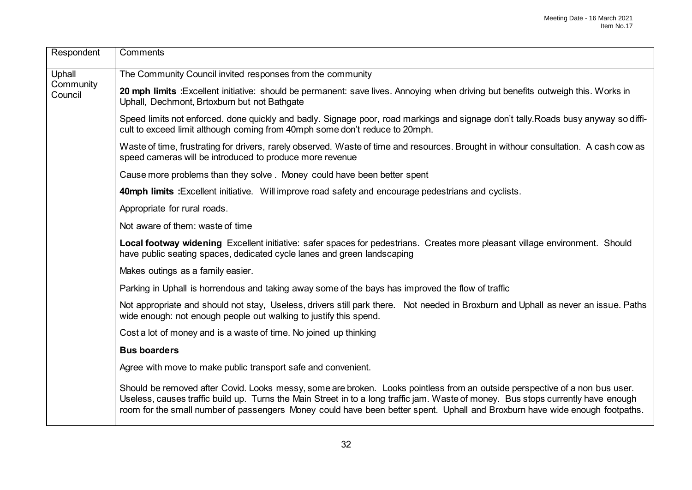| Respondent           | Comments                                                                                                                                                                                                                                                                                                                                                                                        |
|----------------------|-------------------------------------------------------------------------------------------------------------------------------------------------------------------------------------------------------------------------------------------------------------------------------------------------------------------------------------------------------------------------------------------------|
| Uphall               | The Community Council invited responses from the community                                                                                                                                                                                                                                                                                                                                      |
| Community<br>Council | 20 mph limits : Excellent initiative: should be permanent: save lives. Annoying when driving but benefits outweigh this. Works in<br>Uphall, Dechmont, Brtoxburn but not Bathgate                                                                                                                                                                                                               |
|                      | Speed limits not enforced. done quickly and badly. Signage poor, road markings and signage don't tally. Roads busy anyway so diffi-<br>cult to exceed limit although coming from 40mph some don't reduce to 20mph.                                                                                                                                                                              |
|                      | Waste of time, frustrating for drivers, rarely observed. Waste of time and resources. Brought in withour consultation. A cash cow as<br>speed cameras will be introduced to produce more revenue                                                                                                                                                                                                |
|                      | Cause more problems than they solve. Money could have been better spent                                                                                                                                                                                                                                                                                                                         |
|                      | 40mph limits : Excellent initiative. Will improve road safety and encourage pedestrians and cyclists.                                                                                                                                                                                                                                                                                           |
|                      | Appropriate for rural roads.                                                                                                                                                                                                                                                                                                                                                                    |
|                      | Not aware of them: waste of time                                                                                                                                                                                                                                                                                                                                                                |
|                      | Local footway widening Excellent initiative: safer spaces for pedestrians. Creates more pleasant village environment. Should<br>have public seating spaces, dedicated cycle lanes and green landscaping                                                                                                                                                                                         |
|                      | Makes outings as a family easier.                                                                                                                                                                                                                                                                                                                                                               |
|                      | Parking in Uphall is horrendous and taking away some of the bays has improved the flow of traffic                                                                                                                                                                                                                                                                                               |
|                      | Not appropriate and should not stay, Useless, drivers still park there. Not needed in Broxburn and Uphall as never an issue. Paths<br>wide enough: not enough people out walking to justify this spend.                                                                                                                                                                                         |
|                      | Cost a lot of money and is a waste of time. No joined up thinking                                                                                                                                                                                                                                                                                                                               |
|                      | <b>Bus boarders</b>                                                                                                                                                                                                                                                                                                                                                                             |
|                      | Agree with move to make public transport safe and convenient.                                                                                                                                                                                                                                                                                                                                   |
|                      | Should be removed after Covid. Looks messy, some are broken. Looks pointless from an outside perspective of a non bus user.<br>Useless, causes traffic build up. Turns the Main Street in to a long traffic jam. Waste of money. Bus stops currently have enough<br>room for the small number of passengers Money could have been better spent. Uphall and Broxburn have wide enough footpaths. |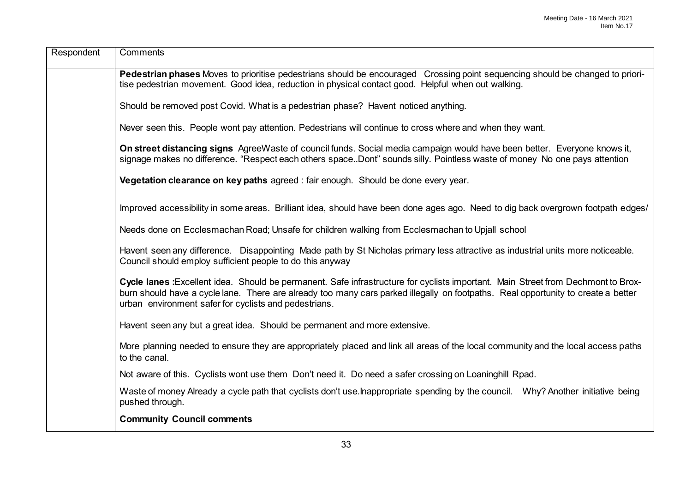| Respondent | Comments                                                                                                                                                                                                                                                                                                                        |
|------------|---------------------------------------------------------------------------------------------------------------------------------------------------------------------------------------------------------------------------------------------------------------------------------------------------------------------------------|
|            | Pedestrian phases Moves to prioritise pedestrians should be encouraged Crossing point sequencing should be changed to priori-<br>tise pedestrian movement. Good idea, reduction in physical contact good. Helpful when out walking.                                                                                             |
|            | Should be removed post Covid. What is a pedestrian phase? Havent noticed anything.                                                                                                                                                                                                                                              |
|            | Never seen this. People wont pay attention. Pedestrians will continue to cross where and when they want.                                                                                                                                                                                                                        |
|            | On street distancing signs AgreeWaste of council funds. Social media campaign would have been better. Everyone knows it,<br>signage makes no difference. "Respect each others space. Dont" sounds silly. Pointless waste of money No one pays attention                                                                         |
|            | Vegetation clearance on key paths agreed : fair enough. Should be done every year.                                                                                                                                                                                                                                              |
|            | Improved accessibility in some areas. Brilliant idea, should have been done ages ago. Need to dig back overgrown footpath edges/                                                                                                                                                                                                |
|            | Needs done on Ecclesmachan Road; Unsafe for children walking from Ecclesmachan to Upjall school                                                                                                                                                                                                                                 |
|            | Havent seen any difference. Disappointing Made path by St Nicholas primary less attractive as industrial units more noticeable.<br>Council should employ sufficient people to do this anyway                                                                                                                                    |
|            | Cycle lanes : Excellent idea. Should be permanent. Safe infrastructure for cyclists important. Main Street from Dechmont to Brox-<br>burn should have a cycle lane. There are already too many cars parked illegally on footpaths. Real opportunity to create a better<br>urban environment safer for cyclists and pedestrians. |
|            | Havent seen any but a great idea. Should be permanent and more extensive.                                                                                                                                                                                                                                                       |
|            | More planning needed to ensure they are appropriately placed and link all areas of the local community and the local access paths<br>to the canal.                                                                                                                                                                              |
|            | Not aware of this. Cyclists wont use them Don't need it. Do need a safer crossing on Loaninghill Rpad.                                                                                                                                                                                                                          |
|            | Waste of money Already a cycle path that cyclists don't use Inappropriate spending by the council. Why? Another initiative being<br>pushed through.                                                                                                                                                                             |
|            | <b>Community Council comments</b>                                                                                                                                                                                                                                                                                               |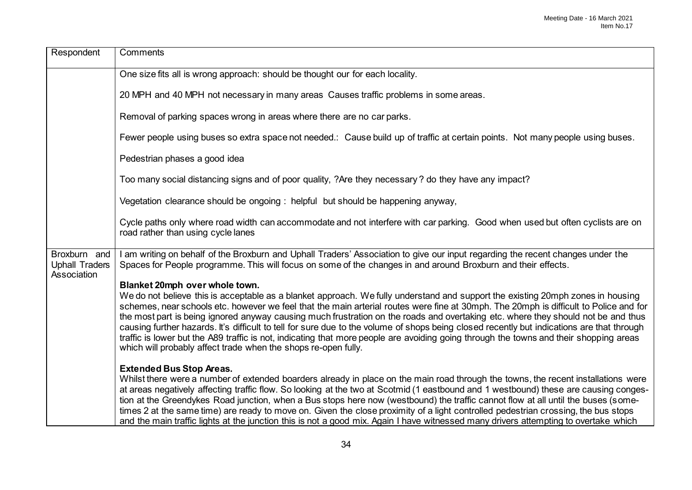| Respondent                                           | Comments                                                                                                                                                                                                                                                                                                                                                                                                                                                                                                                                                                                                                                                                                                                                                                                                  |
|------------------------------------------------------|-----------------------------------------------------------------------------------------------------------------------------------------------------------------------------------------------------------------------------------------------------------------------------------------------------------------------------------------------------------------------------------------------------------------------------------------------------------------------------------------------------------------------------------------------------------------------------------------------------------------------------------------------------------------------------------------------------------------------------------------------------------------------------------------------------------|
|                                                      | One size fits all is wrong approach: should be thought our for each locality.                                                                                                                                                                                                                                                                                                                                                                                                                                                                                                                                                                                                                                                                                                                             |
|                                                      | 20 MPH and 40 MPH not necessary in many areas Causes traffic problems in some areas.                                                                                                                                                                                                                                                                                                                                                                                                                                                                                                                                                                                                                                                                                                                      |
|                                                      | Removal of parking spaces wrong in areas where there are no car parks.                                                                                                                                                                                                                                                                                                                                                                                                                                                                                                                                                                                                                                                                                                                                    |
|                                                      | Fewer people using buses so extra space not needed.: Cause build up of traffic at certain points. Not many people using buses.                                                                                                                                                                                                                                                                                                                                                                                                                                                                                                                                                                                                                                                                            |
|                                                      | Pedestrian phases a good idea                                                                                                                                                                                                                                                                                                                                                                                                                                                                                                                                                                                                                                                                                                                                                                             |
|                                                      | Too many social distancing signs and of poor quality, ?Are they necessary? do they have any impact?                                                                                                                                                                                                                                                                                                                                                                                                                                                                                                                                                                                                                                                                                                       |
|                                                      | Vegetation clearance should be ongoing : helpful but should be happening anyway,                                                                                                                                                                                                                                                                                                                                                                                                                                                                                                                                                                                                                                                                                                                          |
|                                                      | Cycle paths only where road width can accommodate and not interfere with car parking. Good when used but often cyclists are on<br>road rather than using cycle lanes                                                                                                                                                                                                                                                                                                                                                                                                                                                                                                                                                                                                                                      |
| Broxburn and<br><b>Uphall Traders</b><br>Association | I am writing on behalf of the Broxburn and Uphall Traders' Association to give our input regarding the recent changes under the<br>Spaces for People programme. This will focus on some of the changes in and around Broxburn and their effects.                                                                                                                                                                                                                                                                                                                                                                                                                                                                                                                                                          |
|                                                      | Blanket 20mph over whole town.<br>We do not believe this is acceptable as a blanket approach. We fully understand and support the existing 20mph zones in housing<br>schemes, near schools etc. however we feel that the main arterial routes were fine at 30mph. The 20mph is difficult to Police and for<br>the most part is being ignored anyway causing much frustration on the roads and overtaking etc. where they should not be and thus<br>causing further hazards. It's difficult to tell for sure due to the volume of shops being closed recently but indications are that through<br>traffic is lower but the A89 traffic is not, indicating that more people are avoiding going through the towns and their shopping areas<br>which will probably affect trade when the shops re-open fully. |
|                                                      | <b>Extended Bus Stop Areas.</b><br>Whilst there were a number of extended boarders already in place on the main road through the towns, the recent installations were<br>at areas negatively affecting traffic flow. So looking at the two at Scotmid (1 eastbound and 1 westbound) these are causing conges-<br>tion at the Greendykes Road junction, when a Bus stops here now (westbound) the traffic cannot flow at all until the buses (some-<br>times 2 at the same time) are ready to move on. Given the close proximity of a light controlled pedestrian crossing, the bus stops<br>and the main traffic lights at the junction this is not a good mix. Again I have witnessed many drivers attempting to overtake which                                                                          |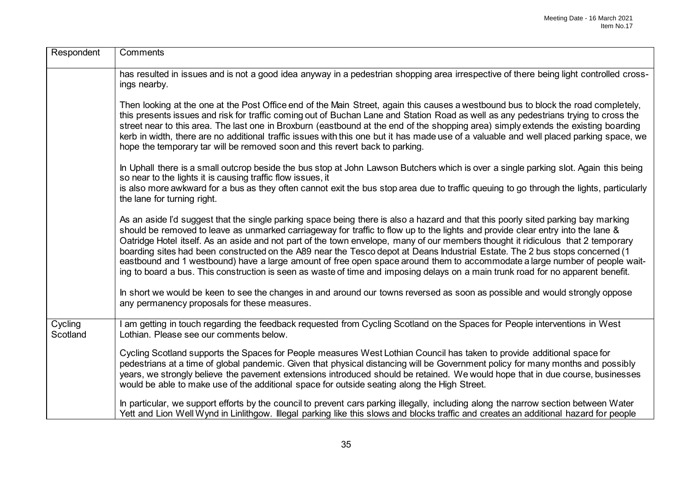| Respondent          | Comments                                                                                                                                                                                                                                                                                                                                                                                                                                                                                                                                                                                                                                                                                                                                                                                                    |
|---------------------|-------------------------------------------------------------------------------------------------------------------------------------------------------------------------------------------------------------------------------------------------------------------------------------------------------------------------------------------------------------------------------------------------------------------------------------------------------------------------------------------------------------------------------------------------------------------------------------------------------------------------------------------------------------------------------------------------------------------------------------------------------------------------------------------------------------|
|                     | has resulted in issues and is not a good idea anyway in a pedestrian shopping area irrespective of there being light controlled cross-<br>ings nearby.                                                                                                                                                                                                                                                                                                                                                                                                                                                                                                                                                                                                                                                      |
|                     | Then looking at the one at the Post Office end of the Main Street, again this causes a westbound bus to block the road completely,<br>this presents issues and risk for traffic coming out of Buchan Lane and Station Road as well as any pedestrians trying to cross the<br>street near to this area. The last one in Broxburn (eastbound at the end of the shopping area) simply extends the existing boarding<br>kerb in width, there are no additional traffic issues with this one but it has made use of a valuable and well placed parking space, we<br>hope the temporary tar will be removed soon and this revert back to parking.                                                                                                                                                                 |
|                     | In Uphall there is a small outcrop beside the bus stop at John Lawson Butchers which is over a single parking slot. Again this being<br>so near to the lights it is causing traffic flow issues, it                                                                                                                                                                                                                                                                                                                                                                                                                                                                                                                                                                                                         |
|                     | is also more awkward for a bus as they often cannot exit the bus stop area due to traffic queuing to go through the lights, particularly<br>the lane for turning right.                                                                                                                                                                                                                                                                                                                                                                                                                                                                                                                                                                                                                                     |
|                     | As an aside I'd suggest that the single parking space being there is also a hazard and that this poorly sited parking bay marking<br>should be removed to leave as unmarked carriageway for traffic to flow up to the lights and provide clear entry into the lane &<br>Oatridge Hotel itself. As an aside and not part of the town envelope, many of our members thought it ridiculous that 2 temporary<br>boarding sites had been constructed on the A89 near the Tesco depot at Deans Industrial Estate. The 2 bus stops concerned (1<br>eastbound and 1 westbound) have a large amount of free open space around them to accommodate a large number of people wait-<br>ing to board a bus. This construction is seen as waste of time and imposing delays on a main trunk road for no apparent benefit. |
|                     | In short we would be keen to see the changes in and around our towns reversed as soon as possible and would strongly oppose<br>any permanency proposals for these measures.                                                                                                                                                                                                                                                                                                                                                                                                                                                                                                                                                                                                                                 |
| Cycling<br>Scotland | I am getting in touch regarding the feedback requested from Cycling Scotland on the Spaces for People interventions in West<br>Lothian. Please see our comments below.                                                                                                                                                                                                                                                                                                                                                                                                                                                                                                                                                                                                                                      |
|                     | Cycling Scotland supports the Spaces for People measures West Lothian Council has taken to provide additional space for<br>pedestrians at a time of global pandemic. Given that physical distancing will be Government policy for many months and possibly<br>years, we strongly believe the pavement extensions introduced should be retained. We would hope that in due course, businesses<br>would be able to make use of the additional space for outside seating along the High Street.                                                                                                                                                                                                                                                                                                                |
|                     | In particular, we support efforts by the council to prevent cars parking illegally, including along the narrow section between Water<br>Yett and Lion Well Wynd in Linlithgow. Illegal parking like this slows and blocks traffic and creates an additional hazard for people                                                                                                                                                                                                                                                                                                                                                                                                                                                                                                                               |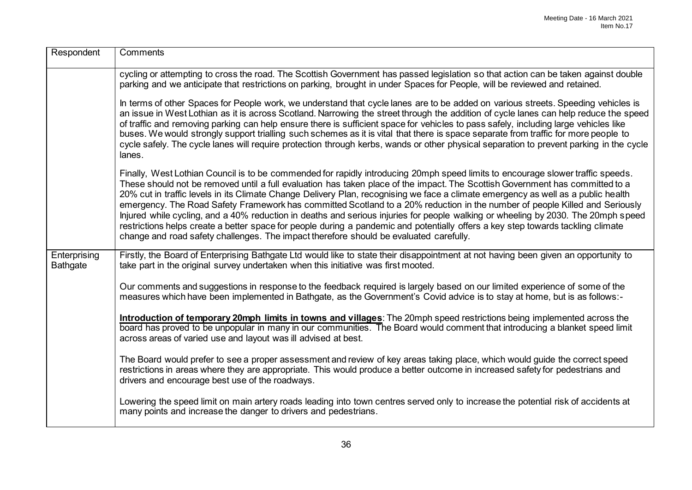| Respondent                      | Comments                                                                                                                                                                                                                                                                                                                                                                                                                                                                                                                                                                                                                                                                                                                                                                                                                                                                                                |
|---------------------------------|---------------------------------------------------------------------------------------------------------------------------------------------------------------------------------------------------------------------------------------------------------------------------------------------------------------------------------------------------------------------------------------------------------------------------------------------------------------------------------------------------------------------------------------------------------------------------------------------------------------------------------------------------------------------------------------------------------------------------------------------------------------------------------------------------------------------------------------------------------------------------------------------------------|
|                                 | cycling or attempting to cross the road. The Scottish Government has passed legislation so that action can be taken against double<br>parking and we anticipate that restrictions on parking, brought in under Spaces for People, will be reviewed and retained.                                                                                                                                                                                                                                                                                                                                                                                                                                                                                                                                                                                                                                        |
|                                 | In terms of other Spaces for People work, we understand that cycle lanes are to be added on various streets. Speeding vehicles is<br>an issue in West Lothian as it is across Scotland. Narrowing the street through the addition of cycle lanes can help reduce the speed<br>of traffic and removing parking can help ensure there is sufficient space for vehicles to pass safely, including large vehicles like<br>buses. We would strongly support trialling such schemes as it is vital that there is space separate from traffic for more people to<br>cycle safely. The cycle lanes will require protection through kerbs, wands or other physical separation to prevent parking in the cycle<br>lanes.                                                                                                                                                                                          |
|                                 | Finally, West Lothian Council is to be commended for rapidly introducing 20mph speed limits to encourage slower traffic speeds.<br>These should not be removed until a full evaluation has taken place of the impact. The Scottish Government has committed to a<br>20% cut in traffic levels in its Climate Change Delivery Plan, recognising we face a climate emergency as well as a public health<br>emergency. The Road Safety Framework has committed Scotland to a 20% reduction in the number of people Killed and Seriously<br>Injured while cycling, and a 40% reduction in deaths and serious injuries for people walking or wheeling by 2030. The 20mph speed<br>restrictions helps create a better space for people during a pandemic and potentially offers a key step towards tackling climate<br>change and road safety challenges. The impact therefore should be evaluated carefully. |
| Enterprising<br><b>Bathgate</b> | Firstly, the Board of Enterprising Bathgate Ltd would like to state their disappointment at not having been given an opportunity to<br>take part in the original survey undertaken when this initiative was first mooted.                                                                                                                                                                                                                                                                                                                                                                                                                                                                                                                                                                                                                                                                               |
|                                 | Our comments and suggestions in response to the feedback required is largely based on our limited experience of some of the<br>measures which have been implemented in Bathgate, as the Government's Covid advice is to stay at home, but is as follows:-                                                                                                                                                                                                                                                                                                                                                                                                                                                                                                                                                                                                                                               |
|                                 | Introduction of temporary 20mph limits in towns and villages: The 20mph speed restrictions being implemented across the<br>board has proved to be unpopular in many in our communities. The Board would comment that introducing a blanket speed limit<br>across areas of varied use and layout was ill advised at best.                                                                                                                                                                                                                                                                                                                                                                                                                                                                                                                                                                                |
|                                 | The Board would prefer to see a proper assessment and review of key areas taking place, which would guide the correct speed<br>restrictions in areas where they are appropriate. This would produce a better outcome in increased safety for pedestrians and<br>drivers and encourage best use of the roadways.                                                                                                                                                                                                                                                                                                                                                                                                                                                                                                                                                                                         |
|                                 | Lowering the speed limit on main artery roads leading into town centres served only to increase the potential risk of accidents at<br>many points and increase the danger to drivers and pedestrians.                                                                                                                                                                                                                                                                                                                                                                                                                                                                                                                                                                                                                                                                                                   |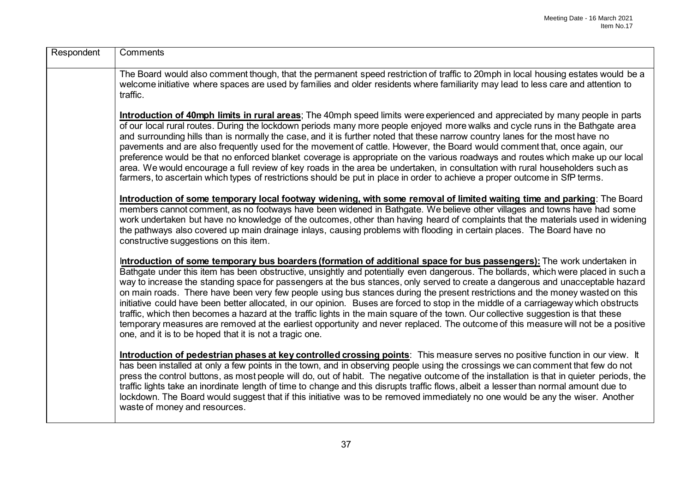| Respondent | Comments                                                                                                                                                                                                                                                                                                                                                                                                                                                                                                                                                                                                                                                                                                                                                                                                                                                                                                                                                                                                       |
|------------|----------------------------------------------------------------------------------------------------------------------------------------------------------------------------------------------------------------------------------------------------------------------------------------------------------------------------------------------------------------------------------------------------------------------------------------------------------------------------------------------------------------------------------------------------------------------------------------------------------------------------------------------------------------------------------------------------------------------------------------------------------------------------------------------------------------------------------------------------------------------------------------------------------------------------------------------------------------------------------------------------------------|
|            | The Board would also comment though, that the permanent speed restriction of traffic to 20mph in local housing estates would be a<br>welcome initiative where spaces are used by families and older residents where familiarity may lead to less care and attention to<br>traffic.                                                                                                                                                                                                                                                                                                                                                                                                                                                                                                                                                                                                                                                                                                                             |
|            | Introduction of 40mph limits in rural areas; The 40mph speed limits were experienced and appreciated by many people in parts<br>of our local rural routes. During the lockdown periods many more people enjoyed more walks and cycle runs in the Bathgate area<br>and surrounding hills than is normally the case, and it is further noted that these narrow country lanes for the most have no<br>pavements and are also frequently used for the movement of cattle. However, the Board would comment that, once again, our<br>preference would be that no enforced blanket coverage is appropriate on the various roadways and routes which make up our local<br>area. We would encourage a full review of key roads in the area be undertaken, in consultation with rural householders such as<br>farmers, to ascertain which types of restrictions should be put in place in order to achieve a proper outcome in SfP terms.                                                                               |
|            | Introduction of some temporary local footway widening, with some removal of limited waiting time and parking: The Board<br>members cannot comment, as no footways have been widened in Bathgate. We believe other villages and towns have had some<br>work undertaken but have no knowledge of the outcomes, other than having heard of complaints that the materials used in widening<br>the pathways also covered up main drainage inlays, causing problems with flooding in certain places. The Board have no<br>constructive suggestions on this item.                                                                                                                                                                                                                                                                                                                                                                                                                                                     |
|            | Introduction of some temporary bus boarders (formation of additional space for bus passengers): The work undertaken in<br>Bathgate under this item has been obstructive, unsightly and potentially even dangerous. The bollards, which were placed in such a<br>way to increase the standing space for passengers at the bus stances, only served to create a dangerous and unacceptable hazard<br>on main roads. There have been very few people using bus stances during the present restrictions and the money wasted on this<br>initiative could have been better allocated, in our opinion. Buses are forced to stop in the middle of a carriageway which obstructs<br>traffic, which then becomes a hazard at the traffic lights in the main square of the town. Our collective suggestion is that these<br>temporary measures are removed at the earliest opportunity and never replaced. The outcome of this measure will not be a positive<br>one, and it is to be hoped that it is not a tragic one. |
|            | Introduction of pedestrian phases at key controlled crossing points: This measure serves no positive function in our view. It<br>has been installed at only a few points in the town, and in observing people using the crossings we can comment that few do not<br>press the control buttons, as most people will do, out of habit. The negative outcome of the installation is that in quieter periods, the<br>traffic lights take an inordinate length of time to change and this disrupts traffic flows, albeit a lesser than normal amount due to<br>lockdown. The Board would suggest that if this initiative was to be removed immediately no one would be any the wiser. Another<br>waste of money and resources.                                                                                                                                                                                                                                                                                      |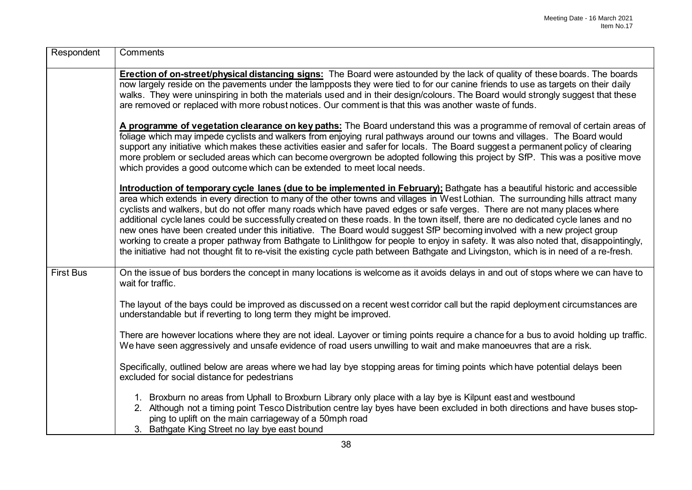| Respondent       | Comments                                                                                                                                                                                                                                                                                                                                                                                                                                                                                                                                                                                                                                                                                                                                                                                                                                                                                                                                            |
|------------------|-----------------------------------------------------------------------------------------------------------------------------------------------------------------------------------------------------------------------------------------------------------------------------------------------------------------------------------------------------------------------------------------------------------------------------------------------------------------------------------------------------------------------------------------------------------------------------------------------------------------------------------------------------------------------------------------------------------------------------------------------------------------------------------------------------------------------------------------------------------------------------------------------------------------------------------------------------|
|                  | Erection of on-street/physical distancing signs: The Board were astounded by the lack of quality of these boards. The boards<br>now largely reside on the pavements under the lampposts they were tied to for our canine friends to use as targets on their daily<br>walks. They were uninspiring in both the materials used and in their design/colours. The Board would strongly suggest that these<br>are removed or replaced with more robust notices. Our comment is that this was another waste of funds.                                                                                                                                                                                                                                                                                                                                                                                                                                     |
|                  | A programme of vegetation clearance on key paths: The Board understand this was a programme of removal of certain areas of<br>foliage which may impede cyclists and walkers from enjoying rural pathways around our towns and villages. The Board would<br>support any initiative which makes these activities easier and safer for locals. The Board suggest a permanent policy of clearing<br>more problem or secluded areas which can become overgrown be adopted following this project by SfP. This was a positive move<br>which provides a good outcome which can be extended to meet local needs.                                                                                                                                                                                                                                                                                                                                            |
|                  | Introduction of temporary cycle lanes (due to be implemented in February); Bathgate has a beautiful historic and accessible<br>area which extends in every direction to many of the other towns and villages in West Lothian. The surrounding hills attract many<br>cyclists and walkers, but do not offer many roads which have paved edges or safe verges. There are not many places where<br>additional cycle lanes could be successfully created on these roads. In the town itself, there are no dedicated cycle lanes and no<br>new ones have been created under this initiative. The Board would suggest SfP becoming involved with a new project group<br>working to create a proper pathway from Bathgate to Linlithgow for people to enjoy in safety. It was also noted that, disappointingly,<br>the initiative had not thought fit to re-visit the existing cycle path between Bathgate and Livingston, which is in need of a re-fresh. |
| <b>First Bus</b> | On the issue of bus borders the concept in many locations is welcome as it avoids delays in and out of stops where we can have to<br>wait for traffic.                                                                                                                                                                                                                                                                                                                                                                                                                                                                                                                                                                                                                                                                                                                                                                                              |
|                  | The layout of the bays could be improved as discussed on a recent west corridor call but the rapid deployment circumstances are<br>understandable but if reverting to long term they might be improved.                                                                                                                                                                                                                                                                                                                                                                                                                                                                                                                                                                                                                                                                                                                                             |
|                  | There are however locations where they are not ideal. Layover or timing points require a chance for a bus to avoid holding up traffic.<br>We have seen aggressively and unsafe evidence of road users unwilling to wait and make manoeuvres that are a risk.                                                                                                                                                                                                                                                                                                                                                                                                                                                                                                                                                                                                                                                                                        |
|                  | Specifically, outlined below are areas where we had lay bye stopping areas for timing points which have potential delays been<br>excluded for social distance for pedestrians                                                                                                                                                                                                                                                                                                                                                                                                                                                                                                                                                                                                                                                                                                                                                                       |
|                  | 1. Broxburn no areas from Uphall to Broxburn Library only place with a lay bye is Kilpunt east and westbound<br>2. Although not a timing point Tesco Distribution centre lay byes have been excluded in both directions and have buses stop-<br>ping to uplift on the main carriageway of a 50mph road<br>3. Bathgate King Street no lay bye east bound                                                                                                                                                                                                                                                                                                                                                                                                                                                                                                                                                                                             |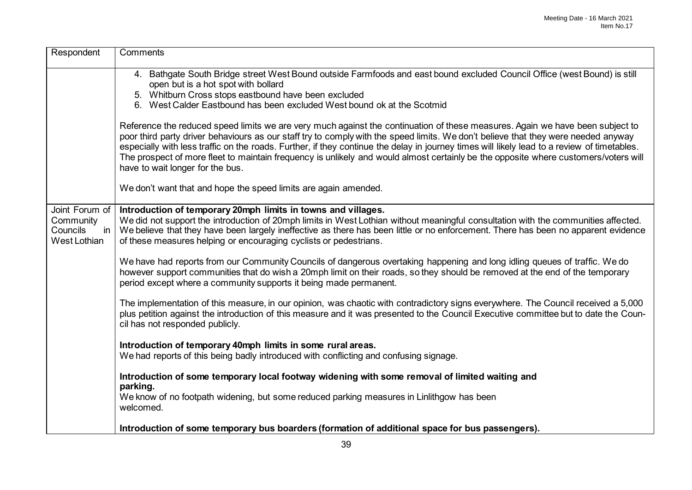| Respondent                                                    | Comments                                                                                                                                                                                                                                                                                                                                                                                                                                                                                                                                                                                      |
|---------------------------------------------------------------|-----------------------------------------------------------------------------------------------------------------------------------------------------------------------------------------------------------------------------------------------------------------------------------------------------------------------------------------------------------------------------------------------------------------------------------------------------------------------------------------------------------------------------------------------------------------------------------------------|
|                                                               | 4. Bathgate South Bridge street West Bound outside Farmfoods and east bound excluded Council Office (west Bound) is still<br>open but is a hot spot with bollard<br>5. Whitburn Cross stops eastbound have been excluded<br>6. West Calder Eastbound has been excluded West bound ok at the Scotmid                                                                                                                                                                                                                                                                                           |
|                                                               | Reference the reduced speed limits we are very much against the continuation of these measures. Again we have been subject to<br>poor third party driver behaviours as our staff try to comply with the speed limits. We don't believe that they were needed anyway<br>especially with less traffic on the roads. Further, if they continue the delay in journey times will likely lead to a review of timetables.<br>The prospect of more fleet to maintain frequency is unlikely and would almost certainly be the opposite where customers/voters will<br>have to wait longer for the bus. |
|                                                               | We don't want that and hope the speed limits are again amended.                                                                                                                                                                                                                                                                                                                                                                                                                                                                                                                               |
| Joint Forum of<br>Community<br>Councils<br>in<br>West Lothian | Introduction of temporary 20mph limits in towns and villages.<br>We did not support the introduction of 20mph limits in West Lothian without meaningful consultation with the communities affected.<br>We believe that they have been largely ineffective as there has been little or no enforcement. There has been no apparent evidence<br>of these measures helping or encouraging cyclists or pedestrians.                                                                                                                                                                                |
|                                                               | We have had reports from our Community Councils of dangerous overtaking happening and long idling queues of traffic. We do<br>however support communities that do wish a 20mph limit on their roads, so they should be removed at the end of the temporary<br>period except where a community supports it being made permanent.                                                                                                                                                                                                                                                               |
|                                                               | The implementation of this measure, in our opinion, was chaotic with contradictory signs everywhere. The Council received a 5,000<br>plus petition against the introduction of this measure and it was presented to the Council Executive committee but to date the Coun-<br>cil has not responded publicly.                                                                                                                                                                                                                                                                                  |
|                                                               | Introduction of temporary 40mph limits in some rural areas.<br>We had reports of this being badly introduced with conflicting and confusing signage.                                                                                                                                                                                                                                                                                                                                                                                                                                          |
|                                                               | Introduction of some temporary local footway widening with some removal of limited waiting and<br>parking.                                                                                                                                                                                                                                                                                                                                                                                                                                                                                    |
|                                                               | We know of no footpath widening, but some reduced parking measures in Linlithgow has been<br>welcomed.                                                                                                                                                                                                                                                                                                                                                                                                                                                                                        |
|                                                               | Introduction of some temporary bus boarders (formation of additional space for bus passengers).                                                                                                                                                                                                                                                                                                                                                                                                                                                                                               |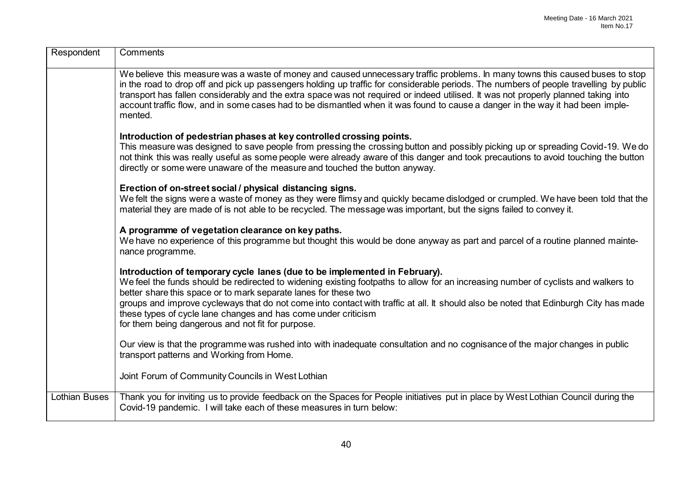| Respondent           | Comments                                                                                                                                                                                                                                                                                                                                                                                                                                                                                                                                                   |
|----------------------|------------------------------------------------------------------------------------------------------------------------------------------------------------------------------------------------------------------------------------------------------------------------------------------------------------------------------------------------------------------------------------------------------------------------------------------------------------------------------------------------------------------------------------------------------------|
|                      | We believe this measure was a waste of money and caused unnecessary traffic problems. In many towns this caused buses to stop<br>in the road to drop off and pick up passengers holding up traffic for considerable periods. The numbers of people travelling by public<br>transport has fallen considerably and the extra space was not required or indeed utilised. It was not properly planned taking into<br>account traffic flow, and in some cases had to be dismantled when it was found to cause a danger in the way it had been imple-<br>mented. |
|                      | Introduction of pedestrian phases at key controlled crossing points.<br>This measure was designed to save people from pressing the crossing button and possibly picking up or spreading Covid-19. We do<br>not think this was really useful as some people were already aware of this danger and took precautions to avoid touching the button<br>directly or some were unaware of the measure and touched the button anyway.                                                                                                                              |
|                      | Erection of on-street social / physical distancing signs.<br>We felt the signs were a waste of money as they were flimsy and quickly became dislodged or crumpled. We have been told that the<br>material they are made of is not able to be recycled. The message was important, but the signs failed to convey it.                                                                                                                                                                                                                                       |
|                      | A programme of vegetation clearance on key paths.<br>We have no experience of this programme but thought this would be done anyway as part and parcel of a routine planned mainte-<br>nance programme.                                                                                                                                                                                                                                                                                                                                                     |
|                      | Introduction of temporary cycle lanes (due to be implemented in February).<br>We feel the funds should be redirected to widening existing footpaths to allow for an increasing number of cyclists and walkers to<br>better share this space or to mark separate lanes for these two<br>groups and improve cycleways that do not come into contact with traffic at all. It should also be noted that Edinburgh City has made<br>these types of cycle lane changes and has come under criticism<br>for them being dangerous and not fit for purpose.         |
|                      | Our view is that the programme was rushed into with inadequate consultation and no cognisance of the major changes in public<br>transport patterns and Working from Home.                                                                                                                                                                                                                                                                                                                                                                                  |
|                      | Joint Forum of Community Councils in West Lothian                                                                                                                                                                                                                                                                                                                                                                                                                                                                                                          |
| <b>Lothian Buses</b> | Thank you for inviting us to provide feedback on the Spaces for People initiatives put in place by West Lothian Council during the<br>Covid-19 pandemic. I will take each of these measures in turn below:                                                                                                                                                                                                                                                                                                                                                 |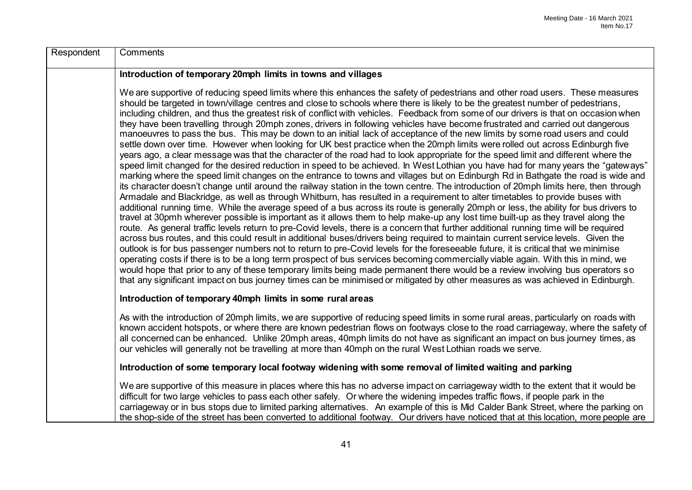| Respondent | Comments                                                                                                                                                                                                                                                                                                                                                                                                                                                                                                                                                                                                                                                                                                                                                                                                                                                                                                                                                                                                                                                                                                                                                                                                                                                                                                                                                                                                                                                                                                                                                                                                                                                                                                                                                                                                                                                                                                                                                                                                                                                                                                                                                                                                                                                                                                                                                                                                                                                                                                                                                                                                   |
|------------|------------------------------------------------------------------------------------------------------------------------------------------------------------------------------------------------------------------------------------------------------------------------------------------------------------------------------------------------------------------------------------------------------------------------------------------------------------------------------------------------------------------------------------------------------------------------------------------------------------------------------------------------------------------------------------------------------------------------------------------------------------------------------------------------------------------------------------------------------------------------------------------------------------------------------------------------------------------------------------------------------------------------------------------------------------------------------------------------------------------------------------------------------------------------------------------------------------------------------------------------------------------------------------------------------------------------------------------------------------------------------------------------------------------------------------------------------------------------------------------------------------------------------------------------------------------------------------------------------------------------------------------------------------------------------------------------------------------------------------------------------------------------------------------------------------------------------------------------------------------------------------------------------------------------------------------------------------------------------------------------------------------------------------------------------------------------------------------------------------------------------------------------------------------------------------------------------------------------------------------------------------------------------------------------------------------------------------------------------------------------------------------------------------------------------------------------------------------------------------------------------------------------------------------------------------------------------------------------------------|
|            | Introduction of temporary 20mph limits in towns and villages                                                                                                                                                                                                                                                                                                                                                                                                                                                                                                                                                                                                                                                                                                                                                                                                                                                                                                                                                                                                                                                                                                                                                                                                                                                                                                                                                                                                                                                                                                                                                                                                                                                                                                                                                                                                                                                                                                                                                                                                                                                                                                                                                                                                                                                                                                                                                                                                                                                                                                                                               |
|            | We are supportive of reducing speed limits where this enhances the safety of pedestrians and other road users. These measures<br>should be targeted in town/village centres and close to schools where there is likely to be the greatest number of pedestrians,<br>including children, and thus the greatest risk of conflict with vehicles. Feedback from some of our drivers is that on occasion when<br>they have been travelling through 20mph zones, drivers in following vehicles have become frustrated and carried out dangerous<br>manoeuvres to pass the bus. This may be down to an initial lack of acceptance of the new limits by some road users and could<br>settle down over time. However when looking for UK best practice when the 20mph limits were rolled out across Edinburgh five<br>years ago, a clear message was that the character of the road had to look appropriate for the speed limit and different where the<br>speed limit changed for the desired reduction in speed to be achieved. In West Lothian you have had for many years the "gateways"<br>marking where the speed limit changes on the entrance to towns and villages but on Edinburgh Rd in Bathgate the road is wide and<br>its character doesn't change until around the railway station in the town centre. The introduction of 20mph limits here, then through<br>Armadale and Blackridge, as well as through Whitburn, has resulted in a requirement to alter timetables to provide buses with<br>additional running time. While the average speed of a bus across its route is generally 20mph or less, the ability for bus drivers to<br>travel at 30pmh wherever possible is important as it allows them to help make-up any lost time built-up as they travel along the<br>route. As general traffic levels return to pre-Covid levels, there is a concern that further additional running time will be required<br>across bus routes, and this could result in additional buses/drivers being required to maintain current service levels. Given the<br>outlook is for bus passenger numbers not to return to pre-Covid levels for the foreseeable future, it is critical that we minimise<br>operating costs if there is to be a long term prospect of bus services becoming commercially viable again. With this in mind, we<br>would hope that prior to any of these temporary limits being made permanent there would be a review involving bus operators so<br>that any significant impact on bus journey times can be minimised or mitigated by other measures as was achieved in Edinburgh. |
|            | Introduction of temporary 40mph limits in some rural areas                                                                                                                                                                                                                                                                                                                                                                                                                                                                                                                                                                                                                                                                                                                                                                                                                                                                                                                                                                                                                                                                                                                                                                                                                                                                                                                                                                                                                                                                                                                                                                                                                                                                                                                                                                                                                                                                                                                                                                                                                                                                                                                                                                                                                                                                                                                                                                                                                                                                                                                                                 |
|            | As with the introduction of 20mph limits, we are supportive of reducing speed limits in some rural areas, particularly on roads with<br>known accident hotspots, or where there are known pedestrian flows on footways close to the road carriageway, where the safety of<br>all concerned can be enhanced. Unlike 20mph areas, 40mph limits do not have as significant an impact on bus journey times, as<br>our vehicles will generally not be travelling at more than 40mph on the rural West Lothian roads we serve.                                                                                                                                                                                                                                                                                                                                                                                                                                                                                                                                                                                                                                                                                                                                                                                                                                                                                                                                                                                                                                                                                                                                                                                                                                                                                                                                                                                                                                                                                                                                                                                                                                                                                                                                                                                                                                                                                                                                                                                                                                                                                   |
|            | Introduction of some temporary local footway widening with some removal of limited waiting and parking                                                                                                                                                                                                                                                                                                                                                                                                                                                                                                                                                                                                                                                                                                                                                                                                                                                                                                                                                                                                                                                                                                                                                                                                                                                                                                                                                                                                                                                                                                                                                                                                                                                                                                                                                                                                                                                                                                                                                                                                                                                                                                                                                                                                                                                                                                                                                                                                                                                                                                     |
|            | We are supportive of this measure in places where this has no adverse impact on carriageway width to the extent that it would be<br>difficult for two large vehicles to pass each other safely. Or where the widening impedes traffic flows, if people park in the<br>carriageway or in bus stops due to limited parking alternatives. An example of this is Mid Calder Bank Street, where the parking on<br>the shop-side of the street has been converted to additional footway. Our drivers have noticed that at this location, more people are                                                                                                                                                                                                                                                                                                                                                                                                                                                                                                                                                                                                                                                                                                                                                                                                                                                                                                                                                                                                                                                                                                                                                                                                                                                                                                                                                                                                                                                                                                                                                                                                                                                                                                                                                                                                                                                                                                                                                                                                                                                         |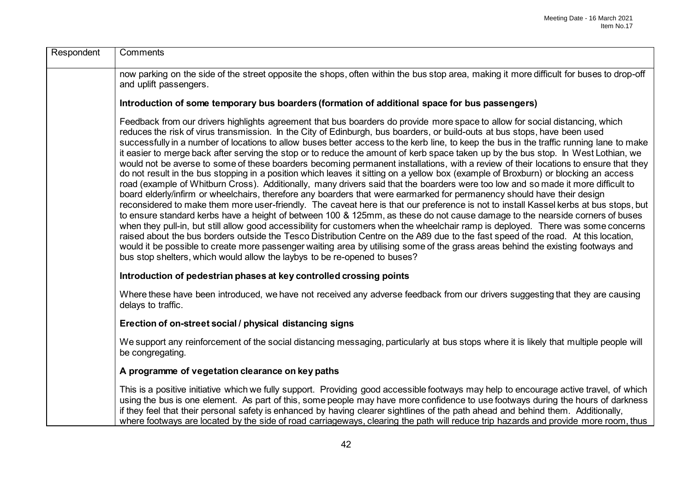| Respondent | Comments                                                                                                                                                                                                                                                                                                                                                                                                                                                                                                                                                                                                                                                                                                                                                                                                                                                                                                                                                                                                                                                                                                                                                                                                                                                                                                                                                                                                                                                                                                                                                                                                                                                                                                                                                                                                                                                         |
|------------|------------------------------------------------------------------------------------------------------------------------------------------------------------------------------------------------------------------------------------------------------------------------------------------------------------------------------------------------------------------------------------------------------------------------------------------------------------------------------------------------------------------------------------------------------------------------------------------------------------------------------------------------------------------------------------------------------------------------------------------------------------------------------------------------------------------------------------------------------------------------------------------------------------------------------------------------------------------------------------------------------------------------------------------------------------------------------------------------------------------------------------------------------------------------------------------------------------------------------------------------------------------------------------------------------------------------------------------------------------------------------------------------------------------------------------------------------------------------------------------------------------------------------------------------------------------------------------------------------------------------------------------------------------------------------------------------------------------------------------------------------------------------------------------------------------------------------------------------------------------|
|            | now parking on the side of the street opposite the shops, often within the bus stop area, making it more difficult for buses to drop-off<br>and uplift passengers.                                                                                                                                                                                                                                                                                                                                                                                                                                                                                                                                                                                                                                                                                                                                                                                                                                                                                                                                                                                                                                                                                                                                                                                                                                                                                                                                                                                                                                                                                                                                                                                                                                                                                               |
|            | Introduction of some temporary bus boarders (formation of additional space for bus passengers)                                                                                                                                                                                                                                                                                                                                                                                                                                                                                                                                                                                                                                                                                                                                                                                                                                                                                                                                                                                                                                                                                                                                                                                                                                                                                                                                                                                                                                                                                                                                                                                                                                                                                                                                                                   |
|            | Feedback from our drivers highlights agreement that bus boarders do provide more space to allow for social distancing, which<br>reduces the risk of virus transmission. In the City of Edinburgh, bus boarders, or build-outs at bus stops, have been used<br>successfully in a number of locations to allow buses better access to the kerb line, to keep the bus in the traffic running lane to make<br>it easier to merge back after serving the stop or to reduce the amount of kerb space taken up by the bus stop. In West Lothian, we<br>would not be averse to some of these boarders becoming permanent installations, with a review of their locations to ensure that they<br>do not result in the bus stopping in a position which leaves it sitting on a yellow box (example of Broxburn) or blocking an access<br>road (example of Whitburn Cross). Additionally, many drivers said that the boarders were too low and so made it more difficult to<br>board elderly/infirm or wheelchairs, therefore any boarders that were earmarked for permanency should have their design<br>reconsidered to make them more user-friendly. The caveat here is that our preference is not to install Kassel kerbs at bus stops, but<br>to ensure standard kerbs have a height of between 100 & 125mm, as these do not cause damage to the nearside corners of buses<br>when they pull-in, but still allow good accessibility for customers when the wheelchair ramp is deployed. There was some concerns<br>raised about the bus borders outside the Tesco Distribution Centre on the A89 due to the fast speed of the road. At this location,<br>would it be possible to create more passenger waiting area by utilising some of the grass areas behind the existing footways and<br>bus stop shelters, which would allow the laybys to be re-opened to buses? |
|            | Introduction of pedestrian phases at key controlled crossing points                                                                                                                                                                                                                                                                                                                                                                                                                                                                                                                                                                                                                                                                                                                                                                                                                                                                                                                                                                                                                                                                                                                                                                                                                                                                                                                                                                                                                                                                                                                                                                                                                                                                                                                                                                                              |
|            | Where these have been introduced, we have not received any adverse feedback from our drivers suggesting that they are causing<br>delays to traffic.                                                                                                                                                                                                                                                                                                                                                                                                                                                                                                                                                                                                                                                                                                                                                                                                                                                                                                                                                                                                                                                                                                                                                                                                                                                                                                                                                                                                                                                                                                                                                                                                                                                                                                              |
|            | Erection of on-street social / physical distancing signs                                                                                                                                                                                                                                                                                                                                                                                                                                                                                                                                                                                                                                                                                                                                                                                                                                                                                                                                                                                                                                                                                                                                                                                                                                                                                                                                                                                                                                                                                                                                                                                                                                                                                                                                                                                                         |
|            | We support any reinforcement of the social distancing messaging, particularly at bus stops where it is likely that multiple people will<br>be congregating.                                                                                                                                                                                                                                                                                                                                                                                                                                                                                                                                                                                                                                                                                                                                                                                                                                                                                                                                                                                                                                                                                                                                                                                                                                                                                                                                                                                                                                                                                                                                                                                                                                                                                                      |
|            | A programme of vegetation clearance on key paths                                                                                                                                                                                                                                                                                                                                                                                                                                                                                                                                                                                                                                                                                                                                                                                                                                                                                                                                                                                                                                                                                                                                                                                                                                                                                                                                                                                                                                                                                                                                                                                                                                                                                                                                                                                                                 |
|            | This is a positive initiative which we fully support. Providing good accessible footways may help to encourage active travel, of which<br>using the bus is one element. As part of this, some people may have more confidence to use footways during the hours of darkness<br>if they feel that their personal safety is enhanced by having clearer sightlines of the path ahead and behind them. Additionally,<br>where footways are located by the side of road carriageways, clearing the path will reduce trip hazards and provide more room, thus                                                                                                                                                                                                                                                                                                                                                                                                                                                                                                                                                                                                                                                                                                                                                                                                                                                                                                                                                                                                                                                                                                                                                                                                                                                                                                           |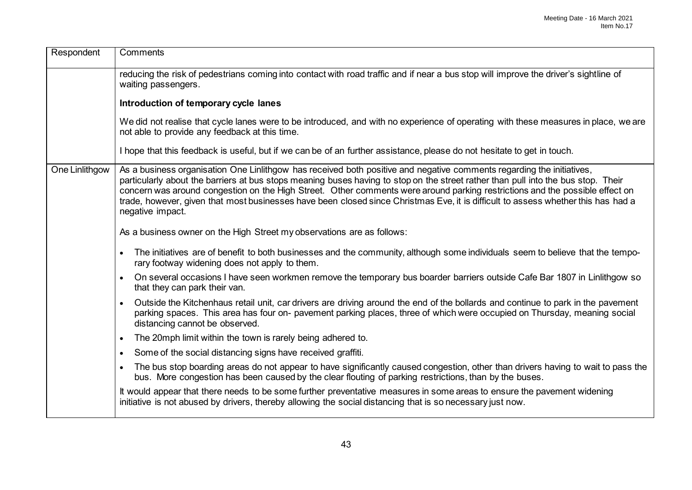| Respondent     | Comments                                                                                                                                                                                                                                                                                                                                                                                                                                                                                                                                            |
|----------------|-----------------------------------------------------------------------------------------------------------------------------------------------------------------------------------------------------------------------------------------------------------------------------------------------------------------------------------------------------------------------------------------------------------------------------------------------------------------------------------------------------------------------------------------------------|
|                | reducing the risk of pedestrians coming into contact with road traffic and if near a bus stop will improve the driver's sightline of<br>waiting passengers.                                                                                                                                                                                                                                                                                                                                                                                         |
|                | Introduction of temporary cycle lanes                                                                                                                                                                                                                                                                                                                                                                                                                                                                                                               |
|                | We did not realise that cycle lanes were to be introduced, and with no experience of operating with these measures in place, we are<br>not able to provide any feedback at this time.                                                                                                                                                                                                                                                                                                                                                               |
|                | I hope that this feedback is useful, but if we can be of an further assistance, please do not hesitate to get in touch.                                                                                                                                                                                                                                                                                                                                                                                                                             |
| One Linlithgow | As a business organisation One Linlithgow has received both positive and negative comments regarding the initiatives,<br>particularly about the barriers at bus stops meaning buses having to stop on the street rather than pull into the bus stop. Their<br>concern was around congestion on the High Street. Other comments were around parking restrictions and the possible effect on<br>trade, however, given that most businesses have been closed since Christmas Eve, it is difficult to assess whether this has had a<br>negative impact. |
|                | As a business owner on the High Street my observations are as follows:                                                                                                                                                                                                                                                                                                                                                                                                                                                                              |
|                | The initiatives are of benefit to both businesses and the community, although some individuals seem to believe that the tempo-<br>$\bullet$<br>rary footway widening does not apply to them.                                                                                                                                                                                                                                                                                                                                                        |
|                | On several occasions I have seen workmen remove the temporary bus boarder barriers outside Cafe Bar 1807 in Linlithgow so<br>$\bullet$<br>that they can park their van.                                                                                                                                                                                                                                                                                                                                                                             |
|                | Outside the Kitchenhaus retail unit, car drivers are driving around the end of the bollards and continue to park in the pavement<br>$\bullet$<br>parking spaces. This area has four on- pavement parking places, three of which were occupied on Thursday, meaning social<br>distancing cannot be observed.                                                                                                                                                                                                                                         |
|                | The 20mph limit within the town is rarely being adhered to.<br>$\bullet$                                                                                                                                                                                                                                                                                                                                                                                                                                                                            |
|                | Some of the social distancing signs have received graffiti.<br>$\bullet$                                                                                                                                                                                                                                                                                                                                                                                                                                                                            |
|                | The bus stop boarding areas do not appear to have significantly caused congestion, other than drivers having to wait to pass the<br>$\bullet$<br>bus. More congestion has been caused by the clear flouting of parking restrictions, than by the buses.                                                                                                                                                                                                                                                                                             |
|                | It would appear that there needs to be some further preventative measures in some areas to ensure the pavement widening<br>initiative is not abused by drivers, thereby allowing the social distancing that is so necessary just now.                                                                                                                                                                                                                                                                                                               |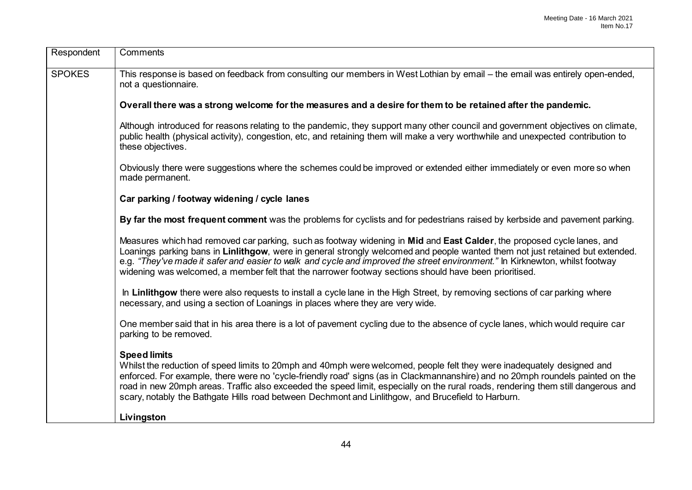| Respondent    | Comments                                                                                                                                                                                                                                                                                                                                                                                                                                                                                                                   |
|---------------|----------------------------------------------------------------------------------------------------------------------------------------------------------------------------------------------------------------------------------------------------------------------------------------------------------------------------------------------------------------------------------------------------------------------------------------------------------------------------------------------------------------------------|
| <b>SPOKES</b> | This response is based on feedback from consulting our members in West Lothian by email – the email was entirely open-ended,<br>not a questionnaire.                                                                                                                                                                                                                                                                                                                                                                       |
|               | Overall there was a strong welcome for the measures and a desire for them to be retained after the pandemic.                                                                                                                                                                                                                                                                                                                                                                                                               |
|               | Although introduced for reasons relating to the pandemic, they support many other council and government objectives on climate,<br>public health (physical activity), congestion, etc, and retaining them will make a very worthwhile and unexpected contribution to<br>these objectives.                                                                                                                                                                                                                                  |
|               | Obviously there were suggestions where the schemes could be improved or extended either immediately or even more so when<br>made permanent.                                                                                                                                                                                                                                                                                                                                                                                |
|               | Car parking / footway widening / cycle lanes                                                                                                                                                                                                                                                                                                                                                                                                                                                                               |
|               | By far the most frequent comment was the problems for cyclists and for pedestrians raised by kerbside and pavement parking.                                                                                                                                                                                                                                                                                                                                                                                                |
|               | Measures which had removed car parking, such as footway widening in Mid and East Calder, the proposed cycle lanes, and<br>Loanings parking bans in Linlithgow, were in general strongly welcomed and people wanted them not just retained but extended.<br>e.g. "They've made it safer and easier to walk and cycle and improved the street environment." In Kirknewton, whilst footway<br>widening was welcomed, a member felt that the narrower footway sections should have been prioritised.                           |
|               | In Linlithgow there were also requests to install a cycle lane in the High Street, by removing sections of car parking where<br>necessary, and using a section of Loanings in places where they are very wide.                                                                                                                                                                                                                                                                                                             |
|               | One member said that in his area there is a lot of pavement cycling due to the absence of cycle lanes, which would require car<br>parking to be removed.                                                                                                                                                                                                                                                                                                                                                                   |
|               | <b>Speed limits</b><br>Whilst the reduction of speed limits to 20mph and 40mph were welcomed, people felt they were inadequately designed and<br>enforced. For example, there were no 'cycle-friendly road' signs (as in Clackmannanshire) and no 20mph roundels painted on the<br>road in new 20mph areas. Traffic also exceeded the speed limit, especially on the rural roads, rendering them still dangerous and<br>scary, notably the Bathgate Hills road between Dechmont and Linlithgow, and Brucefield to Harburn. |
|               | Livingston                                                                                                                                                                                                                                                                                                                                                                                                                                                                                                                 |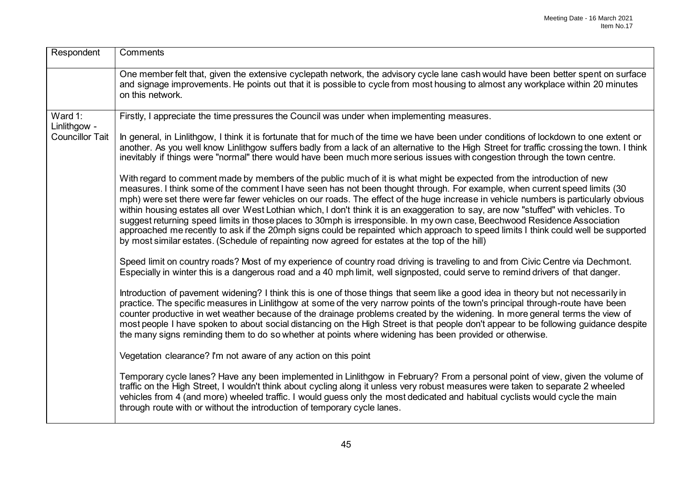| Respondent              | Comments                                                                                                                                                                                                                                                                                                                                                                                                                                                                                                                                                                                                                                                                                                                                                                                                                                                                                                  |
|-------------------------|-----------------------------------------------------------------------------------------------------------------------------------------------------------------------------------------------------------------------------------------------------------------------------------------------------------------------------------------------------------------------------------------------------------------------------------------------------------------------------------------------------------------------------------------------------------------------------------------------------------------------------------------------------------------------------------------------------------------------------------------------------------------------------------------------------------------------------------------------------------------------------------------------------------|
|                         | One member felt that, given the extensive cyclepath network, the advisory cycle lane cash would have been better spent on surface<br>and signage improvements. He points out that it is possible to cycle from most housing to almost any workplace within 20 minutes<br>on this network.                                                                                                                                                                                                                                                                                                                                                                                                                                                                                                                                                                                                                 |
| Ward 1:<br>Linlithgow - | Firstly, I appreciate the time pressures the Council was under when implementing measures.                                                                                                                                                                                                                                                                                                                                                                                                                                                                                                                                                                                                                                                                                                                                                                                                                |
| <b>Councillor Tait</b>  | In general, in Linlithgow, I think it is fortunate that for much of the time we have been under conditions of lockdown to one extent or<br>another. As you well know Linlithgow suffers badly from a lack of an alternative to the High Street for traffic crossing the town. I think<br>inevitably if things were "normal" there would have been much more serious issues with congestion through the town centre.                                                                                                                                                                                                                                                                                                                                                                                                                                                                                       |
|                         | With regard to comment made by members of the public much of it is what might be expected from the introduction of new<br>measures. I think some of the comment I have seen has not been thought through. For example, when current speed limits (30<br>mph) were set there were far fewer vehicles on our roads. The effect of the huge increase in vehicle numbers is particularly obvious<br>within housing estates all over West Lothian which, I don't think it is an exaggeration to say, are now "stuffed" with vehicles. To<br>suggest returning speed limits in those places to 30mph is irresponsible. In my own case, Beechwood Residence Association<br>approached me recently to ask if the 20mph signs could be repainted which approach to speed limits I think could well be supported<br>by most similar estates. (Schedule of repainting now agreed for estates at the top of the hill) |
|                         | Speed limit on country roads? Most of my experience of country road driving is traveling to and from Civic Centre via Dechmont.<br>Especially in winter this is a dangerous road and a 40 mph limit, well signposted, could serve to remind drivers of that danger.                                                                                                                                                                                                                                                                                                                                                                                                                                                                                                                                                                                                                                       |
|                         | Introduction of pavement widening? I think this is one of those things that seem like a good idea in theory but not necessarily in<br>practice. The specific measures in Linlithgow at some of the very narrow points of the town's principal through-route have been<br>counter productive in wet weather because of the drainage problems created by the widening. In more general terms the view of<br>most people I have spoken to about social distancing on the High Street is that people don't appear to be following guidance despite<br>the many signs reminding them to do so whether at points where widening has been provided or otherwise.                                                                                                                                                                                                                                                 |
|                         | Vegetation clearance? I'm not aware of any action on this point                                                                                                                                                                                                                                                                                                                                                                                                                                                                                                                                                                                                                                                                                                                                                                                                                                           |
|                         | Temporary cycle lanes? Have any been implemented in Linlithgow in February? From a personal point of view, given the volume of<br>traffic on the High Street, I wouldn't think about cycling along it unless very robust measures were taken to separate 2 wheeled<br>vehicles from 4 (and more) wheeled traffic. I would guess only the most dedicated and habitual cyclists would cycle the main<br>through route with or without the introduction of temporary cycle lanes.                                                                                                                                                                                                                                                                                                                                                                                                                            |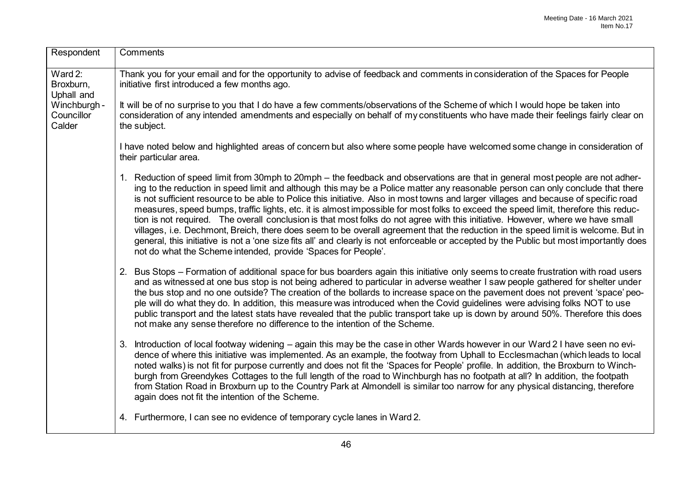| Respondent                           | Comments                                                                                                                                                                                                                                                                                                                                                                                                                                                                                                                                                                                                                                                                                                                                                                                                                                                                                                                                                                                                                              |
|--------------------------------------|---------------------------------------------------------------------------------------------------------------------------------------------------------------------------------------------------------------------------------------------------------------------------------------------------------------------------------------------------------------------------------------------------------------------------------------------------------------------------------------------------------------------------------------------------------------------------------------------------------------------------------------------------------------------------------------------------------------------------------------------------------------------------------------------------------------------------------------------------------------------------------------------------------------------------------------------------------------------------------------------------------------------------------------|
| Ward $2:$<br>Broxburn,<br>Uphall and | Thank you for your email and for the opportunity to advise of feedback and comments in consideration of the Spaces for People<br>initiative first introduced a few months ago.                                                                                                                                                                                                                                                                                                                                                                                                                                                                                                                                                                                                                                                                                                                                                                                                                                                        |
| Winchburgh -<br>Councillor<br>Calder | It will be of no surprise to you that I do have a few comments/observations of the Scheme of which I would hope be taken into<br>consideration of any intended amendments and especially on behalf of my constituents who have made their feelings fairly clear on<br>the subject.                                                                                                                                                                                                                                                                                                                                                                                                                                                                                                                                                                                                                                                                                                                                                    |
|                                      | I have noted below and highlighted areas of concern but also where some people have welcomed some change in consideration of<br>their particular area.                                                                                                                                                                                                                                                                                                                                                                                                                                                                                                                                                                                                                                                                                                                                                                                                                                                                                |
|                                      | 1. Reduction of speed limit from 30mph to 20mph – the feedback and observations are that in general most people are not adher-<br>ing to the reduction in speed limit and although this may be a Police matter any reasonable person can only conclude that there<br>is not sufficient resource to be able to Police this initiative. Also in most towns and larger villages and because of specific road<br>measures, speed bumps, traffic lights, etc. it is almost impossible for most folks to exceed the speed limit, therefore this reduc-<br>tion is not required. The overall conclusion is that most folks do not agree with this initiative. However, where we have small<br>villages, i.e. Dechmont, Breich, there does seem to be overall agreement that the reduction in the speed limit is welcome. But in<br>general, this initiative is not a 'one size fits all' and clearly is not enforceable or accepted by the Public but most importantly does<br>not do what the Scheme intended, provide 'Spaces for People'. |
|                                      | 2. Bus Stops - Formation of additional space for bus boarders again this initiative only seems to create frustration with road users<br>and as witnessed at one bus stop is not being adhered to particular in adverse weather I saw people gathered for shelter under<br>the bus stop and no one outside? The creation of the bollards to increase space on the pavement does not prevent 'space' peo-<br>ple will do what they do. In addition, this measure was introduced when the Covid guidelines were advising folks NOT to use<br>public transport and the latest stats have revealed that the public transport take up is down by around 50%. Therefore this does<br>not make any sense therefore no difference to the intention of the Scheme.                                                                                                                                                                                                                                                                              |
|                                      | 3. Introduction of local footway widening - again this may be the case in other Wards however in our Ward 2 I have seen no evi-<br>dence of where this initiative was implemented. As an example, the footway from Uphall to Ecclesmachan (which leads to local<br>noted walks) is not fit for purpose currently and does not fit the 'Spaces for People' profile. In addition, the Broxburn to Winch-<br>burgh from Greendykes Cottages to the full length of the road to Winchburgh has no footpath at all? In addition, the footpath<br>from Station Road in Broxburn up to the Country Park at Almondell is similar too narrow for any physical distancing, therefore<br>again does not fit the intention of the Scheme.                                                                                                                                                                                                                                                                                                          |
|                                      | 4. Furthermore, I can see no evidence of temporary cycle lanes in Ward 2.                                                                                                                                                                                                                                                                                                                                                                                                                                                                                                                                                                                                                                                                                                                                                                                                                                                                                                                                                             |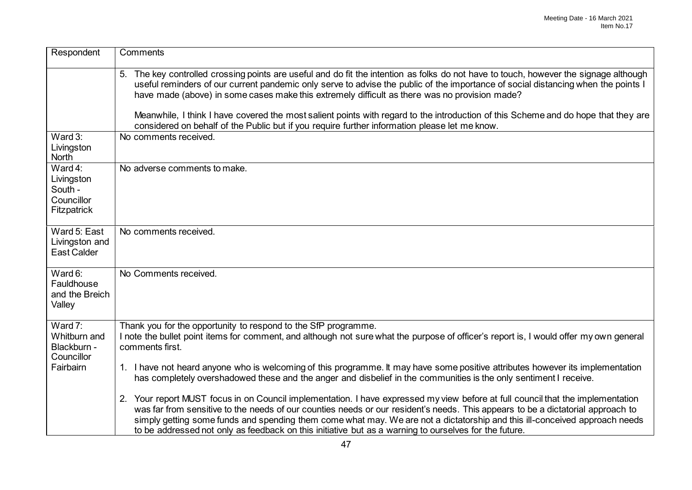| Respondent                                                        | Comments                                                                                                                                                                                                                                                                                                                                                                                                                                                                                                  |
|-------------------------------------------------------------------|-----------------------------------------------------------------------------------------------------------------------------------------------------------------------------------------------------------------------------------------------------------------------------------------------------------------------------------------------------------------------------------------------------------------------------------------------------------------------------------------------------------|
|                                                                   | 5. The key controlled crossing points are useful and do fit the intention as folks do not have to touch, however the signage although<br>useful reminders of our current pandemic only serve to advise the public of the importance of social distancing when the points I<br>have made (above) in some cases make this extremely difficult as there was no provision made?                                                                                                                               |
|                                                                   | Meanwhile, I think I have covered the most salient points with regard to the introduction of this Scheme and do hope that they are<br>considered on behalf of the Public but if you require further information please let me know.                                                                                                                                                                                                                                                                       |
| Ward 3:<br>Livingston<br><b>North</b>                             | No comments received.                                                                                                                                                                                                                                                                                                                                                                                                                                                                                     |
| Ward 4:<br>Livingston<br>South -<br>Councillor<br>Fitzpatrick     | No adverse comments to make.                                                                                                                                                                                                                                                                                                                                                                                                                                                                              |
| Ward 5: East<br>Livingston and<br>East Calder                     | No comments received.                                                                                                                                                                                                                                                                                                                                                                                                                                                                                     |
| Ward 6:<br>Fauldhouse<br>and the Breich<br>Valley                 | No Comments received.                                                                                                                                                                                                                                                                                                                                                                                                                                                                                     |
| Ward 7:<br>Whitburn and<br>Blackburn -<br>Councillor<br>Fairbairn | Thank you for the opportunity to respond to the SfP programme.<br>I note the bullet point items for comment, and although not sure what the purpose of officer's report is, I would offer my own general<br>comments first.                                                                                                                                                                                                                                                                               |
|                                                                   | 1. I have not heard anyone who is welcoming of this programme. It may have some positive attributes however its implementation<br>has completely overshadowed these and the anger and disbelief in the communities is the only sentiment I receive.                                                                                                                                                                                                                                                       |
|                                                                   | 2. Your report MUST focus in on Council implementation. I have expressed my view before at full council that the implementation<br>was far from sensitive to the needs of our counties needs or our resident's needs. This appears to be a dictatorial approach to<br>simply getting some funds and spending them come what may. We are not a dictatorship and this ill-conceived approach needs<br>to be addressed not only as feedback on this initiative but as a warning to ourselves for the future. |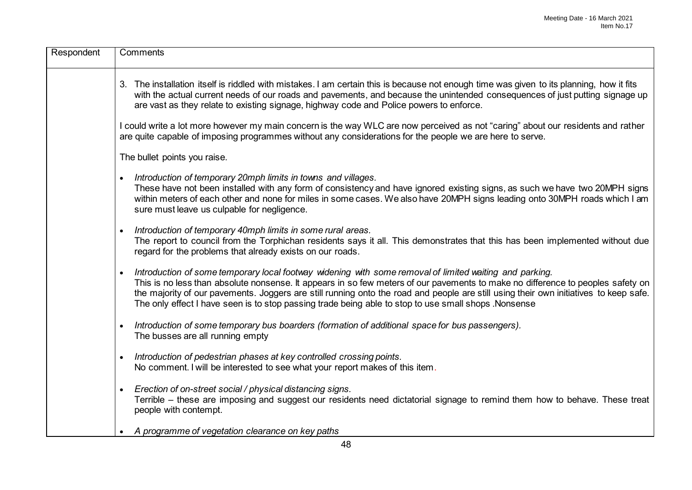| Respondent | Comments                                                                                                                                                                                                                                                                                                                                                                                                                                                                                    |
|------------|---------------------------------------------------------------------------------------------------------------------------------------------------------------------------------------------------------------------------------------------------------------------------------------------------------------------------------------------------------------------------------------------------------------------------------------------------------------------------------------------|
|            | 3. The installation itself is riddled with mistakes. I am certain this is because not enough time was given to its planning, how it fits<br>with the actual current needs of our roads and pavements, and because the unintended consequences of just putting signage up<br>are vast as they relate to existing signage, highway code and Police powers to enforce.                                                                                                                         |
|            | I could write a lot more however my main concern is the way WLC are now perceived as not "caring" about our residents and rather<br>are quite capable of imposing programmes without any considerations for the people we are here to serve.                                                                                                                                                                                                                                                |
|            | The bullet points you raise.                                                                                                                                                                                                                                                                                                                                                                                                                                                                |
|            | Introduction of temporary 20mph limits in towns and villages.<br>These have not been installed with any form of consistency and have ignored existing signs, as such we have two 20MPH signs<br>within meters of each other and none for miles in some cases. We also have 20MPH signs leading onto 30MPH roads which I am<br>sure must leave us culpable for negligence.                                                                                                                   |
|            | Introduction of temporary 40mph limits in some rural areas.<br>The report to council from the Torphichan residents says it all. This demonstrates that this has been implemented without due<br>regard for the problems that already exists on our roads.                                                                                                                                                                                                                                   |
|            | Introduction of some temporary local footway widening with some removal of limited waiting and parking.<br>This is no less than absolute nonsense. It appears in so few meters of our pavements to make no difference to peoples safety on<br>the majority of our pavements. Joggers are still running onto the road and people are still using their own initiatives to keep safe.<br>The only effect I have seen is to stop passing trade being able to stop to use small shops. Nonsense |
|            | Introduction of some temporary bus boarders (formation of additional space for bus passengers).<br>The busses are all running empty                                                                                                                                                                                                                                                                                                                                                         |
|            | Introduction of pedestrian phases at key controlled crossing points.<br>No comment. I will be interested to see what your report makes of this item.                                                                                                                                                                                                                                                                                                                                        |
|            | Erection of on-street social / physical distancing signs.<br>$\bullet$<br>Terrible – these are imposing and suggest our residents need dictatorial signage to remind them how to behave. These treat<br>people with contempt.                                                                                                                                                                                                                                                               |
|            | A programme of vegetation clearance on key paths                                                                                                                                                                                                                                                                                                                                                                                                                                            |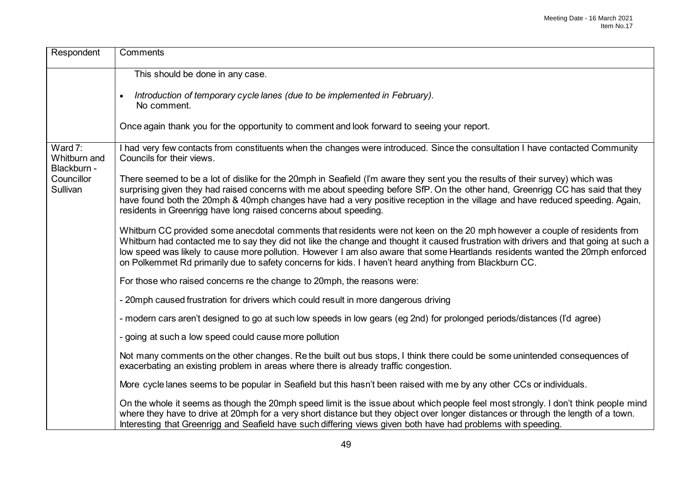| Respondent                                                       | Comments                                                                                                                                                                                                                                                                                                                                                                                                                                                                                                        |
|------------------------------------------------------------------|-----------------------------------------------------------------------------------------------------------------------------------------------------------------------------------------------------------------------------------------------------------------------------------------------------------------------------------------------------------------------------------------------------------------------------------------------------------------------------------------------------------------|
|                                                                  | This should be done in any case.                                                                                                                                                                                                                                                                                                                                                                                                                                                                                |
|                                                                  | Introduction of temporary cycle lanes (due to be implemented in February).<br>$\bullet$<br>No comment.                                                                                                                                                                                                                                                                                                                                                                                                          |
|                                                                  | Once again thank you for the opportunity to comment and look forward to seeing your report.                                                                                                                                                                                                                                                                                                                                                                                                                     |
| Ward 7:<br>Whitburn and<br>Blackburn -<br>Councillor<br>Sullivan | I had very few contacts from constituents when the changes were introduced. Since the consultation I have contacted Community<br>Councils for their views.                                                                                                                                                                                                                                                                                                                                                      |
|                                                                  | There seemed to be a lot of dislike for the 20mph in Seafield (I'm aware they sent you the results of their survey) which was<br>surprising given they had raised concerns with me about speeding before SfP. On the other hand, Greenrigg CC has said that they<br>have found both the 20mph & 40mph changes have had a very positive reception in the village and have reduced speeding. Again,<br>residents in Greenrigg have long raised concerns about speeding.                                           |
|                                                                  | Whitburn CC provided some anecdotal comments that residents were not keen on the 20 mph however a couple of residents from<br>Whitburn had contacted me to say they did not like the change and thought it caused frustration with drivers and that going at such a<br>low speed was likely to cause more pollution. However I am also aware that some Heartlands residents wanted the 20mph enforced<br>on Polkemmet Rd primarily due to safety concerns for kids. I haven't heard anything from Blackburn CC. |
|                                                                  | For those who raised concerns re the change to 20mph, the reasons were:                                                                                                                                                                                                                                                                                                                                                                                                                                         |
|                                                                  | - 20mph caused frustration for drivers which could result in more dangerous driving                                                                                                                                                                                                                                                                                                                                                                                                                             |
|                                                                  | - modern cars aren't designed to go at such low speeds in low gears (eg 2nd) for prolonged periods/distances (I'd agree)                                                                                                                                                                                                                                                                                                                                                                                        |
|                                                                  | - going at such a low speed could cause more pollution                                                                                                                                                                                                                                                                                                                                                                                                                                                          |
|                                                                  | Not many comments on the other changes. Re the built out bus stops, I think there could be some unintended consequences of<br>exacerbating an existing problem in areas where there is already traffic congestion.                                                                                                                                                                                                                                                                                              |
|                                                                  | More cycle lanes seems to be popular in Seafield but this hasn't been raised with me by any other CCs or individuals.                                                                                                                                                                                                                                                                                                                                                                                           |
|                                                                  | On the whole it seems as though the 20mph speed limit is the issue about which people feel most strongly. I don't think people mind<br>where they have to drive at 20mph for a very short distance but they object over longer distances or through the length of a town.<br>Interesting that Greenrigg and Seafield have such differing views given both have had problems with speeding.                                                                                                                      |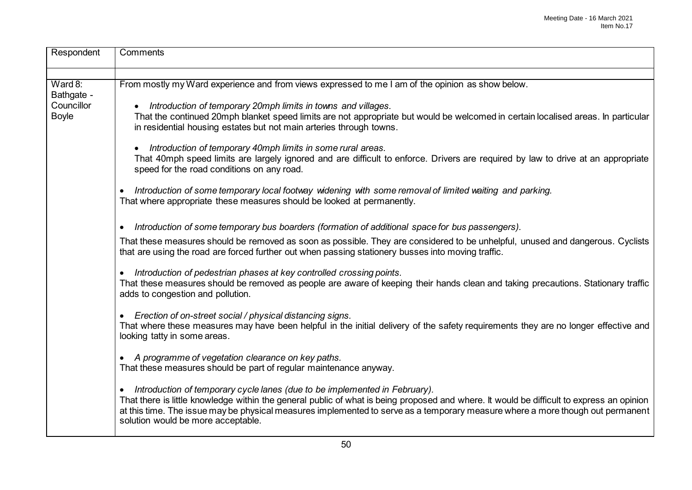| Respondent                               | Comments                                                                                                                                                                                                                                                                                                                                                                                          |
|------------------------------------------|---------------------------------------------------------------------------------------------------------------------------------------------------------------------------------------------------------------------------------------------------------------------------------------------------------------------------------------------------------------------------------------------------|
|                                          |                                                                                                                                                                                                                                                                                                                                                                                                   |
| Ward 8:                                  | From mostly my Ward experience and from views expressed to me I am of the opinion as show below.                                                                                                                                                                                                                                                                                                  |
| Bathgate -<br>Councillor<br><b>Boyle</b> | Introduction of temporary 20mph limits in towns and villages.<br>$\bullet$<br>That the continued 20mph blanket speed limits are not appropriate but would be welcomed in certain localised areas. In particular<br>in residential housing estates but not main arteries through towns.                                                                                                            |
|                                          | Introduction of temporary 40mph limits in some rural areas.<br>$\bullet$<br>That 40mph speed limits are largely ignored and are difficult to enforce. Drivers are required by law to drive at an appropriate<br>speed for the road conditions on any road.                                                                                                                                        |
|                                          | Introduction of some temporary local footway widening with some removal of limited waiting and parking.<br>$\bullet$<br>That where appropriate these measures should be looked at permanently.                                                                                                                                                                                                    |
|                                          | Introduction of some temporary bus boarders (formation of additional space for bus passengers).<br>$\bullet$                                                                                                                                                                                                                                                                                      |
|                                          | That these measures should be removed as soon as possible. They are considered to be unhelpful, unused and dangerous. Cyclists<br>that are using the road are forced further out when passing stationery busses into moving traffic.                                                                                                                                                              |
|                                          | Introduction of pedestrian phases at key controlled crossing points.<br>$\bullet$<br>That these measures should be removed as people are aware of keeping their hands clean and taking precautions. Stationary traffic<br>adds to congestion and pollution.                                                                                                                                       |
|                                          | Erection of on-street social / physical distancing signs.<br>$\bullet$<br>That where these measures may have been helpful in the initial delivery of the safety requirements they are no longer effective and<br>looking tatty in some areas.                                                                                                                                                     |
|                                          | • A programme of vegetation clearance on key paths.<br>That these measures should be part of regular maintenance anyway.                                                                                                                                                                                                                                                                          |
|                                          | • Introduction of temporary cycle lanes (due to be implemented in February).<br>That there is little knowledge within the general public of what is being proposed and where. It would be difficult to express an opinion<br>at this time. The issue may be physical measures implemented to serve as a temporary measure where a more though out permanent<br>solution would be more acceptable. |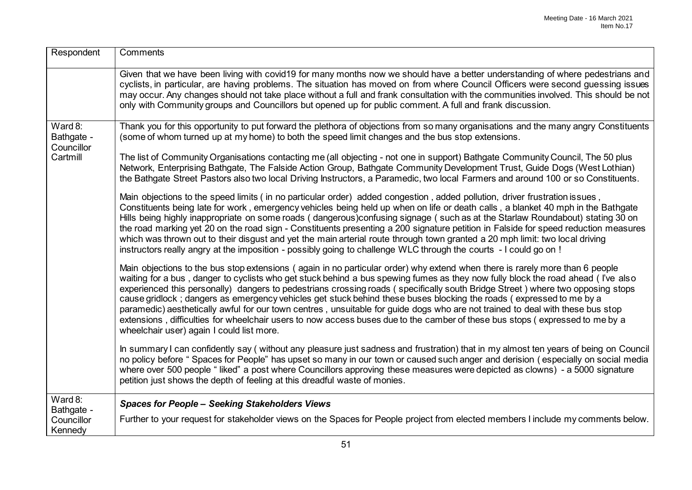| Respondent                                     | Comments                                                                                                                                                                                                                                                                                                                                                                                                                                                                                                                                                                                                                                                                                                                                                                                                                                 |
|------------------------------------------------|------------------------------------------------------------------------------------------------------------------------------------------------------------------------------------------------------------------------------------------------------------------------------------------------------------------------------------------------------------------------------------------------------------------------------------------------------------------------------------------------------------------------------------------------------------------------------------------------------------------------------------------------------------------------------------------------------------------------------------------------------------------------------------------------------------------------------------------|
|                                                | Given that we have been living with covid19 for many months now we should have a better understanding of where pedestrians and<br>cyclists, in particular, are having problems. The situation has moved on from where Council Officers were second guessing issues<br>may occur. Any changes should not take place without a full and frank consultation with the communities involved. This should be not<br>only with Community groups and Councillors but opened up for public comment. A full and frank discussion.                                                                                                                                                                                                                                                                                                                  |
| Ward 8:<br>Bathgate -<br>Councillor            | Thank you for this opportunity to put forward the plethora of objections from so many organisations and the many angry Constituents<br>(some of whom turned up at my home) to both the speed limit changes and the bus stop extensions.                                                                                                                                                                                                                                                                                                                                                                                                                                                                                                                                                                                                  |
| Cartmill                                       | The list of Community Organisations contacting me (all objecting - not one in support) Bathgate Community Council, The 50 plus<br>Network, Enterprising Bathgate, The Falside Action Group, Bathgate Community Development Trust, Guide Dogs (West Lothian)<br>the Bathgate Street Pastors also two local Driving Instructors, a Paramedic, two local Farmers and around 100 or so Constituents.                                                                                                                                                                                                                                                                                                                                                                                                                                         |
|                                                | Main objections to the speed limits (in no particular order) added congestion, added pollution, driver frustration issues,<br>Constituents being late for work, emergency vehicles being held up when on life or death calls, a blanket 40 mph in the Bathgate<br>Hills being highly inappropriate on some roads (dangerous)confusing signage (such as at the Starlaw Roundabout) stating 30 on<br>the road marking yet 20 on the road sign - Constituents presenting a 200 signature petition in Falside for speed reduction measures<br>which was thrown out to their disgust and yet the main arterial route through town granted a 20 mph limit: two local driving<br>instructors really angry at the imposition - possibly going to challenge WLC through the courts - I could go on!                                               |
|                                                | Main objections to the bus stop extensions (again in no particular order) why extend when there is rarely more than 6 people<br>waiting for a bus, danger to cyclists who get stuck behind a bus spewing fumes as they now fully block the road ahead (I've also<br>experienced this personally) dangers to pedestrians crossing roads (specifically south Bridge Street) where two opposing stops<br>cause gridlock; dangers as emergency vehicles get stuck behind these buses blocking the roads (expressed to me by a<br>paramedic) aesthetically awful for our town centres, unsuitable for guide dogs who are not trained to deal with these bus stop<br>extensions, difficulties for wheelchair users to now access buses due to the camber of these bus stops (expressed to me by a<br>wheelchair user) again I could list more. |
|                                                | In summary I can confidently say (without any pleasure just sadness and frustration) that in my almost ten years of being on Council<br>no policy before "Spaces for People" has upset so many in our town or caused such anger and derision (especially on social media<br>where over 500 people "liked" a post where Councillors approving these measures were depicted as clowns) - a 5000 signature<br>petition just shows the depth of feeling at this dreadful waste of monies.                                                                                                                                                                                                                                                                                                                                                    |
| Ward 8:<br>Bathgate -<br>Councillor<br>Kennedy | <b>Spaces for People - Seeking Stakeholders Views</b><br>Further to your request for stakeholder views on the Spaces for People project from elected members I include my comments below.                                                                                                                                                                                                                                                                                                                                                                                                                                                                                                                                                                                                                                                |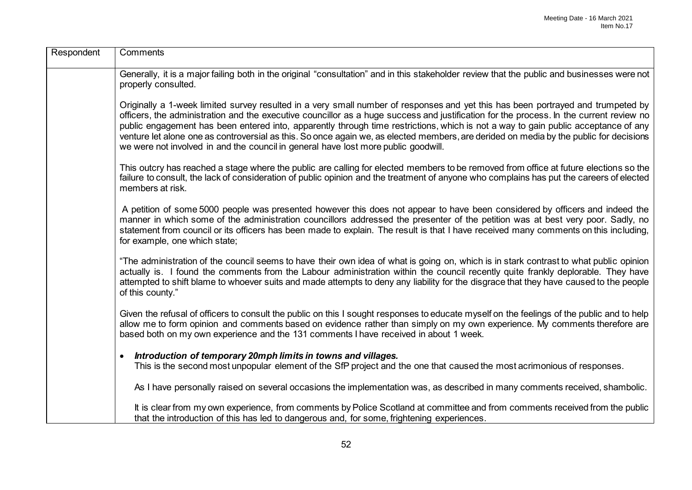| Respondent | Comments                                                                                                                                                                                                                                                                                                                                                                                                                                                                                                                                                                                                                                          |
|------------|---------------------------------------------------------------------------------------------------------------------------------------------------------------------------------------------------------------------------------------------------------------------------------------------------------------------------------------------------------------------------------------------------------------------------------------------------------------------------------------------------------------------------------------------------------------------------------------------------------------------------------------------------|
|            | Generally, it is a major failing both in the original "consultation" and in this stakeholder review that the public and businesses were not<br>properly consulted.                                                                                                                                                                                                                                                                                                                                                                                                                                                                                |
|            | Originally a 1-week limited survey resulted in a very small number of responses and yet this has been portrayed and trumpeted by<br>officers, the administration and the executive councillor as a huge success and justification for the process. In the current review no<br>public engagement has been entered into, apparently through time restrictions, which is not a way to gain public acceptance of any<br>venture let alone one as controversial as this. So once again we, as elected members, are derided on media by the public for decisions<br>we were not involved in and the council in general have lost more public goodwill. |
|            | This outcry has reached a stage where the public are calling for elected members to be removed from office at future elections so the<br>failure to consult, the lack of consideration of public opinion and the treatment of anyone who complains has put the careers of elected<br>members at risk.                                                                                                                                                                                                                                                                                                                                             |
|            | A petition of some 5000 people was presented however this does not appear to have been considered by officers and indeed the<br>manner in which some of the administration councillors addressed the presenter of the petition was at best very poor. Sadly, no<br>statement from council or its officers has been made to explain. The result is that I have received many comments on this including,<br>for example, one which state;                                                                                                                                                                                                          |
|            | "The administration of the council seems to have their own idea of what is going on, which is in stark contrast to what public opinion<br>actually is. I found the comments from the Labour administration within the council recently quite frankly deplorable. They have<br>attempted to shift blame to whoever suits and made attempts to deny any liability for the disgrace that they have caused to the people<br>of this county."                                                                                                                                                                                                          |
|            | Given the refusal of officers to consult the public on this I sought responses to educate myself on the feelings of the public and to help<br>allow me to form opinion and comments based on evidence rather than simply on my own experience. My comments therefore are<br>based both on my own experience and the 131 comments I have received in about 1 week.                                                                                                                                                                                                                                                                                 |
|            | Introduction of temporary 20mph limits in towns and villages.<br>$\bullet$                                                                                                                                                                                                                                                                                                                                                                                                                                                                                                                                                                        |
|            | This is the second most unpopular element of the SfP project and the one that caused the most acrimonious of responses.                                                                                                                                                                                                                                                                                                                                                                                                                                                                                                                           |
|            | As I have personally raised on several occasions the implementation was, as described in many comments received, shambolic.                                                                                                                                                                                                                                                                                                                                                                                                                                                                                                                       |
|            | It is clear from my own experience, from comments by Police Scotland at committee and from comments received from the public<br>that the introduction of this has led to dangerous and, for some, frightening experiences.                                                                                                                                                                                                                                                                                                                                                                                                                        |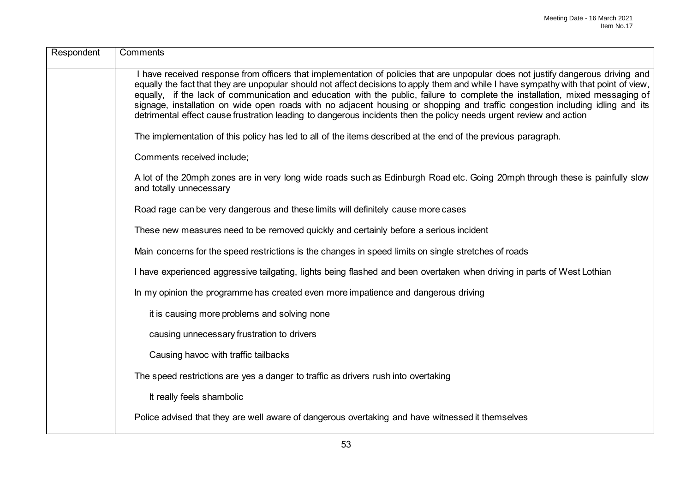| Respondent | Comments                                                                                                                                                                                                                                                                                                                                                                                                                                                                                                                                                                                                                                                          |
|------------|-------------------------------------------------------------------------------------------------------------------------------------------------------------------------------------------------------------------------------------------------------------------------------------------------------------------------------------------------------------------------------------------------------------------------------------------------------------------------------------------------------------------------------------------------------------------------------------------------------------------------------------------------------------------|
|            | I have received response from officers that implementation of policies that are unpopular does not justify dangerous driving and<br>equally the fact that they are unpopular should not affect decisions to apply them and while I have sympathy with that point of view,<br>equally, if the lack of communication and education with the public, failure to complete the installation, mixed messaging of<br>signage, installation on wide open roads with no adjacent housing or shopping and traffic congestion including idling and its<br>detrimental effect cause frustration leading to dangerous incidents then the policy needs urgent review and action |
|            | The implementation of this policy has led to all of the items described at the end of the previous paragraph.                                                                                                                                                                                                                                                                                                                                                                                                                                                                                                                                                     |
|            | Comments received include;                                                                                                                                                                                                                                                                                                                                                                                                                                                                                                                                                                                                                                        |
|            | A lot of the 20mph zones are in very long wide roads such as Edinburgh Road etc. Going 20mph through these is painfully slow<br>and totally unnecessary                                                                                                                                                                                                                                                                                                                                                                                                                                                                                                           |
|            | Road rage can be very dangerous and these limits will definitely cause more cases                                                                                                                                                                                                                                                                                                                                                                                                                                                                                                                                                                                 |
|            | These new measures need to be removed quickly and certainly before a serious incident                                                                                                                                                                                                                                                                                                                                                                                                                                                                                                                                                                             |
|            | Main concerns for the speed restrictions is the changes in speed limits on single stretches of roads                                                                                                                                                                                                                                                                                                                                                                                                                                                                                                                                                              |
|            | I have experienced aggressive tailgating, lights being flashed and been overtaken when driving in parts of West Lothian                                                                                                                                                                                                                                                                                                                                                                                                                                                                                                                                           |
|            | In my opinion the programme has created even more impatience and dangerous driving                                                                                                                                                                                                                                                                                                                                                                                                                                                                                                                                                                                |
|            | it is causing more problems and solving none                                                                                                                                                                                                                                                                                                                                                                                                                                                                                                                                                                                                                      |
|            | causing unnecessary frustration to drivers                                                                                                                                                                                                                                                                                                                                                                                                                                                                                                                                                                                                                        |
|            | Causing havoc with traffic tailbacks                                                                                                                                                                                                                                                                                                                                                                                                                                                                                                                                                                                                                              |
|            | The speed restrictions are yes a danger to traffic as drivers rush into overtaking                                                                                                                                                                                                                                                                                                                                                                                                                                                                                                                                                                                |
|            | It really feels shambolic                                                                                                                                                                                                                                                                                                                                                                                                                                                                                                                                                                                                                                         |
|            | Police advised that they are well aware of dangerous overtaking and have witnessed it themselves                                                                                                                                                                                                                                                                                                                                                                                                                                                                                                                                                                  |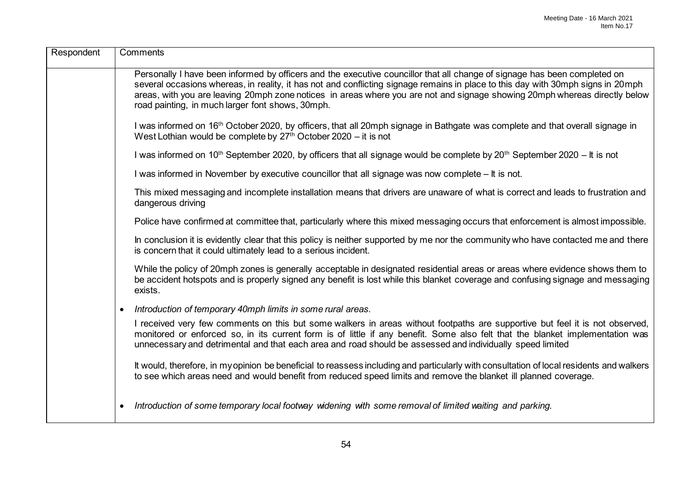| Respondent | Comments                                                                                                                                                                                                                                                                                                                                                                                                                                        |
|------------|-------------------------------------------------------------------------------------------------------------------------------------------------------------------------------------------------------------------------------------------------------------------------------------------------------------------------------------------------------------------------------------------------------------------------------------------------|
|            | Personally I have been informed by officers and the executive councillor that all change of signage has been completed on<br>several occasions whereas, in reality, it has not and conflicting signage remains in place to this day with 30mph signs in 20mph<br>areas, with you are leaving 20mph zone notices in areas where you are not and signage showing 20mph whereas directly below<br>road painting, in much larger font shows, 30mph. |
|            | I was informed on 16 <sup>th</sup> October 2020, by officers, that all 20mph signage in Bathgate was complete and that overall signage in<br>West Lothian would be complete by $27th$ October 2020 – it is not                                                                                                                                                                                                                                  |
|            | I was informed on 10 <sup>th</sup> September 2020, by officers that all signage would be complete by 20 <sup>th</sup> September 2020 – It is not                                                                                                                                                                                                                                                                                                |
|            | I was informed in November by executive councillor that all signage was now complete - It is not.                                                                                                                                                                                                                                                                                                                                               |
|            | This mixed messaging and incomplete installation means that drivers are unaware of what is correct and leads to frustration and<br>dangerous driving                                                                                                                                                                                                                                                                                            |
|            | Police have confirmed at committee that, particularly where this mixed messaging occurs that enforcement is almost impossible.                                                                                                                                                                                                                                                                                                                  |
|            | In conclusion it is evidently clear that this policy is neither supported by me nor the community who have contacted me and there<br>is concern that it could ultimately lead to a serious incident.                                                                                                                                                                                                                                            |
|            | While the policy of 20mph zones is generally acceptable in designated residential areas or areas where evidence shows them to<br>be accident hotspots and is properly signed any benefit is lost while this blanket coverage and confusing signage and messaging<br>exists.                                                                                                                                                                     |
|            | Introduction of temporary 40mph limits in some rural areas.<br>$\bullet$                                                                                                                                                                                                                                                                                                                                                                        |
|            | I received very few comments on this but some walkers in areas without footpaths are supportive but feel it is not observed,<br>monitored or enforced so, in its current form is of little if any benefit. Some also felt that the blanket implementation was<br>unnecessary and detrimental and that each area and road should be assessed and individually speed limited                                                                      |
|            | It would, therefore, in my opinion be beneficial to reassess including and particularly with consultation of local residents and walkers<br>to see which areas need and would benefit from reduced speed limits and remove the blanket ill planned coverage.                                                                                                                                                                                    |
|            | Introduction of some temporary local footway widening with some removal of limited waiting and parking.<br>$\bullet$                                                                                                                                                                                                                                                                                                                            |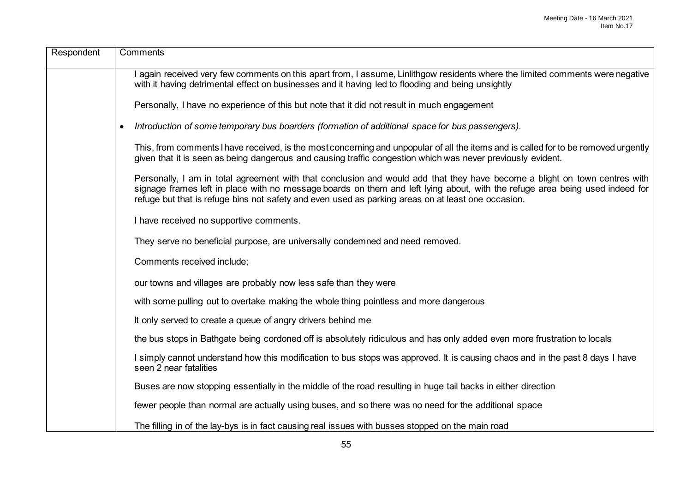| Respondent | Comments                                                                                                                                                                                                                                                                                                                                                         |
|------------|------------------------------------------------------------------------------------------------------------------------------------------------------------------------------------------------------------------------------------------------------------------------------------------------------------------------------------------------------------------|
|            | again received very few comments on this apart from, I assume, Linlithgow residents where the limited comments were negative<br>with it having detrimental effect on businesses and it having led to flooding and being unsightly                                                                                                                                |
|            | Personally, I have no experience of this but note that it did not result in much engagement                                                                                                                                                                                                                                                                      |
|            | Introduction of some temporary bus boarders (formation of additional space for bus passengers).<br>$\bullet$                                                                                                                                                                                                                                                     |
|            | This, from comments I have received, is the most concerning and unpopular of all the items and is called for to be removed urgently<br>given that it is seen as being dangerous and causing traffic congestion which was never previously evident.                                                                                                               |
|            | Personally, I am in total agreement with that conclusion and would add that they have become a blight on town centres with<br>signage frames left in place with no message boards on them and left lying about, with the refuge area being used indeed for<br>refuge but that is refuge bins not safety and even used as parking areas on at least one occasion. |
|            | I have received no supportive comments.                                                                                                                                                                                                                                                                                                                          |
|            | They serve no beneficial purpose, are universally condemned and need removed.                                                                                                                                                                                                                                                                                    |
|            | Comments received include;                                                                                                                                                                                                                                                                                                                                       |
|            | our towns and villages are probably now less safe than they were                                                                                                                                                                                                                                                                                                 |
|            | with some pulling out to overtake making the whole thing pointless and more dangerous                                                                                                                                                                                                                                                                            |
|            | It only served to create a queue of angry drivers behind me                                                                                                                                                                                                                                                                                                      |
|            | the bus stops in Bathgate being cordoned off is absolutely ridiculous and has only added even more frustration to locals                                                                                                                                                                                                                                         |
|            | I simply cannot understand how this modification to bus stops was approved. It is causing chaos and in the past 8 days I have<br>seen 2 near fatalities                                                                                                                                                                                                          |
|            | Buses are now stopping essentially in the middle of the road resulting in huge tail backs in either direction                                                                                                                                                                                                                                                    |
|            | fewer people than normal are actually using buses, and so there was no need for the additional space                                                                                                                                                                                                                                                             |
|            | The filling in of the lay-bys is in fact causing real issues with busses stopped on the main road                                                                                                                                                                                                                                                                |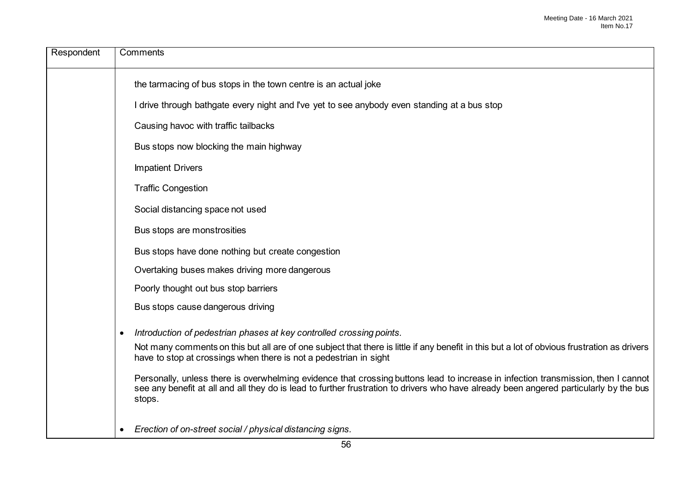| Respondent | Comments                                                                                                                                                                                                                                                                              |
|------------|---------------------------------------------------------------------------------------------------------------------------------------------------------------------------------------------------------------------------------------------------------------------------------------|
|            | the tarmacing of bus stops in the town centre is an actual joke                                                                                                                                                                                                                       |
|            | I drive through bathgate every night and I've yet to see anybody even standing at a bus stop                                                                                                                                                                                          |
|            | Causing havoc with traffic tailbacks                                                                                                                                                                                                                                                  |
|            | Bus stops now blocking the main highway                                                                                                                                                                                                                                               |
|            | <b>Impatient Drivers</b>                                                                                                                                                                                                                                                              |
|            | <b>Traffic Congestion</b>                                                                                                                                                                                                                                                             |
|            | Social distancing space not used                                                                                                                                                                                                                                                      |
|            | Bus stops are monstrosities                                                                                                                                                                                                                                                           |
|            | Bus stops have done nothing but create congestion                                                                                                                                                                                                                                     |
|            | Overtaking buses makes driving more dangerous                                                                                                                                                                                                                                         |
|            | Poorly thought out bus stop barriers                                                                                                                                                                                                                                                  |
|            | Bus stops cause dangerous driving                                                                                                                                                                                                                                                     |
|            | Introduction of pedestrian phases at key controlled crossing points.<br>$\bullet$                                                                                                                                                                                                     |
|            | Not many comments on this but all are of one subject that there is little if any benefit in this but a lot of obvious frustration as drivers<br>have to stop at crossings when there is not a pedestrian in sight                                                                     |
|            | Personally, unless there is overwhelming evidence that crossing buttons lead to increase in infection transmission, then I cannot<br>see any benefit at all and all they do is lead to further frustration to drivers who have already been angered particularly by the bus<br>stops. |
|            | Erection of on-street social / physical distancing signs.<br>$\bullet$                                                                                                                                                                                                                |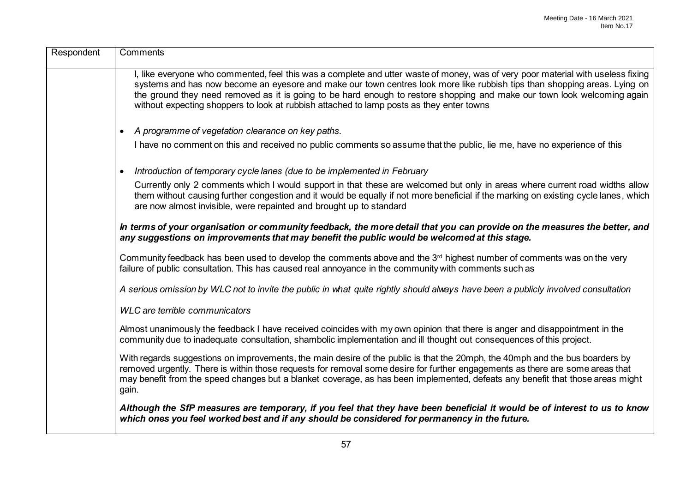| Respondent | Comments                                                                                                                                                                                                                                                                                                                                                                                                                                                                              |
|------------|---------------------------------------------------------------------------------------------------------------------------------------------------------------------------------------------------------------------------------------------------------------------------------------------------------------------------------------------------------------------------------------------------------------------------------------------------------------------------------------|
|            | I, like everyone who commented, feel this was a complete and utter waste of money, was of very poor material with useless fixing<br>systems and has now become an eyesore and make our town centres look more like rubbish tips than shopping areas. Lying on<br>the ground they need removed as it is going to be hard enough to restore shopping and make our town look welcoming again<br>without expecting shoppers to look at rubbish attached to lamp posts as they enter towns |
|            | A programme of vegetation clearance on key paths.<br>$\bullet$                                                                                                                                                                                                                                                                                                                                                                                                                        |
|            | I have no comment on this and received no public comments so assume that the public, lie me, have no experience of this                                                                                                                                                                                                                                                                                                                                                               |
|            | Introduction of temporary cycle lanes (due to be implemented in February<br>$\bullet$                                                                                                                                                                                                                                                                                                                                                                                                 |
|            | Currently only 2 comments which I would support in that these are welcomed but only in areas where current road widths allow<br>them without causing further congestion and it would be equally if not more beneficial if the marking on existing cycle lanes, which<br>are now almost invisible, were repainted and brought up to standard                                                                                                                                           |
|            | In terms of your organisation or community feedback, the more detail that you can provide on the measures the better, and<br>any suggestions on improvements that may benefit the public would be welcomed at this stage.                                                                                                                                                                                                                                                             |
|            | Community feedback has been used to develop the comments above and the 3 <sup>rd</sup> highest number of comments was on the very<br>failure of public consultation. This has caused real annoyance in the community with comments such as                                                                                                                                                                                                                                            |
|            | A serious omission by WLC not to invite the public in what quite rightly should always have been a publicly involved consultation                                                                                                                                                                                                                                                                                                                                                     |
|            | <b>WLC</b> are terrible communicators                                                                                                                                                                                                                                                                                                                                                                                                                                                 |
|            | Almost unanimously the feedback I have received coincides with my own opinion that there is anger and disappointment in the<br>community due to inadequate consultation, shambolic implementation and ill thought out consequences of this project.                                                                                                                                                                                                                                   |
|            | With regards suggestions on improvements, the main desire of the public is that the 20mph, the 40mph and the bus boarders by<br>removed urgently. There is within those requests for removal some desire for further engagements as there are some areas that<br>may benefit from the speed changes but a blanket coverage, as has been implemented, defeats any benefit that those areas might<br>gain.                                                                              |
|            | Although the SfP measures are temporary, if you feel that they have been beneficial it would be of interest to us to know<br>which ones you feel worked best and if any should be considered for permanency in the future.                                                                                                                                                                                                                                                            |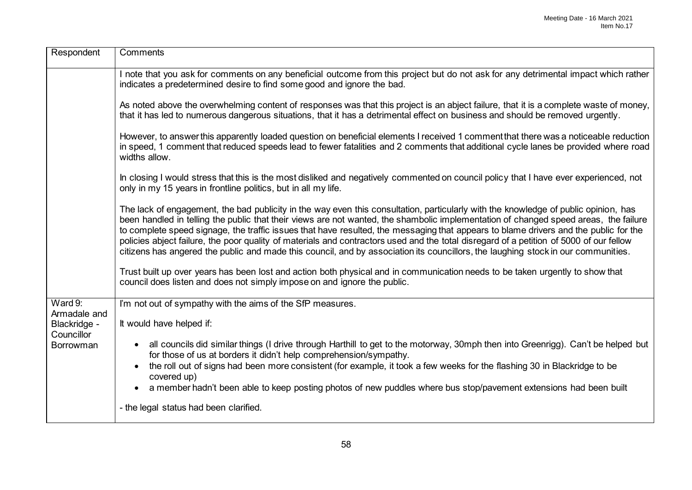| Respondent                 | Comments                                                                                                                                                                                                                                                                                                                                                                                                                                                                                                                                                                                                                                                                                            |
|----------------------------|-----------------------------------------------------------------------------------------------------------------------------------------------------------------------------------------------------------------------------------------------------------------------------------------------------------------------------------------------------------------------------------------------------------------------------------------------------------------------------------------------------------------------------------------------------------------------------------------------------------------------------------------------------------------------------------------------------|
|                            | I note that you ask for comments on any beneficial outcome from this project but do not ask for any detrimental impact which rather<br>indicates a predetermined desire to find some good and ignore the bad.                                                                                                                                                                                                                                                                                                                                                                                                                                                                                       |
|                            | As noted above the overwhelming content of responses was that this project is an abject failure, that it is a complete waste of money,<br>that it has led to numerous dangerous situations, that it has a detrimental effect on business and should be removed urgently.                                                                                                                                                                                                                                                                                                                                                                                                                            |
|                            | However, to answer this apparently loaded question on beneficial elements I received 1 comment that there was a noticeable reduction<br>in speed, 1 comment that reduced speeds lead to fewer fatalities and 2 comments that additional cycle lanes be provided where road<br>widths allow.                                                                                                                                                                                                                                                                                                                                                                                                         |
|                            | In closing I would stress that this is the most disliked and negatively commented on council policy that I have ever experienced, not<br>only in my 15 years in frontline politics, but in all my life.                                                                                                                                                                                                                                                                                                                                                                                                                                                                                             |
|                            | The lack of engagement, the bad publicity in the way even this consultation, particularly with the knowledge of public opinion, has<br>been handled in telling the public that their views are not wanted, the shambolic implementation of changed speed areas, the failure<br>to complete speed signage, the traffic issues that have resulted, the messaging that appears to blame drivers and the public for the<br>policies abject failure, the poor quality of materials and contractors used and the total disregard of a petition of 5000 of our fellow<br>citizens has angered the public and made this council, and by association its councillors, the laughing stock in our communities. |
|                            | Trust built up over years has been lost and action both physical and in communication needs to be taken urgently to show that<br>council does listen and does not simply impose on and ignore the public.                                                                                                                                                                                                                                                                                                                                                                                                                                                                                           |
| Ward $9:$<br>Armadale and  | I'm not out of sympathy with the aims of the SfP measures.                                                                                                                                                                                                                                                                                                                                                                                                                                                                                                                                                                                                                                          |
| Blackridge -<br>Councillor | It would have helped if:                                                                                                                                                                                                                                                                                                                                                                                                                                                                                                                                                                                                                                                                            |
| <b>Borrowman</b>           | all councils did similar things (I drive through Harthill to get to the motorway, 30mph then into Greenrigg). Can't be helped but<br>$\bullet$<br>for those of us at borders it didn't help comprehension/sympathy.                                                                                                                                                                                                                                                                                                                                                                                                                                                                                 |
|                            | the roll out of signs had been more consistent (for example, it took a few weeks for the flashing 30 in Blackridge to be<br>$\bullet$<br>covered up)                                                                                                                                                                                                                                                                                                                                                                                                                                                                                                                                                |
|                            | a member hadn't been able to keep posting photos of new puddles where bus stop/pavement extensions had been built                                                                                                                                                                                                                                                                                                                                                                                                                                                                                                                                                                                   |
|                            | - the legal status had been clarified.                                                                                                                                                                                                                                                                                                                                                                                                                                                                                                                                                                                                                                                              |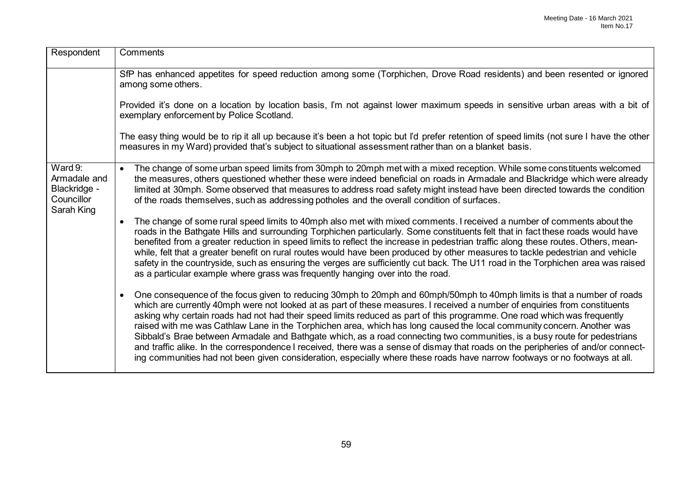| Respondent                                                          | Comments                                                                                                                                                                                                                                                                                                                                                                                                                                                                                                                                                                                                                                                                                                                                                                                                                                                                                                                 |
|---------------------------------------------------------------------|--------------------------------------------------------------------------------------------------------------------------------------------------------------------------------------------------------------------------------------------------------------------------------------------------------------------------------------------------------------------------------------------------------------------------------------------------------------------------------------------------------------------------------------------------------------------------------------------------------------------------------------------------------------------------------------------------------------------------------------------------------------------------------------------------------------------------------------------------------------------------------------------------------------------------|
|                                                                     | SfP has enhanced appetites for speed reduction among some (Torphichen, Drove Road residents) and been resented or ignored<br>among some others.                                                                                                                                                                                                                                                                                                                                                                                                                                                                                                                                                                                                                                                                                                                                                                          |
|                                                                     | Provided it's done on a location by location basis, I'm not against lower maximum speeds in sensitive urban areas with a bit of<br>exemplary enforcement by Police Scotland.                                                                                                                                                                                                                                                                                                                                                                                                                                                                                                                                                                                                                                                                                                                                             |
|                                                                     | The easy thing would be to rip it all up because it's been a hot topic but I'd prefer retention of speed limits (not sure I have the other<br>measures in my Ward) provided that's subject to situational assessment rather than on a blanket basis.                                                                                                                                                                                                                                                                                                                                                                                                                                                                                                                                                                                                                                                                     |
| Ward 9:<br>Armadale and<br>Blackridge -<br>Councillor<br>Sarah King | The change of some urban speed limits from 30mph to 20mph met with a mixed reception. While some constituents welcomed<br>$\bullet$<br>the measures, others questioned whether these were indeed beneficial on roads in Armadale and Blackridge which were already<br>limited at 30mph. Some observed that measures to address road safety might instead have been directed towards the condition<br>of the roads themselves, such as addressing potholes and the overall condition of surfaces.                                                                                                                                                                                                                                                                                                                                                                                                                         |
|                                                                     | The change of some rural speed limits to 40mph also met with mixed comments. I received a number of comments about the<br>$\bullet$<br>roads in the Bathgate Hills and surrounding Torphichen particularly. Some constituents felt that in fact these roads would have<br>benefited from a greater reduction in speed limits to reflect the increase in pedestrian traffic along these routes. Others, mean-<br>while, felt that a greater benefit on rural routes would have been produced by other measures to tackle pedestrian and vehicle<br>safety in the countryside, such as ensuring the verges are sufficiently cut back. The U11 road in the Torphichen area was raised<br>as a particular example where grass was frequently hanging over into the road.                                                                                                                                                     |
|                                                                     | One consequence of the focus given to reducing 30mph to 20mph and 60mph/50mph to 40mph limits is that a number of roads<br>$\bullet$<br>which are currently 40mph were not looked at as part of these measures. I received a number of enquiries from constituents<br>asking why certain roads had not had their speed limits reduced as part of this programme. One road which was frequently<br>raised with me was Cathlaw Lane in the Torphichen area, which has long caused the local community concern. Another was<br>Sibbald's Brae between Armadale and Bathgate which, as a road connecting two communities, is a busy route for pedestrians<br>and traffic alike. In the correspondence I received, there was a sense of dismay that roads on the peripheries of and/or connect-<br>ing communities had not been given consideration, especially where these roads have narrow footways or no footways at all. |